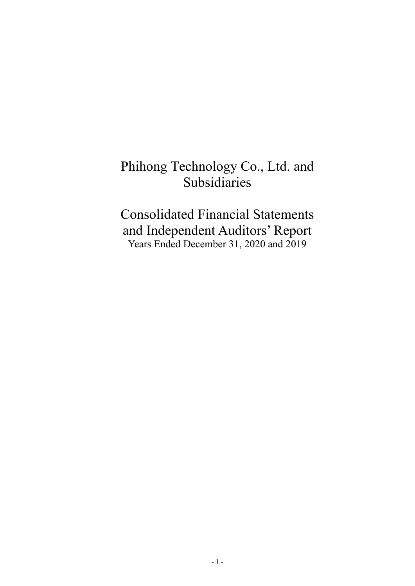# Phihong Technology Co., Ltd. and Subsidiaries

Consolidated Financial Statements and Independent Auditors' Report Years Ended December 31, 2020 and 2019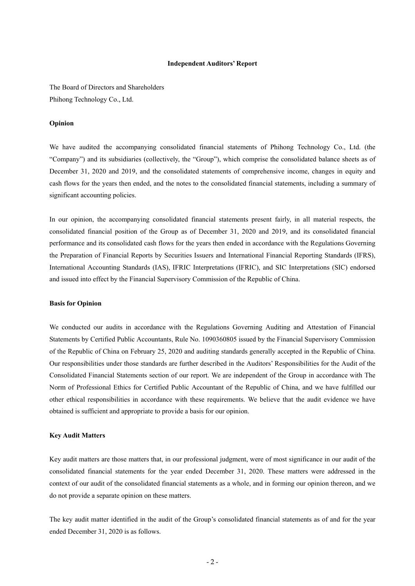#### **Independent Auditors' Report**

The Board of Directors and Shareholders Phihong Technology Co., Ltd.

#### **Opinion**

We have audited the accompanying consolidated financial statements of Phihong Technology Co., Ltd. (the "Company") and its subsidiaries (collectively, the "Group"), which comprise the consolidated balance sheets as of December 31, 2020 and 2019, and the consolidated statements of comprehensive income, changes in equity and cash flows for the years then ended, and the notes to the consolidated financial statements, including a summary of significant accounting policies.

In our opinion, the accompanying consolidated financial statements present fairly, in all material respects, the consolidated financial position of the Group as of December 31, 2020 and 2019, and its consolidated financial performance and its consolidated cash flows for the years then ended in accordance with the Regulations Governing the Preparation of Financial Reports by Securities Issuers and International Financial Reporting Standards (IFRS), International Accounting Standards (IAS), IFRIC Interpretations (IFRIC), and SIC Interpretations (SIC) endorsed and issued into effect by the Financial Supervisory Commission of the Republic of China.

#### **Basis for Opinion**

We conducted our audits in accordance with the Regulations Governing Auditing and Attestation of Financial Statements by Certified Public Accountants, Rule No. 1090360805 issued by the Financial Supervisory Commission of the Republic of China on February 25, 2020 and auditing standards generally accepted in the Republic of China. Our responsibilities under those standards are further described in the Auditors' Responsibilities for the Audit of the Consolidated Financial Statements section of our report. We are independent of the Group in accordance with The Norm of Professional Ethics for Certified Public Accountant of the Republic of China, and we have fulfilled our other ethical responsibilities in accordance with these requirements. We believe that the audit evidence we have obtained is sufficient and appropriate to provide a basis for our opinion.

#### **Key Audit Matters**

Key audit matters are those matters that, in our professional judgment, were of most significance in our audit of the consolidated financial statements for the year ended December 31, 2020. These matters were addressed in the context of our audit of the consolidated financial statements as a whole, and in forming our opinion thereon, and we do not provide a separate opinion on these matters.

The key audit matter identified in the audit of the Group's consolidated financial statements as of and for the year ended December 31, 2020 is as follows.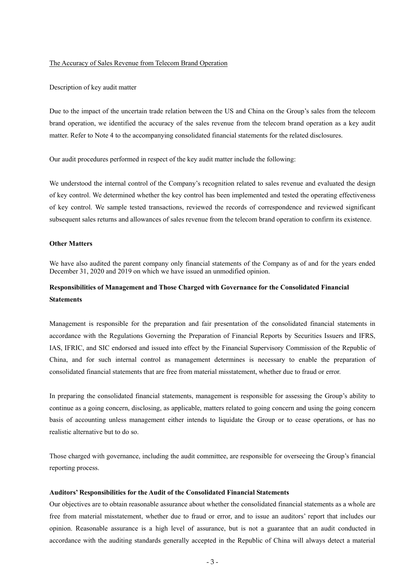#### The Accuracy of Sales Revenue from Telecom Brand Operation

#### Description of key audit matter

Due to the impact of the uncertain trade relation between the US and China on the Group's sales from the telecom brand operation, we identified the accuracy of the sales revenue from the telecom brand operation as a key audit matter. Refer to Note 4 to the accompanying consolidated financial statements for the related disclosures.

Our audit procedures performed in respect of the key audit matter include the following:

We understood the internal control of the Company's recognition related to sales revenue and evaluated the design of key control. We determined whether the key control has been implemented and tested the operating effectiveness of key control. We sample tested transactions, reviewed the records of correspondence and reviewed significant subsequent sales returns and allowances of sales revenue from the telecom brand operation to confirm its existence.

#### **Other Matters**

We have also audited the parent company only financial statements of the Company as of and for the years ended December 31, 2020 and 2019 on which we have issued an unmodified opinion.

## **Responsibilities of Management and Those Charged with Governance for the Consolidated Financial Statements**

Management is responsible for the preparation and fair presentation of the consolidated financial statements in accordance with the Regulations Governing the Preparation of Financial Reports by Securities Issuers and IFRS, IAS, IFRIC, and SIC endorsed and issued into effect by the Financial Supervisory Commission of the Republic of China, and for such internal control as management determines is necessary to enable the preparation of consolidated financial statements that are free from material misstatement, whether due to fraud or error.

In preparing the consolidated financial statements, management is responsible for assessing the Group's ability to continue as a going concern, disclosing, as applicable, matters related to going concern and using the going concern basis of accounting unless management either intends to liquidate the Group or to cease operations, or has no realistic alternative but to do so.

Those charged with governance, including the audit committee, are responsible for overseeing the Group's financial reporting process.

#### **Auditors' Responsibilities for the Audit of the Consolidated Financial Statements**

Our objectives are to obtain reasonable assurance about whether the consolidated financial statements as a whole are free from material misstatement, whether due to fraud or error, and to issue an auditors' report that includes our opinion. Reasonable assurance is a high level of assurance, but is not a guarantee that an audit conducted in accordance with the auditing standards generally accepted in the Republic of China will always detect a material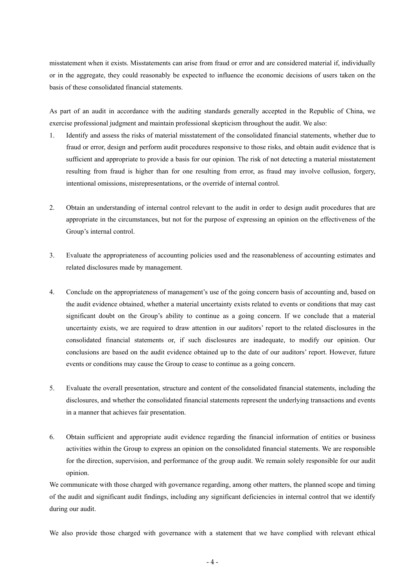misstatement when it exists. Misstatements can arise from fraud or error and are considered material if, individually or in the aggregate, they could reasonably be expected to influence the economic decisions of users taken on the basis of these consolidated financial statements.

As part of an audit in accordance with the auditing standards generally accepted in the Republic of China, we exercise professional judgment and maintain professional skepticism throughout the audit. We also:

- 1. Identify and assess the risks of material misstatement of the consolidated financial statements, whether due to fraud or error, design and perform audit procedures responsive to those risks, and obtain audit evidence that is sufficient and appropriate to provide a basis for our opinion. The risk of not detecting a material misstatement resulting from fraud is higher than for one resulting from error, as fraud may involve collusion, forgery, intentional omissions, misrepresentations, or the override of internal control.
- 2. Obtain an understanding of internal control relevant to the audit in order to design audit procedures that are appropriate in the circumstances, but not for the purpose of expressing an opinion on the effectiveness of the Group's internal control.
- 3. Evaluate the appropriateness of accounting policies used and the reasonableness of accounting estimates and related disclosures made by management.
- 4. Conclude on the appropriateness of management's use of the going concern basis of accounting and, based on the audit evidence obtained, whether a material uncertainty exists related to events or conditions that may cast significant doubt on the Group's ability to continue as a going concern. If we conclude that a material uncertainty exists, we are required to draw attention in our auditors' report to the related disclosures in the consolidated financial statements or, if such disclosures are inadequate, to modify our opinion. Our conclusions are based on the audit evidence obtained up to the date of our auditors' report. However, future events or conditions may cause the Group to cease to continue as a going concern.
- 5. Evaluate the overall presentation, structure and content of the consolidated financial statements, including the disclosures, and whether the consolidated financial statements represent the underlying transactions and events in a manner that achieves fair presentation.
- 6. Obtain sufficient and appropriate audit evidence regarding the financial information of entities or business activities within the Group to express an opinion on the consolidated financial statements. We are responsible for the direction, supervision, and performance of the group audit. We remain solely responsible for our audit opinion.

We communicate with those charged with governance regarding, among other matters, the planned scope and timing of the audit and significant audit findings, including any significant deficiencies in internal control that we identify during our audit.

We also provide those charged with governance with a statement that we have complied with relevant ethical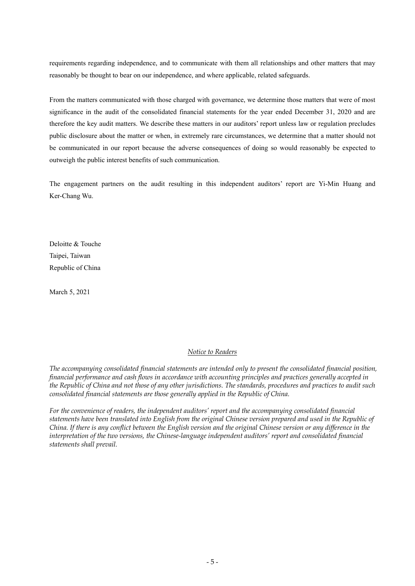requirements regarding independence, and to communicate with them all relationships and other matters that may reasonably be thought to bear on our independence, and where applicable, related safeguards.

From the matters communicated with those charged with governance, we determine those matters that were of most significance in the audit of the consolidated financial statements for the year ended December 31, 2020 and are therefore the key audit matters. We describe these matters in our auditors' report unless law or regulation precludes public disclosure about the matter or when, in extremely rare circumstances, we determine that a matter should not be communicated in our report because the adverse consequences of doing so would reasonably be expected to outweigh the public interest benefits of such communication.

The engagement partners on the audit resulting in this independent auditors' report are Yi-Min Huang and Ker-Chang Wu.

Deloitte & Touche Taipei, Taiwan Republic of China

March 5, 2021

#### *Notice to Readers*

*The accompanying consolidated financial statements are intended only to present the consolidated financial position, financial performance and cash flows in accordance with accounting principles and practices generally accepted in the Republic of China and not those of any other jurisdictions. The standards, procedures and practices to audit such consolidated financial statements are those generally applied in the Republic of China.* 

*For the convenience of readers, the independent auditors' report and the accompanying consolidated financial statements have been translated into English from the original Chinese version prepared and used in the Republic of China. If there is any conflict between the English version and the original Chinese version or any difference in the interpretation of the two versions, the Chinese-language independent auditors' report and consolidated financial statements shall prevail.*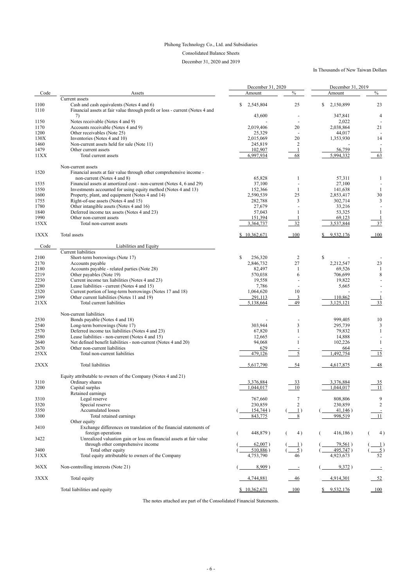## Phihong Technology Co., Ltd. and Subsidiaries

## Consolidated Balance Sheets

December 31, 2020 and 2019

## In Thousands of New Taiwan Dollars

|      |                                                                              | December 31, 2020      | December 31, 2019 |                 |                |  |
|------|------------------------------------------------------------------------------|------------------------|-------------------|-----------------|----------------|--|
| Code | Assets                                                                       | Amount                 | $\frac{0}{0}$     | Amount          | $\frac{0}{0}$  |  |
|      | Current assets                                                               |                        |                   |                 |                |  |
| 1100 | Cash and cash equivalents (Notes 4 and 6)                                    | \$<br>2,545,804        | 25                | \$<br>2,150,899 | 23             |  |
| 1110 | Financial assets at fair value through profit or loss - current (Notes 4 and |                        |                   |                 |                |  |
|      | 7)                                                                           | 43,600                 |                   | 347,841         | 4              |  |
| 1150 | Notes receivable (Notes 4 and 9)                                             |                        |                   | 2,022           |                |  |
| 1170 |                                                                              | 2,019,406              | 20                | 2,038,864       | 21             |  |
|      | Accounts receivable (Notes 4 and 9)                                          |                        |                   |                 |                |  |
| 1200 | Other receivables (Note 25)                                                  | 25,329                 |                   | 44,017          |                |  |
| 130X | Inventories (Notes 4 and 10)                                                 | 2,015,069              | 20                | 1,353,930       | 14             |  |
| 1460 | Non-current assets held for sale (Note 11)                                   | 245,819                | 2                 |                 |                |  |
| 1479 | Other current assets                                                         | 102,907                |                   | 56,759          |                |  |
| 11XX | Total current assets                                                         | 6,997,934              | 68                | 5,994,332       | 63             |  |
|      |                                                                              |                        |                   |                 |                |  |
|      | Non-current assets                                                           |                        |                   |                 |                |  |
| 1520 | Financial assets at fair value through other comprehensive income -          |                        |                   |                 |                |  |
|      | non-current (Notes 4 and 8)                                                  | 65,828                 |                   | 57,311          |                |  |
| 1535 | Financial assets at amortized cost - non-current (Notes 4, 6 and 29)         | 37,100                 |                   | 27,100          |                |  |
| 1550 | Investments accounted for using equity method (Notes 4 and 13)               | 152,366                |                   | 141,638         |                |  |
| 1600 | Property, plant, and equipment (Notes 4 and 14)                              | 2,590,539              | 25                | 2,853,417       | 30             |  |
|      |                                                                              |                        |                   |                 |                |  |
| 1755 | Right-of-use assets (Notes 4 and 15)                                         | 282,788                | 3                 | 302,714         | 3              |  |
| 1780 | Other intangible assets (Notes 4 and 16)                                     | 27,679                 |                   | 33,216          |                |  |
| 1840 | Deferred income tax assets (Notes 4 and 23)                                  | 57,043                 |                   | 53,325          |                |  |
| 1990 | Other non-current assets                                                     | 151,394                |                   | 69,123          |                |  |
| 15XX | Total non-current assets                                                     | 3,364,737              | 32                | 3,537,844       | 37             |  |
|      |                                                                              |                        |                   |                 |                |  |
| 1XXX | Total assets                                                                 | \$10,362,671           | 100               | 9,532,176       | 100            |  |
|      |                                                                              |                        |                   |                 |                |  |
| Code | Liabilities and Equity                                                       |                        |                   |                 |                |  |
|      | <b>Current liabilities</b>                                                   |                        |                   |                 |                |  |
|      |                                                                              |                        |                   |                 |                |  |
| 2100 | Short-term borrowings (Note 17)                                              | $\mathbf S$<br>256,320 | $\overline{2}$    | \$              |                |  |
| 2170 | Accounts payable                                                             | 2,846,732              | 27                | 2,212,547       | 23             |  |
| 2180 | Accounts payable - related parties (Note 28)                                 | 82,497                 |                   | 69,526          |                |  |
| 2219 | Other payables (Note 19)                                                     | 570,038                | 6                 | 706,699         | 8              |  |
| 2230 | Current income tax liabilities (Notes 4 and 23)                              | 19,558                 |                   | 19,822          |                |  |
| 2280 | Lease liabilities - current (Notes 4 and 15)                                 | 7,786                  |                   | 5,665           |                |  |
|      | Current portion of long-term borrowings (Notes 17 and 18)                    |                        |                   |                 |                |  |
| 2320 |                                                                              | 1,064,620              | 10                |                 |                |  |
| 2399 | Other current liabilities (Notes 11 and 19)                                  | 291,113                | $\overline{3}$    | 110,862         |                |  |
| 21XX | Total current liabilities                                                    | 5,138,664              | 49                | 3,125,121       | 33             |  |
|      |                                                                              |                        |                   |                 |                |  |
|      | Non-current liabilities                                                      |                        |                   |                 |                |  |
| 2530 | Bonds payable (Notes 4 and 18)                                               |                        |                   | 999,405         | 10             |  |
| 2540 | Long-term borrowings (Note 17)                                               | 303,944                | $\mathfrak{Z}$    | 295,739         | 3              |  |
| 2570 | Deferred income tax liabilities (Notes 4 and 23)                             | 67,820                 |                   | 79,832          |                |  |
| 2580 | Lease liabilities - non-current (Notes 4 and 15)                             | 12,665                 |                   | 14,888          |                |  |
|      | Net defined benefit liabilities - non-current (Notes 4 and 20)               |                        |                   |                 |                |  |
| 2640 |                                                                              | 94,068                 |                   | 102,226         |                |  |
| 2670 | Other non-current liabilities                                                | 629                    |                   | 664             |                |  |
| 25XX | Total non-current liabilities                                                | 479,126                |                   | 1,492,754       | 15             |  |
|      |                                                                              |                        |                   |                 |                |  |
| 2XXX | <b>Total liabilities</b>                                                     | 5,617,790              | 54                | 4,617,875       | 48             |  |
|      |                                                                              |                        |                   |                 |                |  |
|      | Equity attributable to owners of the Company (Notes 4 and 21)                |                        |                   |                 |                |  |
| 3110 | Ordinary shares                                                              | 3,376,884              | <u>33</u>         | 3,376,884       | <u>35</u>      |  |
| 3200 | Capital surplus                                                              | 1,044,017              | 10                | 1,044,017       | 11             |  |
|      |                                                                              |                        |                   |                 |                |  |
|      | Retained earnings                                                            |                        |                   |                 |                |  |
| 3310 | Legal reserve                                                                | 767,660                | 7                 | 808,806         | 9              |  |
| 3320 | Special reserve                                                              | 230,859                | $\overline{2}$    | 230,859         | $\sqrt{2}$     |  |
| 3350 | <b>Accumulated losses</b>                                                    | 154,744)               | $\perp$           | 41,146)         |                |  |
| 3300 | Total retained earnings                                                      | 843,775                |                   | 998,519         | 11             |  |
|      | Other equity                                                                 |                        |                   |                 |                |  |
| 3410 | Exchange differences on translation of the financial statements of           |                        |                   |                 |                |  |
|      | foreign operations                                                           | 448,879)               | 4)                | 416,186)        | 4)             |  |
|      |                                                                              |                        |                   |                 |                |  |
| 3422 | Unrealized valuation gain or loss on financial assets at fair value          |                        |                   |                 |                |  |
|      | through other comprehensive income                                           | $62,007$ )             |                   | 79,561)         |                |  |
| 3400 | Total other equity                                                           | $510,886$ )            | $\overline{5}$ )  | 495,747)        | $\overline{5}$ |  |
| 31XX | Total equity attributable to owners of the Company                           | 4,753,790              | 46                | 4,923,673       | 52             |  |
|      |                                                                              |                        |                   |                 |                |  |
| 36XX | Non-controlling interests (Note 21)                                          | $8,909$ )              |                   | 9,372)          |                |  |
|      |                                                                              |                        |                   |                 |                |  |
| 3XXX | Total equity                                                                 | 4,744,881              | <u>46</u>         | 4,914,301       | $\frac{52}{5}$ |  |
|      |                                                                              |                        |                   |                 |                |  |
|      | Total liabilities and equity                                                 | \$10,362,671           | $-100$            | 9,532,176       | $-100$         |  |
|      |                                                                              |                        |                   |                 |                |  |

The notes attached are part of the Consolidated Financial Statements.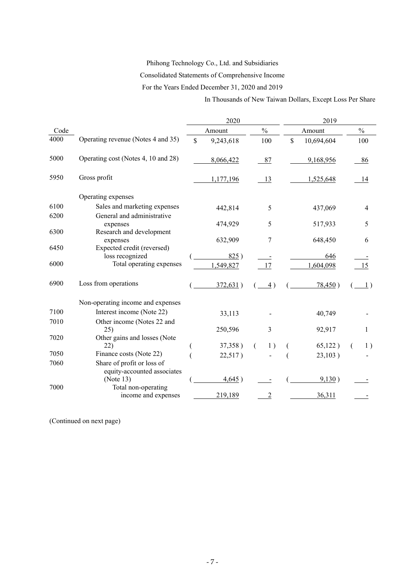# Phihong Technology Co., Ltd. and Subsidiaries

Consolidated Statements of Comprehensive Income

For the Years Ended December 31, 2020 and 2019

In Thousands of New Taiwan Dollars, Except Loss Per Share

|      |                                          | 2020 |           |               | 2019             |    |            |  |                |
|------|------------------------------------------|------|-----------|---------------|------------------|----|------------|--|----------------|
| Code |                                          |      | Amount    | $\frac{0}{0}$ |                  |    | Amount     |  | $\frac{0}{0}$  |
| 4000 | Operating revenue (Notes 4 and 35)       | \$   | 9,243,618 | 100           |                  | \$ | 10,694,604 |  | 100            |
| 5000 | Operating cost (Notes 4, 10 and 28)      |      | 8,066,422 | 87            |                  |    | 9,168,956  |  | 86             |
| 5950 | Gross profit                             |      | 1,177,196 | 13            |                  |    | 1,525,648  |  | 14             |
|      | Operating expenses                       |      |           |               |                  |    |            |  |                |
| 6100 | Sales and marketing expenses             |      | 442,814   |               | 5                |    | 437,069    |  | $\overline{4}$ |
| 6200 | General and administrative<br>expenses   |      | 474,929   |               | 5                |    | 517,933    |  | 5              |
| 6300 | Research and development                 |      | 632,909   |               | 7                |    |            |  | 6              |
| 6450 | expenses<br>Expected credit (reversed)   |      |           |               |                  |    | 648,450    |  |                |
|      | loss recognized                          |      | 825)      |               |                  |    | 646        |  |                |
| 6000 | Total operating expenses                 |      | 1,549,827 | 17            |                  |    | 1,604,098  |  | 15             |
| 6900 | Loss from operations                     |      | 372,631)  |               | $\overline{4}$ ) |    | 78,450)    |  | $\perp$ )      |
|      | Non-operating income and expenses        |      |           |               |                  |    |            |  |                |
| 7100 | Interest income (Note 22)                |      | 33,113    |               |                  |    | 40,749     |  |                |
| 7010 | Other income (Notes 22 and               |      |           |               |                  |    |            |  |                |
|      | 25)                                      |      | 250,596   |               | 3                |    | 92,917     |  | 1              |
| 7020 | Other gains and losses (Note             |      |           |               |                  |    |            |  |                |
|      | 22)                                      |      | 37,358)   | €             | 1)               |    | 65,122)    |  | 1)             |
| 7050 | Finance costs (Note 22)                  |      | 22,517)   |               |                  |    | 23,103)    |  |                |
| 7060 | Share of profit or loss of               |      |           |               |                  |    |            |  |                |
|      | equity-accounted associates<br>(Note 13) |      | 4,645)    |               |                  |    | 9,130)     |  |                |
| 7000 | Total non-operating                      |      |           |               |                  |    |            |  |                |
|      | income and expenses                      |      | 219,189   |               | $\overline{2}$   |    | 36,311     |  |                |

(Continued on next page)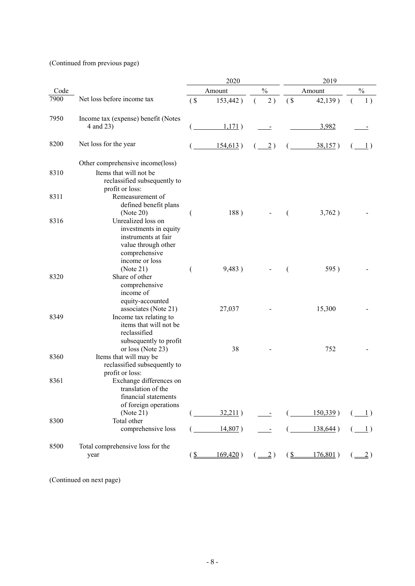(Continued from previous page)

|      |                                                                                                                              | 2020   |             |          |                                | 2019      |             |                                                                                                                                                                                                                                                                                                                                                                                                                                                                                                                                                                                                            |  |
|------|------------------------------------------------------------------------------------------------------------------------------|--------|-------------|----------|--------------------------------|-----------|-------------|------------------------------------------------------------------------------------------------------------------------------------------------------------------------------------------------------------------------------------------------------------------------------------------------------------------------------------------------------------------------------------------------------------------------------------------------------------------------------------------------------------------------------------------------------------------------------------------------------------|--|
| Code |                                                                                                                              |        | Amount      |          | $\%$                           |           | Amount      | $\frac{0}{0}$                                                                                                                                                                                                                                                                                                                                                                                                                                                                                                                                                                                              |  |
| 7900 | Net loss before income tax                                                                                                   | $($ \$ | 153,442)    | $\left($ | 2)                             | (S)       | 42,139)     | 1)                                                                                                                                                                                                                                                                                                                                                                                                                                                                                                                                                                                                         |  |
| 7950 | Income tax (expense) benefit (Notes<br>4 and 23)                                                                             |        | 1,171)      |          |                                |           | 3,982       |                                                                                                                                                                                                                                                                                                                                                                                                                                                                                                                                                                                                            |  |
| 8200 | Net loss for the year                                                                                                        |        | 154,613)    |          | $\overline{2})$                |           | 38,157)     | $\perp$                                                                                                                                                                                                                                                                                                                                                                                                                                                                                                                                                                                                    |  |
|      | Other comprehensive income(loss)                                                                                             |        |             |          |                                |           |             |                                                                                                                                                                                                                                                                                                                                                                                                                                                                                                                                                                                                            |  |
| 8310 | Items that will not be<br>reclassified subsequently to<br>profit or loss:                                                    |        |             |          |                                |           |             |                                                                                                                                                                                                                                                                                                                                                                                                                                                                                                                                                                                                            |  |
| 8311 | Remeasurement of<br>defined benefit plans<br>(Note 20)                                                                       |        | 188)        |          |                                |           | 3,762)      |                                                                                                                                                                                                                                                                                                                                                                                                                                                                                                                                                                                                            |  |
| 8316 | Unrealized loss on<br>investments in equity<br>instruments at fair<br>value through other<br>comprehensive<br>income or loss |        |             |          |                                |           |             |                                                                                                                                                                                                                                                                                                                                                                                                                                                                                                                                                                                                            |  |
|      | (Note 21)                                                                                                                    | (      | 9,483)      |          |                                |           | 595)        |                                                                                                                                                                                                                                                                                                                                                                                                                                                                                                                                                                                                            |  |
| 8320 | Share of other<br>comprehensive<br>income of<br>equity-accounted                                                             |        | 27,037      |          |                                |           |             |                                                                                                                                                                                                                                                                                                                                                                                                                                                                                                                                                                                                            |  |
| 8349 | associates (Note 21)<br>Income tax relating to<br>items that will not be<br>reclassified<br>subsequently to profit           |        |             |          |                                |           | 15,300      |                                                                                                                                                                                                                                                                                                                                                                                                                                                                                                                                                                                                            |  |
| 8360 | or loss (Note 23)<br>Items that will may be<br>reclassified subsequently to<br>profit or loss:                               |        | 38          |          |                                |           | 752         |                                                                                                                                                                                                                                                                                                                                                                                                                                                                                                                                                                                                            |  |
| 8361 | Exchange differences on<br>translation of the<br>financial statements<br>of foreign operations                               |        |             |          |                                |           |             |                                                                                                                                                                                                                                                                                                                                                                                                                                                                                                                                                                                                            |  |
|      | (Note 21)                                                                                                                    |        | 32,211)     |          |                                |           | 150,339)    | $\left( \underline{\hspace{1cm}}\underline{\hspace{1cm}}\underline{\hspace{1cm}}\underline{\hspace{1cm}}\underline{\hspace{1cm}}\phantom{1}\underline{\hspace{1cm}}\underline{\hspace{1cm}}\phantom{1}\phantom{1}\underline{\hspace{1cm}}\phantom{1}}\right)$                                                                                                                                                                                                                                                                                                                                              |  |
| 8300 | Total other<br>comprehensive loss                                                                                            |        | 14,807)     |          | $\blacksquare$                 |           | 138,644)    | $\left( \underline{\hspace{1cm}}\underline{\hspace{1cm}}\underline{\hspace{1cm}}\underline{\hspace{1cm}}\underline{\hspace{1cm}}\underline{\hspace{1cm}}\underline{\hspace{1cm}}\underline{\hspace{1cm}}\underline{\hspace{1cm}}\underline{\hspace{1cm}}\underline{\hspace{1cm}}\underline{\hspace{1cm}}\underline{\hspace{1cm}}\underline{\hspace{1cm}}\underline{\hspace{1cm}}\underline{\hspace{1cm}}\underline{\hspace{1cm}}\underline{\hspace{1cm}}\underline{\hspace{1cm}}\underline{\hspace{1cm}}\underline{\hspace{1cm}}\underline{\hspace{1cm}}\underline{\hspace{1cm}}\underline{\hspace{1cm}}\$ |  |
| 8500 | Total comprehensive loss for the<br>year                                                                                     | (S     | $169,420$ ) |          | $(\underline{\underline{-2}})$ | $(S_{-})$ | $176,801$ ) | $\underline{\hspace{1mm}}$ 2)                                                                                                                                                                                                                                                                                                                                                                                                                                                                                                                                                                              |  |

(Continued on next page)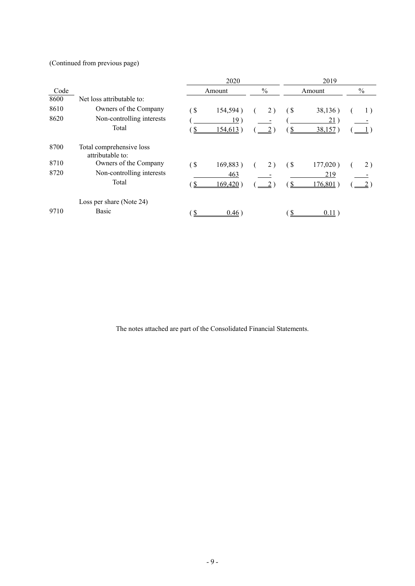(Continued from previous page)

|      |                                              | 2020              |             |  | 2019 |                           |          |               |  |
|------|----------------------------------------------|-------------------|-------------|--|------|---------------------------|----------|---------------|--|
| Code |                                              | Amount            |             |  | $\%$ | Amount                    |          | $\frac{0}{0}$ |  |
| 8600 | Net loss attributable to:                    |                   |             |  |      |                           |          |               |  |
| 8610 | Owners of the Company                        | $\left( \text{ }$ | 154,594)    |  | 2)   | $\left( \text{S} \right)$ | 38,136)  | 1)            |  |
| 8620 | Non-controlling interests                    |                   | 19)         |  |      |                           | 21)      |               |  |
|      | Total                                        |                   | 154,613)    |  |      |                           | 38,157   |               |  |
| 8700 | Total comprehensive loss<br>attributable to: |                   |             |  |      |                           |          |               |  |
| 8710 | Owners of the Company                        | $\sqrt{3}$        | 169,883)    |  | 2)   | $\left( \text{ }$         | 177,020) | 2)            |  |
| 8720 | Non-controlling interests                    |                   | 463         |  |      |                           | 219      |               |  |
|      | Total                                        |                   | $169,420$ ) |  |      |                           | 176,801  |               |  |
|      | Loss per share (Note 24)                     |                   |             |  |      |                           |          |               |  |
| 9710 | <b>Basic</b>                                 |                   | 0.46)       |  |      |                           | 0.11     |               |  |

The notes attached are part of the Consolidated Financial Statements.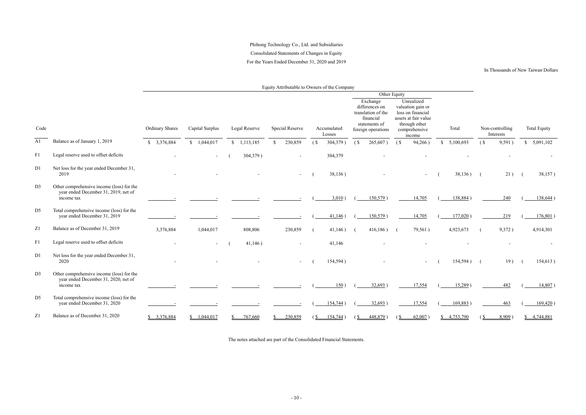## Phihong Technology Co., Ltd. and Subsidiaries Consolidated Statements of Changes in Equity For the Years Ended December 31, 2020 and 2019

#### In Thousands of New Taiwan Dollars

Equity Attributable to Owners of the Company

|                |                                                                                                 |                        |                 |                       |                        |                   |                       |                           |                                                                                                      | Other Equity      |                                                                                                                          |             |                   |                              |                     |
|----------------|-------------------------------------------------------------------------------------------------|------------------------|-----------------|-----------------------|------------------------|-------------------|-----------------------|---------------------------|------------------------------------------------------------------------------------------------------|-------------------|--------------------------------------------------------------------------------------------------------------------------|-------------|-------------------|------------------------------|---------------------|
| Code           |                                                                                                 | <b>Ordinary Shares</b> | Capital Surplus | Legal Reserve         | <b>Special Reserve</b> |                   | Accumulated<br>Losses |                           | Exchange<br>differences on<br>translation of the<br>financial<br>statements of<br>foreign operations |                   | Unrealized<br>valuation gain or<br>loss on financial<br>assets at fair value<br>through other<br>comprehensive<br>income | Total       |                   | Non-controlling<br>Interests | <b>Total Equity</b> |
| A1             | Balance as of January 1, 2019                                                                   | \$3,376,884            | \$1,044,017     | $\frac{1,113,185}{2}$ | 230,859                | (S <sub>0</sub> ) | $304,379$ )           | $\left( \text{S} \right)$ | 265,607)                                                                                             | (S <sup>2</sup> ) | 94,266)                                                                                                                  | \$5,100,693 | (S <sub>0</sub> ) | 9,591)                       | \$5,091,102         |
| F1             | Legal reserve used to offset deficits                                                           |                        |                 | 304,379)              |                        |                   | 304,379               |                           |                                                                                                      |                   |                                                                                                                          |             |                   |                              |                     |
| D <sub>1</sub> | Net loss for the year ended December 31,<br>2019                                                |                        |                 |                       |                        |                   | 38,136)               |                           |                                                                                                      |                   |                                                                                                                          | $38,136$ (  |                   | 21)                          | 38,157)             |
| D <sub>3</sub> | Other comprehensive income (loss) for the<br>year ended December 31, 2019, net of<br>income tax |                        |                 |                       |                        |                   | $3,010$ )             |                           | $150,579$ )                                                                                          |                   | 14,705                                                                                                                   | 138,884)    |                   | 240                          | $138,644$ )         |
| D <sub>5</sub> | Total comprehensive income (loss) for the<br>year ended December 31, 2019                       |                        |                 |                       |                        |                   | 41,146)               |                           | $150,579$ )                                                                                          |                   | 14,705                                                                                                                   | $177,020$ ) |                   | 219                          | $176,801$ )         |
| Z <sub>1</sub> | Balance as of December 31, 2019                                                                 | 3,376,884              | 1,044,017       | 808,806               | 230,859                |                   | 41,146)               |                           | 416,186)                                                                                             |                   | 79,561)                                                                                                                  | 4,923,673   |                   | 9,372)                       | 4,914,301           |
| F1             | Legal reserve used to offset deficits                                                           |                        |                 | 41,146)               |                        |                   | 41,146                |                           |                                                                                                      |                   |                                                                                                                          |             |                   |                              |                     |
| D1             | Net loss for the year ended December 31,<br>2020                                                |                        |                 |                       |                        |                   | 154,594)              |                           |                                                                                                      |                   |                                                                                                                          | 154,594)    | $\sqrt{2}$        | 19)                          | 154,613)            |
| D <sub>3</sub> | Other comprehensive income (loss) for the<br>year ended December 31, 2020, net of<br>income tax |                        |                 |                       |                        |                   | 150)                  |                           | 32,693)                                                                                              |                   | 17,554                                                                                                                   | $15,289$ )  |                   | 482                          | $14,807$ )          |
| D <sub>5</sub> | Total comprehensive income (loss) for the<br>year ended December 31, 2020                       |                        |                 |                       |                        |                   | 154,744)              |                           | 32,693)                                                                                              |                   | 17,554                                                                                                                   | 169,883)    |                   | 463                          | 169,420)            |
| Z1             | Balance as of December 31, 2020                                                                 | \$3,376,884            | \$1,044,017     | 767,660               | 230,859                | (S)               | 154,744)              | (S                        | $448,879$ )                                                                                          | (S                | $62,007$ )                                                                                                               | \$4,753,790 | (S)               | $8,909$ )                    | \$4,744,881         |

The notes attached are part of the Consolidated Financial Statements.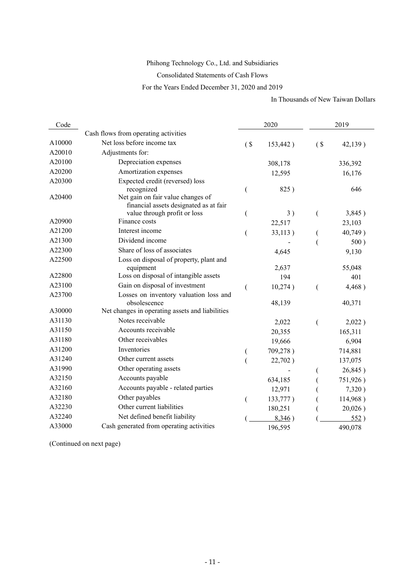## Phihong Technology Co., Ltd. and Subsidiaries

Consolidated Statements of Cash Flows

For the Years Ended December 31, 2020 and 2019

In Thousands of New Taiwan Dollars

| Code   |                                                                        |        | 2020     | 2019           |          |  |
|--------|------------------------------------------------------------------------|--------|----------|----------------|----------|--|
|        | Cash flows from operating activities                                   |        |          |                |          |  |
| A10000 | Net loss before income tax                                             | $($ \$ | 153,442) | $($ \$         | 42,139)  |  |
| A20010 | Adjustments for:                                                       |        |          |                |          |  |
| A20100 | Depreciation expenses                                                  |        | 308,178  |                | 336,392  |  |
| A20200 | Amortization expenses                                                  |        | 12,595   |                | 16,176   |  |
| A20300 | Expected credit (reversed) loss                                        |        |          |                |          |  |
|        | recognized                                                             | (      | 825)     |                | 646      |  |
| A20400 | Net gain on fair value changes of                                      |        |          |                |          |  |
|        | financial assets designated as at fair<br>value through profit or loss |        | 3)       | (              | 3,845)   |  |
| A20900 | Finance costs                                                          | (      | 22,517   |                | 23,103   |  |
| A21200 | Interest income                                                        |        |          |                |          |  |
| A21300 | Dividend income                                                        | (      | 33,113)  |                | 40,749)  |  |
| A22300 | Share of loss of associates                                            |        |          |                | 500)     |  |
| A22500 | Loss on disposal of property, plant and                                |        | 4,645    |                | 9,130    |  |
|        | equipment                                                              |        | 2,637    |                | 55,048   |  |
| A22800 | Loss on disposal of intangible assets                                  |        | 194      |                | 401      |  |
| A23100 | Gain on disposal of investment                                         | (      | 10,274)  | $\overline{ }$ | 4,468)   |  |
| A23700 | Losses on inventory valuation loss and                                 |        |          |                |          |  |
|        | obsolescence                                                           |        | 48,139   |                | 40,371   |  |
| A30000 | Net changes in operating assets and liabilities                        |        |          |                |          |  |
| A31130 | Notes receivable                                                       |        | 2,022    | (              | 2,022)   |  |
| A31150 | Accounts receivable                                                    |        | 20,355   |                | 165,311  |  |
| A31180 | Other receivables                                                      |        | 19,666   |                | 6,904    |  |
| A31200 | Inventories                                                            |        | 709,278) |                | 714,881  |  |
| A31240 | Other current assets                                                   |        | 22,702)  |                | 137,075  |  |
| A31990 | Other operating assets                                                 |        |          |                | 26,845)  |  |
| A32150 | Accounts payable                                                       |        | 634,185  |                | 751,926) |  |
| A32160 | Accounts payable - related parties                                     |        | 12,971   |                | 7,320)   |  |
| A32180 | Other payables                                                         | €      | 133,777) |                | 114,968) |  |
| A32230 | Other current liabilities                                              |        | 180,251  |                | 20,026)  |  |
| A32240 | Net defined benefit liability                                          |        | 8,346)   |                | 552)     |  |
| A33000 | Cash generated from operating activities                               |        | 196,595  |                | 490,078  |  |

(Continued on next page)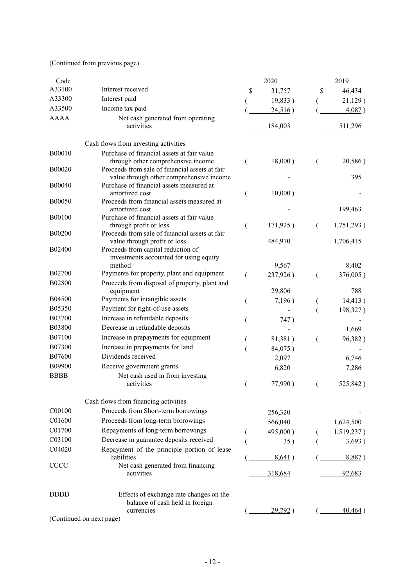(Continued from previous page)

| Code             |                                                                                                                                    | 2020           |          |                | 2019       |
|------------------|------------------------------------------------------------------------------------------------------------------------------------|----------------|----------|----------------|------------|
| A33100           | Interest received                                                                                                                  | \$             | 31,757   | \$             | 46,434     |
| A33300           | Interest paid                                                                                                                      |                | 19,833)  |                | 21,129)    |
| A33500           | Income tax paid                                                                                                                    |                | 24,516)  |                | 4,087)     |
| <b>AAAA</b>      | Net cash generated from operating<br>activities                                                                                    |                | 184,003  |                | 511,296    |
|                  | Cash flows from investing activities                                                                                               |                |          |                |            |
| B00010<br>B00020 | Purchase of financial assets at fair value<br>through other comprehensive income<br>Proceeds from sale of financial assets at fair | (              | 18,000)  | (              | 20,586)    |
| B00040           | value through other comprehensive income<br>Purchase of financial assets measured at<br>amortized cost                             | (              | 10,000)  |                | 395        |
| B00050           | Proceeds from financial assets measured at<br>amortized cost                                                                       |                |          |                | 199,463    |
| B00100           | Purchase of financial assets at fair value<br>through profit or loss                                                               | (              | 171,925) | €              | 1,751,293) |
| B00200<br>B02400 | Proceeds from sale of financial assets at fair<br>value through profit or loss<br>Proceeds from capital reduction of               |                | 484,970  |                | 1,706,415  |
|                  | investments accounted for using equity                                                                                             |                |          |                |            |
|                  | method                                                                                                                             |                | 9,567    |                | 8,402      |
| B02700<br>B02800 | Payments for property, plant and equipment                                                                                         | $\overline{(}$ | 237,926) | €              | 376,005)   |
|                  | Proceeds from disposal of property, plant and<br>equipment                                                                         |                | 29,806   |                | 788        |
| B04500           | Payments for intangible assets                                                                                                     | (              | 7,196)   |                | 14,413)    |
| B05350           | Payment for right-of-use assets                                                                                                    |                |          |                | 198,327)   |
| B03700           | Increase in refundable deposits                                                                                                    |                | 747)     |                |            |
| B03800           | Decrease in refundable deposits                                                                                                    |                |          |                | 1,669      |
| B07100           | Increase in prepayments for equipment                                                                                              |                | 81,381)  | $\overline{ }$ | 96,382)    |
| B07300           | Increase in prepayments for land                                                                                                   |                | 84,075)  |                |            |
| <b>B07600</b>    | Dividends received                                                                                                                 |                | 2,097    |                | 6,746      |
| B09900           | Receive government grants                                                                                                          |                | 6,820    |                | 7,286      |
| <b>BBBB</b>      | Net cash used in from investing                                                                                                    |                |          |                |            |
|                  | activities                                                                                                                         |                | 77,990)  |                | 525,842)   |
|                  | Cash flows from financing activities                                                                                               |                |          |                |            |
| C00100           | Proceeds from Short-term borrowings                                                                                                |                | 256,320  |                |            |
| C01600           | Proceeds from long-term borrowings                                                                                                 |                | 566,040  |                | 1,624,500  |
| C01700           | Repayments of long-term borrowings                                                                                                 |                | 495,000) |                | 1,519,237) |
| C03100           | Decrease in guarantee deposits received                                                                                            |                | 35)      |                | 3,693)     |
| C04020           | Repayment of the principle portion of lease<br>liabilities                                                                         |                | 8,641)   |                | 8,887)     |
| CCCC             | Net cash generated from financing<br>activities                                                                                    |                | 318,684  |                | 92,683     |
| <b>DDDD</b>      | Effects of exchange rate changes on the<br>balance of cash held in foreign<br>currencies                                           |                | 29,792)  |                | 40,464)    |
|                  | (Continued on next page)                                                                                                           |                |          |                |            |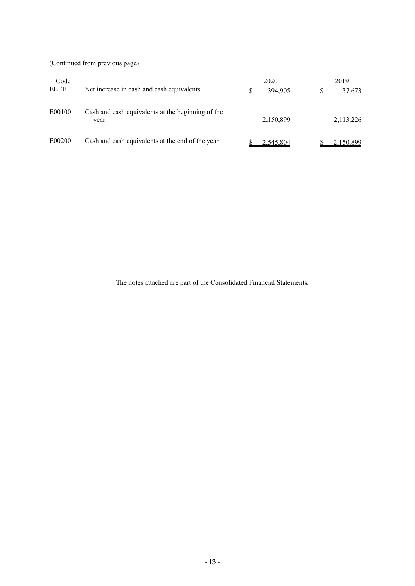(Continued from previous page)

| Code   |                                                           | 2020          | 2019      |
|--------|-----------------------------------------------------------|---------------|-----------|
| EEEE   | Net increase in cash and cash equivalents                 | \$<br>394.905 | 37,673    |
| E00100 | Cash and cash equivalents at the beginning of the<br>year | 2,150,899     | 2,113,226 |
| E00200 | Cash and cash equivalents at the end of the year          | 2,545,804     | 2,150,899 |

The notes attached are part of the Consolidated Financial Statements.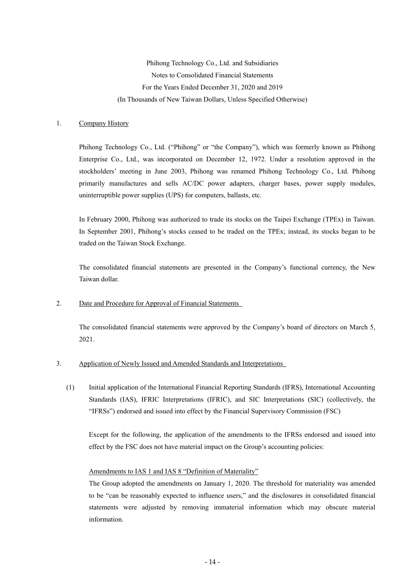Phihong Technology Co., Ltd. and Subsidiaries Notes to Consolidated Financial Statements For the Years Ended December 31, 2020 and 2019 (In Thousands of New Taiwan Dollars, Unless Specified Otherwise)

#### 1. Company History

Phihong Technology Co., Ltd. ("Phihong" or "the Company"), which was formerly known as Phihong Enterprise Co., Ltd., was incorporated on December 12, 1972. Under a resolution approved in the stockholders' meeting in June 2003, Phihong was renamed Phihong Technology Co., Ltd. Phihong primarily manufactures and sells AC/DC power adapters, charger bases, power supply modules, uninterruptible power supplies (UPS) for computers, ballasts, etc.

In February 2000, Phihong was authorized to trade its stocks on the Taipei Exchange (TPEx) in Taiwan. In September 2001, Phihong's stocks ceased to be traded on the TPEx; instead, its stocks began to be traded on the Taiwan Stock Exchange.

The consolidated financial statements are presented in the Company's functional currency, the New Taiwan dollar.

#### 2. Date and Procedure for Approval of Financial Statements

The consolidated financial statements were approved by the Company's board of directors on March 5, 2021.

#### 3. Application of Newly Issued and Amended Standards and Interpretations

(1) Initial application of the International Financial Reporting Standards (IFRS), International Accounting Standards (IAS), IFRIC Interpretations (IFRIC), and SIC Interpretations (SIC) (collectively, the "IFRSs") endorsed and issued into effect by the Financial Supervisory Commission (FSC)

Except for the following, the application of the amendments to the IFRSs endorsed and issued into effect by the FSC does not have material impact on the Group's accounting policies:

#### Amendments to IAS 1 and IAS 8 "Definition of Materiality"

The Group adopted the amendments on January 1, 2020. The threshold for materiality was amended to be "can be reasonably expected to influence users," and the disclosures in consolidated financial statements were adjusted by removing immaterial information which may obscure material information.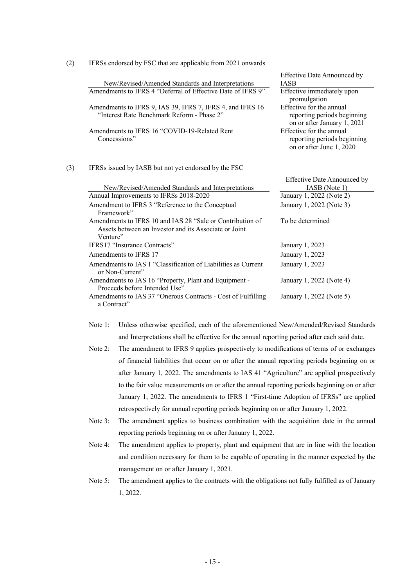|     |                                                                                                                                | <b>Effective Date Announced by</b>                                                     |
|-----|--------------------------------------------------------------------------------------------------------------------------------|----------------------------------------------------------------------------------------|
|     | New/Revised/Amended Standards and Interpretations                                                                              | <b>IASB</b>                                                                            |
|     | Amendments to IFRS 4 "Deferral of Effective Date of IFRS 9"                                                                    | <b>Effective immediately upon</b><br>promulgation                                      |
|     | Amendments to IFRS 9, IAS 39, IFRS 7, IFRS 4, and IFRS 16<br>"Interest Rate Benchmark Reform - Phase 2"                        | Effective for the annual<br>reporting periods beginning<br>on or after January 1, 2021 |
|     | Amendments to IFRS 16 "COVID-19-Related Rent<br>Concessions"                                                                   | Effective for the annual<br>reporting periods beginning<br>on or after June 1, 2020    |
| (3) | IFRSs issued by IASB but not yet endorsed by the FSC                                                                           |                                                                                        |
|     |                                                                                                                                | <b>Effective Date Announced by</b>                                                     |
|     | New/Revised/Amended Standards and Interpretations                                                                              | IASB (Note 1)                                                                          |
|     | Annual Improvements to IFRSs 2018-2020                                                                                         | January 1, 2022 (Note 2)                                                               |
|     | Amendment to IFRS 3 "Reference to the Conceptual<br>Framework"                                                                 | January 1, 2022 (Note 3)                                                               |
|     | Amendments to IFRS 10 and IAS 28 "Sale or Contribution of<br>Assets between an Investor and its Associate or Joint<br>Venture" | To be determined                                                                       |
|     | IFRS17 "Insurance Contracts"                                                                                                   | January 1, 2023                                                                        |
|     | Amendments to IFRS 17                                                                                                          | January 1, 2023                                                                        |
|     | Amendments to IAS 1 "Classification of Liabilities as Current<br>or Non-Current"                                               | January 1, 2023                                                                        |
|     | Amendments to IAS 16 "Property, Plant and Equipment -<br>Proceeds before Intended Use"                                         | January 1, 2022 (Note 4)                                                               |
|     | Amendments to IAS 37 "Onerous Contracts - Cost of Fulfilling<br>a Contract"                                                    | January 1, 2022 (Note 5)                                                               |

(2) IFRSs endorsed by FSC that are applicable from 2021 onwards

- Note 1: Unless otherwise specified, each of the aforementioned New/Amended/Revised Standards and Interpretations shall be effective for the annual reporting period after each said date.
- Note 2: The amendment to IFRS 9 applies prospectively to modifications of terms of or exchanges of financial liabilities that occur on or after the annual reporting periods beginning on or after January 1, 2022. The amendments to IAS 41 "Agriculture" are applied prospectively to the fair value measurements on or after the annual reporting periods beginning on or after January 1, 2022. The amendments to IFRS 1 "First-time Adoption of IFRSs" are applied retrospectively for annual reporting periods beginning on or after January 1, 2022.
- Note 3: The amendment applies to business combination with the acquisition date in the annual reporting periods beginning on or after January 1, 2022.
- Note 4: The amendment applies to property, plant and equipment that are in line with the location and condition necessary for them to be capable of operating in the manner expected by the management on or after January 1, 2021.
- Note 5: The amendment applies to the contracts with the obligations not fully fulfilled as of January 1, 2022.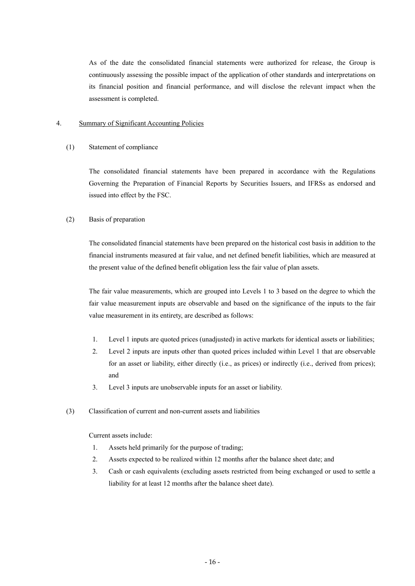As of the date the consolidated financial statements were authorized for release, the Group is continuously assessing the possible impact of the application of other standards and interpretations on its financial position and financial performance, and will disclose the relevant impact when the assessment is completed.

#### 4. Summary of Significant Accounting Policies

#### (1) Statement of compliance

The consolidated financial statements have been prepared in accordance with the Regulations Governing the Preparation of Financial Reports by Securities Issuers, and IFRSs as endorsed and issued into effect by the FSC.

#### (2) Basis of preparation

The consolidated financial statements have been prepared on the historical cost basis in addition to the financial instruments measured at fair value, and net defined benefit liabilities, which are measured at the present value of the defined benefit obligation less the fair value of plan assets.

The fair value measurements, which are grouped into Levels 1 to 3 based on the degree to which the fair value measurement inputs are observable and based on the significance of the inputs to the fair value measurement in its entirety, are described as follows:

- 1. Level 1 inputs are quoted prices (unadjusted) in active markets for identical assets or liabilities;
- 2. Level 2 inputs are inputs other than quoted prices included within Level 1 that are observable for an asset or liability, either directly (i.e., as prices) or indirectly (i.e., derived from prices); and
- 3. Level 3 inputs are unobservable inputs for an asset or liability.
- (3) Classification of current and non-current assets and liabilities

Current assets include:

- 1. Assets held primarily for the purpose of trading;
- 2. Assets expected to be realized within 12 months after the balance sheet date; and
- 3. Cash or cash equivalents (excluding assets restricted from being exchanged or used to settle a liability for at least 12 months after the balance sheet date).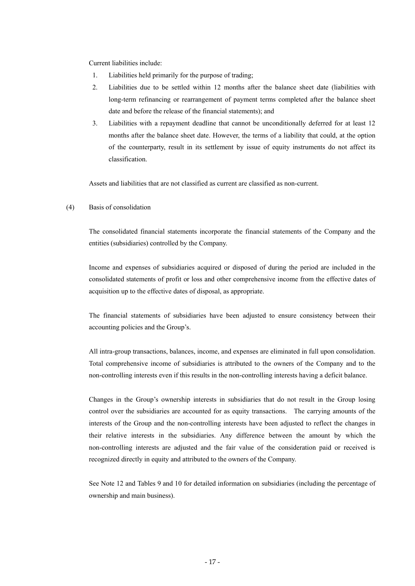Current liabilities include:

- 1. Liabilities held primarily for the purpose of trading;
- 2. Liabilities due to be settled within 12 months after the balance sheet date (liabilities with long-term refinancing or rearrangement of payment terms completed after the balance sheet date and before the release of the financial statements); and
- 3. Liabilities with a repayment deadline that cannot be unconditionally deferred for at least 12 months after the balance sheet date. However, the terms of a liability that could, at the option of the counterparty, result in its settlement by issue of equity instruments do not affect its classification.

Assets and liabilities that are not classified as current are classified as non-current.

#### (4) Basis of consolidation

The consolidated financial statements incorporate the financial statements of the Company and the entities (subsidiaries) controlled by the Company.

Income and expenses of subsidiaries acquired or disposed of during the period are included in the consolidated statements of profit or loss and other comprehensive income from the effective dates of acquisition up to the effective dates of disposal, as appropriate.

The financial statements of subsidiaries have been adjusted to ensure consistency between their accounting policies and the Group's.

All intra-group transactions, balances, income, and expenses are eliminated in full upon consolidation. Total comprehensive income of subsidiaries is attributed to the owners of the Company and to the non-controlling interests even if this results in the non-controlling interests having a deficit balance.

Changes in the Group's ownership interests in subsidiaries that do not result in the Group losing control over the subsidiaries are accounted for as equity transactions. The carrying amounts of the interests of the Group and the non-controlling interests have been adjusted to reflect the changes in their relative interests in the subsidiaries. Any difference between the amount by which the non-controlling interests are adjusted and the fair value of the consideration paid or received is recognized directly in equity and attributed to the owners of the Company.

See Note 12 and Tables 9 and 10 for detailed information on subsidiaries (including the percentage of ownership and main business).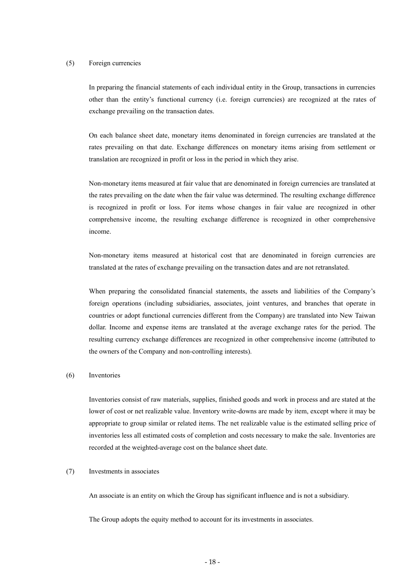#### (5) Foreign currencies

In preparing the financial statements of each individual entity in the Group, transactions in currencies other than the entity's functional currency (i.e. foreign currencies) are recognized at the rates of exchange prevailing on the transaction dates.

On each balance sheet date, monetary items denominated in foreign currencies are translated at the rates prevailing on that date. Exchange differences on monetary items arising from settlement or translation are recognized in profit or loss in the period in which they arise.

Non-monetary items measured at fair value that are denominated in foreign currencies are translated at the rates prevailing on the date when the fair value was determined. The resulting exchange difference is recognized in profit or loss. For items whose changes in fair value are recognized in other comprehensive income, the resulting exchange difference is recognized in other comprehensive income.

Non-monetary items measured at historical cost that are denominated in foreign currencies are translated at the rates of exchange prevailing on the transaction dates and are not retranslated.

When preparing the consolidated financial statements, the assets and liabilities of the Company's foreign operations (including subsidiaries, associates, joint ventures, and branches that operate in countries or adopt functional currencies different from the Company) are translated into New Taiwan dollar. Income and expense items are translated at the average exchange rates for the period. The resulting currency exchange differences are recognized in other comprehensive income (attributed to the owners of the Company and non-controlling interests).

#### (6) Inventories

Inventories consist of raw materials, supplies, finished goods and work in process and are stated at the lower of cost or net realizable value. Inventory write-downs are made by item, except where it may be appropriate to group similar or related items. The net realizable value is the estimated selling price of inventories less all estimated costs of completion and costs necessary to make the sale. Inventories are recorded at the weighted-average cost on the balance sheet date.

#### (7) Investments in associates

An associate is an entity on which the Group has significant influence and is not a subsidiary.

The Group adopts the equity method to account for its investments in associates.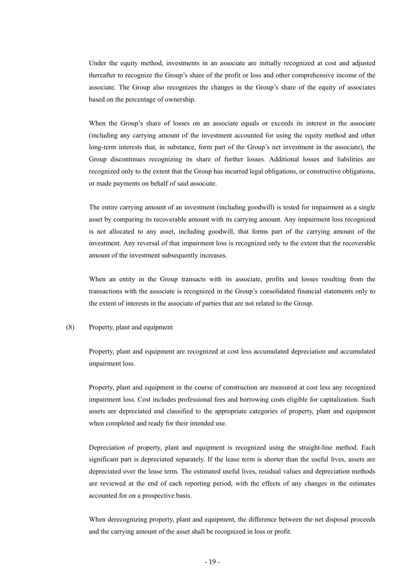Under the equity method, investments in an associate are initially recognized at cost and adjusted thereafter to recognize the Group's share of the profit or loss and other comprehensive income of the associate. The Group also recognizes the changes in the Group's share of the equity of associates based on the percentage of ownership.

When the Group's share of losses on an associate equals or exceeds its interest in the associate (including any carrying amount of the investment accounted for using the equity method and other long-term interests that, in substance, form part of the Group's net investment in the associate), the Group discontinues recognizing its share of further losses. Additional losses and liabilities are recognized only to the extent that the Group has incurred legal obligations, or constructive obligations, or made payments on behalf of said associate.

The entire carrying amount of an investment (including goodwill) is tested for impairment as a single asset by comparing its recoverable amount with its carrying amount. Any impairment loss recognized is not allocated to any asset, including goodwill, that forms part of the carrying amount of the investment. Any reversal of that impairment loss is recognized only to the extent that the recoverable amount of the investment subsequently increases.

When an entity in the Group transacts with its associate, profits and losses resulting from the transactions with the associate is recognized in the Group's consolidated financial statements only to the extent of interests in the associate of parties that are not related to the Group.

#### (8) Property, plant and equipment

Property, plant and equipment are recognized at cost less accumulated depreciation and accumulated impairment loss.

Property, plant and equipment in the course of construction are measured at cost less any recognized impairment loss. Cost includes professional fees and borrowing costs eligible for capitalization. Such assets are depreciated and classified to the appropriate categories of property, plant and equipment when completed and ready for their intended use.

Depreciation of property, plant and equipment is recognized using the straight-line method. Each significant part is depreciated separately. If the lease term is shorter than the useful lives, assets are depreciated over the lease term. The estimated useful lives, residual values and depreciation methods are reviewed at the end of each reporting period, with the effects of any changes in the estimates accounted for on a prospective basis.

When derecognizing property, plant and equipment, the difference between the net disposal proceeds and the carrying amount of the asset shall be recognized in loss or profit.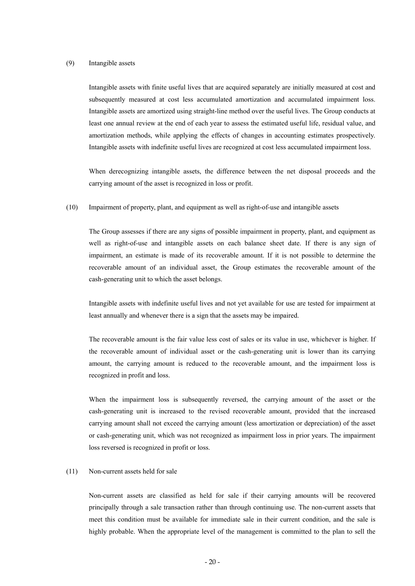#### (9) Intangible assets

Intangible assets with finite useful lives that are acquired separately are initially measured at cost and subsequently measured at cost less accumulated amortization and accumulated impairment loss. Intangible assets are amortized using straight-line method over the useful lives. The Group conducts at least one annual review at the end of each year to assess the estimated useful life, residual value, and amortization methods, while applying the effects of changes in accounting estimates prospectively. Intangible assets with indefinite useful lives are recognized at cost less accumulated impairment loss.

When derecognizing intangible assets, the difference between the net disposal proceeds and the carrying amount of the asset is recognized in loss or profit.

(10) Impairment of property, plant, and equipment as well as right-of-use and intangible assets

The Group assesses if there are any signs of possible impairment in property, plant, and equipment as well as right-of-use and intangible assets on each balance sheet date. If there is any sign of impairment, an estimate is made of its recoverable amount. If it is not possible to determine the recoverable amount of an individual asset, the Group estimates the recoverable amount of the cash-generating unit to which the asset belongs.

Intangible assets with indefinite useful lives and not yet available for use are tested for impairment at least annually and whenever there is a sign that the assets may be impaired.

The recoverable amount is the fair value less cost of sales or its value in use, whichever is higher. If the recoverable amount of individual asset or the cash-generating unit is lower than its carrying amount, the carrying amount is reduced to the recoverable amount, and the impairment loss is recognized in profit and loss.

When the impairment loss is subsequently reversed, the carrying amount of the asset or the cash-generating unit is increased to the revised recoverable amount, provided that the increased carrying amount shall not exceed the carrying amount (less amortization or depreciation) of the asset or cash-generating unit, which was not recognized as impairment loss in prior years. The impairment loss reversed is recognized in profit or loss.

#### (11) Non-current assets held for sale

Non-current assets are classified as held for sale if their carrying amounts will be recovered principally through a sale transaction rather than through continuing use. The non-current assets that meet this condition must be available for immediate sale in their current condition, and the sale is highly probable. When the appropriate level of the management is committed to the plan to sell the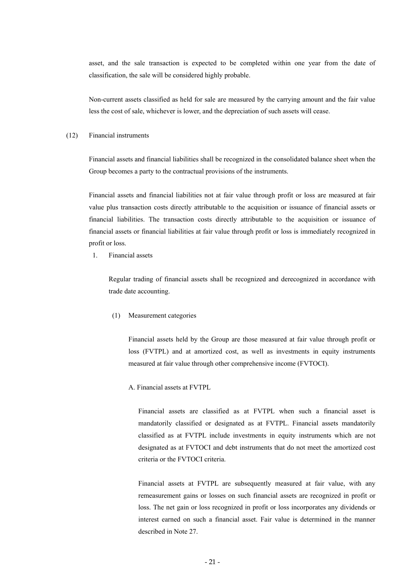asset, and the sale transaction is expected to be completed within one year from the date of classification, the sale will be considered highly probable.

Non-current assets classified as held for sale are measured by the carrying amount and the fair value less the cost of sale, whichever is lower, and the depreciation of such assets will cease.

#### (12) Financial instruments

Financial assets and financial liabilities shall be recognized in the consolidated balance sheet when the Group becomes a party to the contractual provisions of the instruments.

Financial assets and financial liabilities not at fair value through profit or loss are measured at fair value plus transaction costs directly attributable to the acquisition or issuance of financial assets or financial liabilities. The transaction costs directly attributable to the acquisition or issuance of financial assets or financial liabilities at fair value through profit or loss is immediately recognized in profit or loss.

1. Financial assets

Regular trading of financial assets shall be recognized and derecognized in accordance with trade date accounting.

(1) Measurement categories

Financial assets held by the Group are those measured at fair value through profit or loss (FVTPL) and at amortized cost, as well as investments in equity instruments measured at fair value through other comprehensive income (FVTOCI).

A. Financial assets at FVTPL

Financial assets are classified as at FVTPL when such a financial asset is mandatorily classified or designated as at FVTPL. Financial assets mandatorily classified as at FVTPL include investments in equity instruments which are not designated as at FVTOCI and debt instruments that do not meet the amortized cost criteria or the FVTOCI criteria.

Financial assets at FVTPL are subsequently measured at fair value, with any remeasurement gains or losses on such financial assets are recognized in profit or loss. The net gain or loss recognized in profit or loss incorporates any dividends or interest earned on such a financial asset. Fair value is determined in the manner described in Note 27.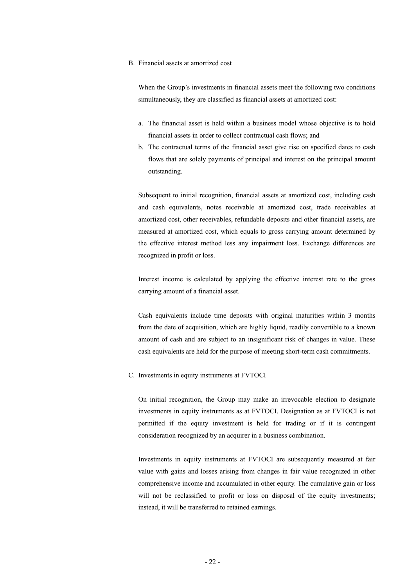#### B. Financial assets at amortized cost

When the Group's investments in financial assets meet the following two conditions simultaneously, they are classified as financial assets at amortized cost:

- a. The financial asset is held within a business model whose objective is to hold financial assets in order to collect contractual cash flows; and
- b. The contractual terms of the financial asset give rise on specified dates to cash flows that are solely payments of principal and interest on the principal amount outstanding.

Subsequent to initial recognition, financial assets at amortized cost, including cash and cash equivalents, notes receivable at amortized cost, trade receivables at amortized cost, other receivables, refundable deposits and other financial assets, are measured at amortized cost, which equals to gross carrying amount determined by the effective interest method less any impairment loss. Exchange differences are recognized in profit or loss.

Interest income is calculated by applying the effective interest rate to the gross carrying amount of a financial asset.

Cash equivalents include time deposits with original maturities within 3 months from the date of acquisition, which are highly liquid, readily convertible to a known amount of cash and are subject to an insignificant risk of changes in value. These cash equivalents are held for the purpose of meeting short-term cash commitments.

C. Investments in equity instruments at FVTOCI

On initial recognition, the Group may make an irrevocable election to designate investments in equity instruments as at FVTOCI. Designation as at FVTOCI is not permitted if the equity investment is held for trading or if it is contingent consideration recognized by an acquirer in a business combination.

Investments in equity instruments at FVTOCI are subsequently measured at fair value with gains and losses arising from changes in fair value recognized in other comprehensive income and accumulated in other equity. The cumulative gain or loss will not be reclassified to profit or loss on disposal of the equity investments; instead, it will be transferred to retained earnings.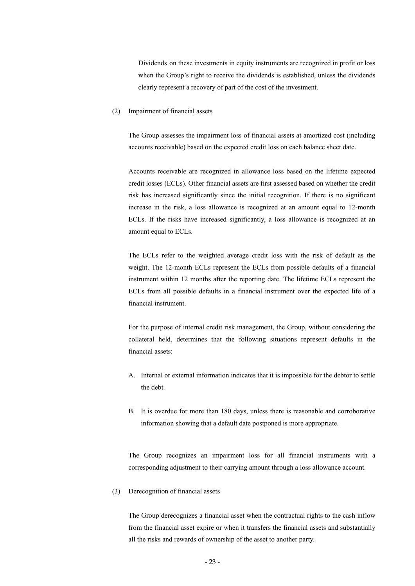Dividends on these investments in equity instruments are recognized in profit or loss when the Group's right to receive the dividends is established, unless the dividends clearly represent a recovery of part of the cost of the investment.

(2) Impairment of financial assets

The Group assesses the impairment loss of financial assets at amortized cost (including accounts receivable) based on the expected credit loss on each balance sheet date.

Accounts receivable are recognized in allowance loss based on the lifetime expected credit losses (ECLs). Other financial assets are first assessed based on whether the credit risk has increased significantly since the initial recognition. If there is no significant increase in the risk, a loss allowance is recognized at an amount equal to 12-month ECLs. If the risks have increased significantly, a loss allowance is recognized at an amount equal to ECLs.

The ECLs refer to the weighted average credit loss with the risk of default as the weight. The 12-month ECLs represent the ECLs from possible defaults of a financial instrument within 12 months after the reporting date. The lifetime ECLs represent the ECLs from all possible defaults in a financial instrument over the expected life of a financial instrument.

For the purpose of internal credit risk management, the Group, without considering the collateral held, determines that the following situations represent defaults in the financial assets:

- A. Internal or external information indicates that it is impossible for the debtor to settle the debt.
- B. It is overdue for more than 180 days, unless there is reasonable and corroborative information showing that a default date postponed is more appropriate.

The Group recognizes an impairment loss for all financial instruments with a corresponding adjustment to their carrying amount through a loss allowance account.

(3) Derecognition of financial assets

The Group derecognizes a financial asset when the contractual rights to the cash inflow from the financial asset expire or when it transfers the financial assets and substantially all the risks and rewards of ownership of the asset to another party.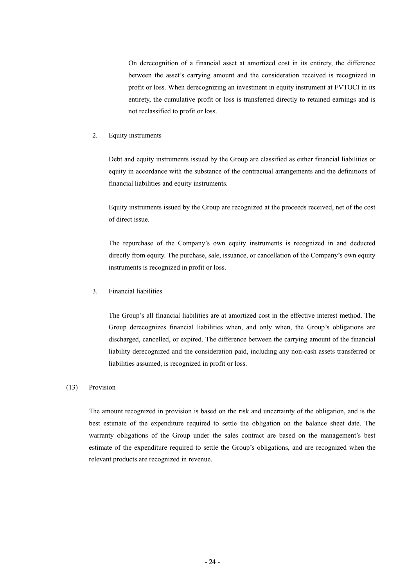On derecognition of a financial asset at amortized cost in its entirety, the difference between the asset's carrying amount and the consideration received is recognized in profit or loss. When derecognizing an investment in equity instrument at FVTOCI in its entirety, the cumulative profit or loss is transferred directly to retained earnings and is not reclassified to profit or loss.

#### 2. Equity instruments

Debt and equity instruments issued by the Group are classified as either financial liabilities or equity in accordance with the substance of the contractual arrangements and the definitions of financial liabilities and equity instruments.

Equity instruments issued by the Group are recognized at the proceeds received, net of the cost of direct issue.

The repurchase of the Company's own equity instruments is recognized in and deducted directly from equity. The purchase, sale, issuance, or cancellation of the Company's own equity instruments is recognized in profit or loss.

#### 3. Financial liabilities

The Group's all financial liabilities are at amortized cost in the effective interest method. The Group derecognizes financial liabilities when, and only when, the Group's obligations are discharged, cancelled, or expired. The difference between the carrying amount of the financial liability derecognized and the consideration paid, including any non-cash assets transferred or liabilities assumed, is recognized in profit or loss.

#### (13) Provision

The amount recognized in provision is based on the risk and uncertainty of the obligation, and is the best estimate of the expenditure required to settle the obligation on the balance sheet date. The warranty obligations of the Group under the sales contract are based on the management's best estimate of the expenditure required to settle the Group's obligations, and are recognized when the relevant products are recognized in revenue.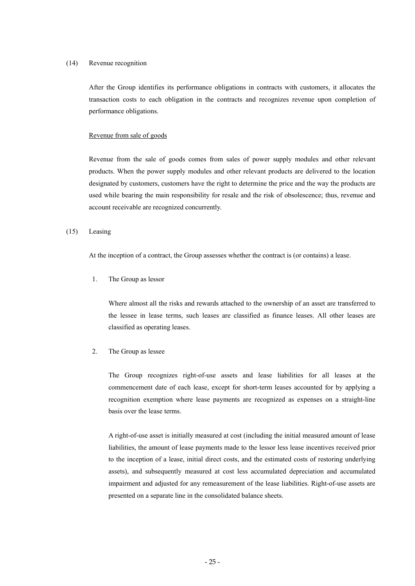#### (14) Revenue recognition

After the Group identifies its performance obligations in contracts with customers, it allocates the transaction costs to each obligation in the contracts and recognizes revenue upon completion of performance obligations.

#### Revenue from sale of goods

Revenue from the sale of goods comes from sales of power supply modules and other relevant products. When the power supply modules and other relevant products are delivered to the location designated by customers, customers have the right to determine the price and the way the products are used while bearing the main responsibility for resale and the risk of obsolescence; thus, revenue and account receivable are recognized concurrently.

#### (15) Leasing

At the inception of a contract, the Group assesses whether the contract is (or contains) a lease.

1. The Group as lessor

Where almost all the risks and rewards attached to the ownership of an asset are transferred to the lessee in lease terms, such leases are classified as finance leases. All other leases are classified as operating leases.

#### 2. The Group as lessee

The Group recognizes right-of-use assets and lease liabilities for all leases at the commencement date of each lease, except for short-term leases accounted for by applying a recognition exemption where lease payments are recognized as expenses on a straight-line basis over the lease terms.

A right-of-use asset is initially measured at cost (including the initial measured amount of lease liabilities, the amount of lease payments made to the lessor less lease incentives received prior to the inception of a lease, initial direct costs, and the estimated costs of restoring underlying assets), and subsequently measured at cost less accumulated depreciation and accumulated impairment and adjusted for any remeasurement of the lease liabilities. Right-of-use assets are presented on a separate line in the consolidated balance sheets.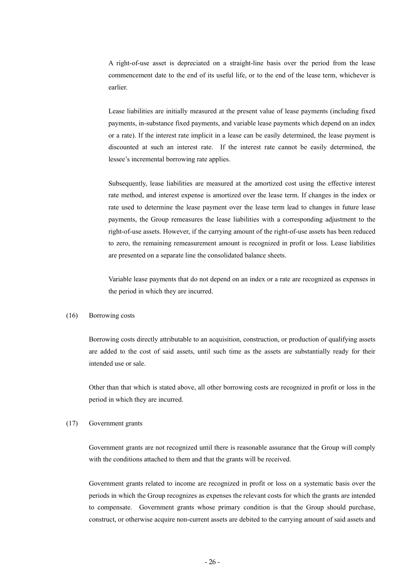A right-of-use asset is depreciated on a straight-line basis over the period from the lease commencement date to the end of its useful life, or to the end of the lease term, whichever is earlier.

Lease liabilities are initially measured at the present value of lease payments (including fixed payments, in-substance fixed payments, and variable lease payments which depend on an index or a rate). If the interest rate implicit in a lease can be easily determined, the lease payment is discounted at such an interest rate. If the interest rate cannot be easily determined, the lessee's incremental borrowing rate applies.

Subsequently, lease liabilities are measured at the amortized cost using the effective interest rate method, and interest expense is amortized over the lease term. If changes in the index or rate used to determine the lease payment over the lease term lead to changes in future lease payments, the Group remeasures the lease liabilities with a corresponding adjustment to the right-of-use assets. However, if the carrying amount of the right-of-use assets has been reduced to zero, the remaining remeasurement amount is recognized in profit or loss. Lease liabilities are presented on a separate line the consolidated balance sheets.

Variable lease payments that do not depend on an index or a rate are recognized as expenses in the period in which they are incurred.

#### (16) Borrowing costs

Borrowing costs directly attributable to an acquisition, construction, or production of qualifying assets are added to the cost of said assets, until such time as the assets are substantially ready for their intended use or sale.

Other than that which is stated above, all other borrowing costs are recognized in profit or loss in the period in which they are incurred.

#### (17) Government grants

Government grants are not recognized until there is reasonable assurance that the Group will comply with the conditions attached to them and that the grants will be received.

Government grants related to income are recognized in profit or loss on a systematic basis over the periods in which the Group recognizes as expenses the relevant costs for which the grants are intended to compensate. Government grants whose primary condition is that the Group should purchase, construct, or otherwise acquire non-current assets are debited to the carrying amount of said assets and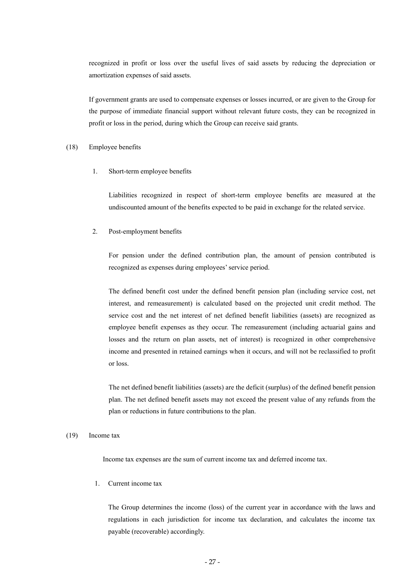recognized in profit or loss over the useful lives of said assets by reducing the depreciation or amortization expenses of said assets.

If government grants are used to compensate expenses or losses incurred, or are given to the Group for the purpose of immediate financial support without relevant future costs, they can be recognized in profit or loss in the period, during which the Group can receive said grants.

#### (18) Employee benefits

1. Short-term employee benefits

Liabilities recognized in respect of short-term employee benefits are measured at the undiscounted amount of the benefits expected to be paid in exchange for the related service.

2. Post-employment benefits

For pension under the defined contribution plan, the amount of pension contributed is recognized as expenses during employees' service period.

The defined benefit cost under the defined benefit pension plan (including service cost, net interest, and remeasurement) is calculated based on the projected unit credit method. The service cost and the net interest of net defined benefit liabilities (assets) are recognized as employee benefit expenses as they occur. The remeasurement (including actuarial gains and losses and the return on plan assets, net of interest) is recognized in other comprehensive income and presented in retained earnings when it occurs, and will not be reclassified to profit or loss.

The net defined benefit liabilities (assets) are the deficit (surplus) of the defined benefit pension plan. The net defined benefit assets may not exceed the present value of any refunds from the plan or reductions in future contributions to the plan.

#### (19) Income tax

Income tax expenses are the sum of current income tax and deferred income tax.

1. Current income tax

The Group determines the income (loss) of the current year in accordance with the laws and regulations in each jurisdiction for income tax declaration, and calculates the income tax payable (recoverable) accordingly.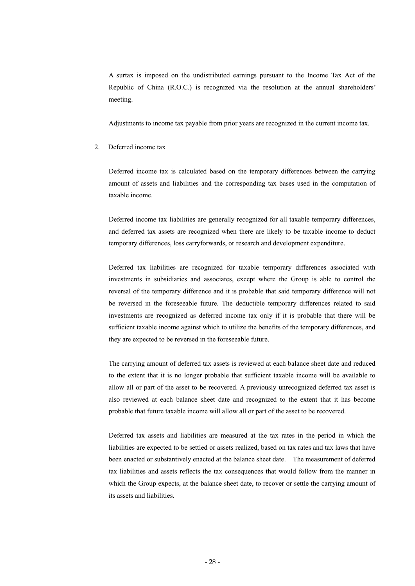A surtax is imposed on the undistributed earnings pursuant to the Income Tax Act of the Republic of China (R.O.C.) is recognized via the resolution at the annual shareholders' meeting.

Adjustments to income tax payable from prior years are recognized in the current income tax.

#### 2. Deferred income tax

Deferred income tax is calculated based on the temporary differences between the carrying amount of assets and liabilities and the corresponding tax bases used in the computation of taxable income.

Deferred income tax liabilities are generally recognized for all taxable temporary differences, and deferred tax assets are recognized when there are likely to be taxable income to deduct temporary differences, loss carryforwards, or research and development expenditure.

Deferred tax liabilities are recognized for taxable temporary differences associated with investments in subsidiaries and associates, except where the Group is able to control the reversal of the temporary difference and it is probable that said temporary difference will not be reversed in the foreseeable future. The deductible temporary differences related to said investments are recognized as deferred income tax only if it is probable that there will be sufficient taxable income against which to utilize the benefits of the temporary differences, and they are expected to be reversed in the foreseeable future.

The carrying amount of deferred tax assets is reviewed at each balance sheet date and reduced to the extent that it is no longer probable that sufficient taxable income will be available to allow all or part of the asset to be recovered. A previously unrecognized deferred tax asset is also reviewed at each balance sheet date and recognized to the extent that it has become probable that future taxable income will allow all or part of the asset to be recovered.

Deferred tax assets and liabilities are measured at the tax rates in the period in which the liabilities are expected to be settled or assets realized, based on tax rates and tax laws that have been enacted or substantively enacted at the balance sheet date. The measurement of deferred tax liabilities and assets reflects the tax consequences that would follow from the manner in which the Group expects, at the balance sheet date, to recover or settle the carrying amount of its assets and liabilities.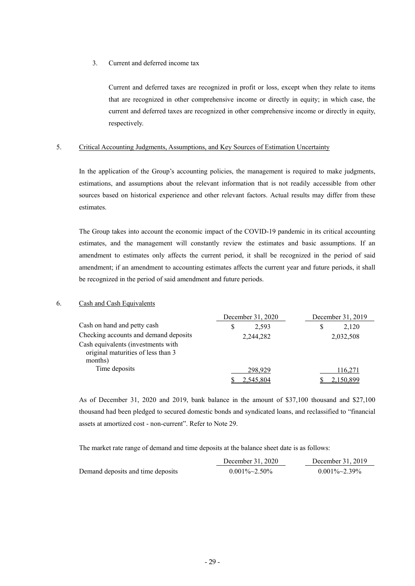3. Current and deferred income tax

Current and deferred taxes are recognized in profit or loss, except when they relate to items that are recognized in other comprehensive income or directly in equity; in which case, the current and deferred taxes are recognized in other comprehensive income or directly in equity, respectively.

#### 5. Critical Accounting Judgments, Assumptions, and Key Sources of Estimation Uncertainty

In the application of the Group's accounting policies, the management is required to make judgments, estimations, and assumptions about the relevant information that is not readily accessible from other sources based on historical experience and other relevant factors. Actual results may differ from these estimates.

The Group takes into account the economic impact of the COVID-19 pandemic in its critical accounting estimates, and the management will constantly review the estimates and basic assumptions. If an amendment to estimates only affects the current period, it shall be recognized in the period of said amendment; if an amendment to accounting estimates affects the current year and future periods, it shall be recognized in the period of said amendment and future periods.

#### 6. Cash and Cash Equivalents

|                                                                                     | December 31, 2020 | December 31, 2019 |
|-------------------------------------------------------------------------------------|-------------------|-------------------|
| Cash on hand and petty cash                                                         | 2.593             | 2.120<br>S        |
| Checking accounts and demand deposits                                               | 2,244,282         | 2,032,508         |
| Cash equivalents (investments with<br>original maturities of less than 3<br>months) |                   |                   |
| Time deposits                                                                       | 298.929           | 116,271           |
|                                                                                     | 2,545,804         | 2,150,899         |

As of December 31, 2020 and 2019, bank balance in the amount of \$37,100 thousand and \$27,100 thousand had been pledged to secured domestic bonds and syndicated loans, and reclassified to "financial assets at amortized cost - non-current". Refer to Note 29.

The market rate range of demand and time deposits at the balance sheet date is as follows:

|                                   | December 31, 2020     | December 31, 2019     |
|-----------------------------------|-----------------------|-----------------------|
| Demand deposits and time deposits | $0.001\% \sim 2.50\%$ | $0.001\% \sim 2.39\%$ |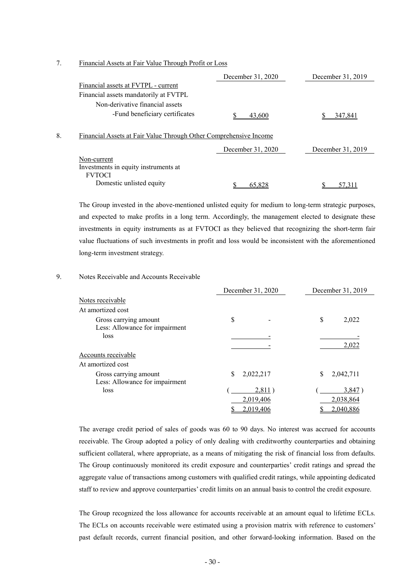7. Financial Assets at Fair Value Through Profit or Loss

|    |                                                                   | December 31, 2020 | December 31, 2019 |
|----|-------------------------------------------------------------------|-------------------|-------------------|
|    | Financial assets at FVTPL - current                               |                   |                   |
|    | Financial assets mandatorily at FVTPL                             |                   |                   |
|    | Non-derivative financial assets                                   |                   |                   |
|    | -Fund beneficiary certificates                                    | 43,600            | 347,841           |
| 8. | Financial Assets at Fair Value Through Other Comprehensive Income |                   |                   |
|    |                                                                   | December 31, 2020 | December 31, 2019 |
|    | Non-current                                                       |                   |                   |
|    | Investments in equity instruments at                              |                   |                   |
|    | <b>FVTOCI</b>                                                     |                   |                   |
|    | Domestic unlisted equity                                          | 65.828            | 57.311            |

The Group invested in the above-mentioned unlisted equity for medium to long-term strategic purposes, and expected to make profits in a long term. Accordingly, the management elected to designate these investments in equity instruments as at FVTOCI as they believed that recognizing the short-term fair value fluctuations of such investments in profit and loss would be inconsistent with the aforementioned long-term investment strategy.

#### 9. Notes Receivable and Accounts Receivable

|                                | December 31, 2020 | December 31, 2019 |
|--------------------------------|-------------------|-------------------|
| Notes receivable               |                   |                   |
| At amortized cost              |                   |                   |
| Gross carrying amount          | \$                | \$<br>2,022       |
| Less: Allowance for impairment |                   |                   |
| loss                           |                   |                   |
|                                |                   | 2,022             |
| Accounts receivable            |                   |                   |
| At amortized cost              |                   |                   |
| Gross carrying amount          | \$<br>2,022,217   | 2,042,711<br>S    |
| Less: Allowance for impairment |                   |                   |
| loss                           | 2,811)            | 3,847             |
|                                | 2,019,406         | 2,038,864         |
|                                | 2,019,406         | 2,040,886         |

The average credit period of sales of goods was 60 to 90 days. No interest was accrued for accounts receivable. The Group adopted a policy of only dealing with creditworthy counterparties and obtaining sufficient collateral, where appropriate, as a means of mitigating the risk of financial loss from defaults. The Group continuously monitored its credit exposure and counterparties' credit ratings and spread the aggregate value of transactions among customers with qualified credit ratings, while appointing dedicated staff to review and approve counterparties' credit limits on an annual basis to control the credit exposure.

The Group recognized the loss allowance for accounts receivable at an amount equal to lifetime ECLs. The ECLs on accounts receivable were estimated using a provision matrix with reference to customers' past default records, current financial position, and other forward-looking information. Based on the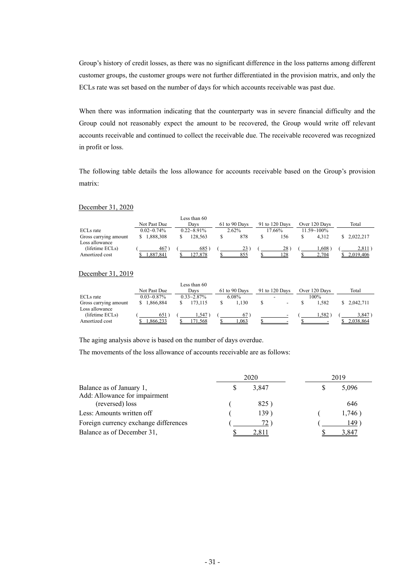Group's history of credit losses, as there was no significant difference in the loss patterns among different customer groups, the customer groups were not further differentiated in the provision matrix, and only the ECLs rate was set based on the number of days for which accounts receivable was past due.

When there was information indicating that the counterparty was in severe financial difficulty and the Group could not reasonably expect the amount to be recovered, the Group would write off relevant accounts receivable and continued to collect the receivable due. The receivable recovered was recognized in profit or loss.

The following table details the loss allowance for accounts receivable based on the Group's provision matrix:

#### December 31, 2020

|                       |                 | Less than 60    |               |                |                 |           |
|-----------------------|-----------------|-----------------|---------------|----------------|-----------------|-----------|
|                       | Not Past Due    | Davs            | 61 to 90 Days | 91 to 120 Days | Over 120 Days   | Total     |
| ECL <sub>s</sub> rate | $0.02 - 0.74\%$ | $0.22 - 8.91\%$ | 2.62%         | 17.66%         | $11.59 - 100\%$ |           |
| Gross carrying amount | 1.888.308       | 28.563          | 878           | 156            | 4.312           | 2.022.217 |
| Loss allowance        |                 |                 |               |                |                 |           |
| (lifetime ECLs)       | 467             | 685             | 23            | 28             | .608            | 2,811     |
| Amortized cost        | 887.841         | .878            | 855           | 28             | .704            | .019.406  |

#### December 31, 2019

|                       |                 | Less than 60    |               |                          |                   |              |
|-----------------------|-----------------|-----------------|---------------|--------------------------|-------------------|--------------|
|                       | Not Past Due    | Davs            | 61 to 90 Days | 91 to 120 Days           | Over 120 Days     | Total        |
| ECL <sub>s</sub> rate | $0.03 - 0.87\%$ | $0.33 - 2.87\%$ | 6.08%         | -                        | 100%              |              |
| Gross carrying amount | 1,866,884       | 73.115          | .130          |                          | .582              | \$ 2.042.711 |
| Loss allowance        |                 |                 |               |                          |                   |              |
| (lifetime ECLs)       | 651             | .547            | 67)           | $\overline{\phantom{0}}$ | .582 <sup>°</sup> | 3,847        |
| Amortized cost        | .866.233        | '1.568          | .063          |                          |                   | .038.864     |

The aging analysis above is based on the number of days overdue.

The movements of the loss allowance of accounts receivable are as follows:

|                                                           | 2020 |       | 2019 |        |
|-----------------------------------------------------------|------|-------|------|--------|
| Balance as of January 1,<br>Add: Allowance for impairment |      | 3,847 |      | 5,096  |
| (reversed) loss                                           |      | 825)  |      | 646    |
| Less: Amounts written off                                 |      | 139)  |      | 1,746) |
| Foreign currency exchange differences                     |      | 72.   |      | 149    |
| Balance as of December 31,                                |      | 2.811 |      | 3 847  |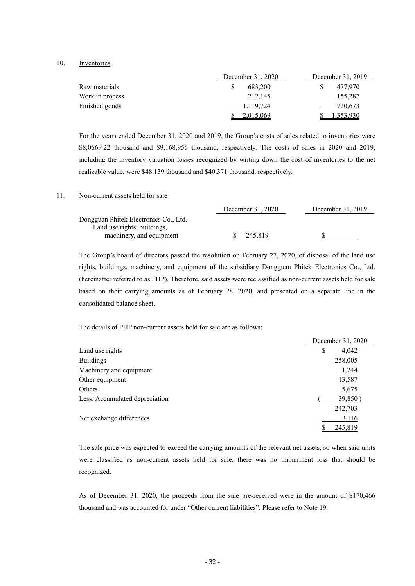#### 10. Inventories

|                 | December 31, 2020 | December 31, 2019 |  |  |
|-----------------|-------------------|-------------------|--|--|
| Raw materials   | 683.200           | 477,970           |  |  |
| Work in process | 212.145           | 155,287           |  |  |
| Finished goods  | 1.119.724         | 720,673           |  |  |
|                 | 2.015.069         | .353.930          |  |  |

For the years ended December 31, 2020 and 2019, the Group's costs of sales related to inventories were \$8,066,422 thousand and \$9,168,956 thousand, respectively. The costs of sales in 2020 and 2019, including the inventory valuation losses recognized by writing down the cost of inventories to the net realizable value, were \$48,139 thousand and \$40,371 thousand, respectively.

#### 11. Non-current assets held for sale

|                                       | December 31, 2020 | December 31, 2019 |
|---------------------------------------|-------------------|-------------------|
| Dongguan Phitek Electronics Co., Ltd. |                   |                   |
| Land use rights, buildings,           |                   |                   |
| machinery, and equipment              | 245.819           | $\sim$            |

The Group's board of directors passed the resolution on February 27, 2020, of disposal of the land use rights, buildings, machinery, and equipment of the subsidiary Dongguan Phitek Electronics Co., Ltd. (hereinafter referred to as PHP). Therefore, said assets were reclassified as non-current assets held for sale based on their carrying amounts as of February 28, 2020, and presented on a separate line in the consolidated balance sheet.

The details of PHP non-current assets held for sale are as follows:

|                                | December 31, 2020 |
|--------------------------------|-------------------|
| Land use rights                | \$<br>4,042       |
| <b>Buildings</b>               | 258,005           |
| Machinery and equipment        | 1,244             |
| Other equipment                | 13,587            |
| Others                         | 5,675             |
| Less: Accumulated depreciation | 39,850)           |
|                                | 242,703           |
| Net exchange differences       | 3,116             |
|                                | 245,819           |

The sale price was expected to exceed the carrying amounts of the relevant net assets, so when said units were classified as non-current assets held for sale, there was no impairment loss that should be recognized.

As of December 31, 2020, the proceeds from the sale pre-received were in the amount of \$170,466 thousand and was accounted for under "Other current liabilities". Please refer to Note 19.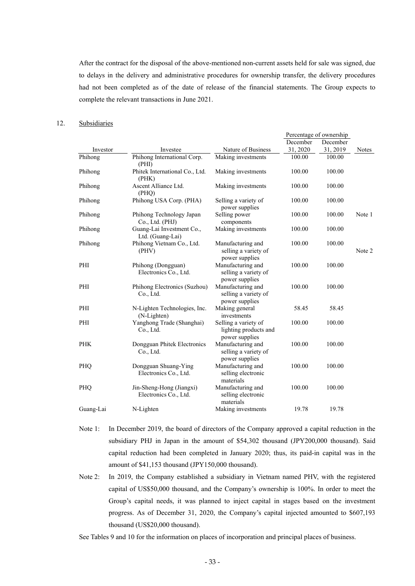After the contract for the disposal of the above-mentioned non-current assets held for sale was signed, due to delays in the delivery and administrative procedures for ownership transfer, the delivery procedures had not been completed as of the date of release of the financial statements. The Group expects to complete the relevant transactions in June 2021.

### 12. Subsidiaries

|            |                                                   |                                                                 | Percentage of ownership |          |              |
|------------|---------------------------------------------------|-----------------------------------------------------------------|-------------------------|----------|--------------|
|            |                                                   |                                                                 | December                | December |              |
| Investor   | Investee                                          | Nature of Business                                              | 31, 2020                | 31, 2019 | <b>Notes</b> |
| Phihong    | Phihong International Corp.<br>(PHI)              | Making investments                                              | 100.00                  | 100.00   |              |
| Phihong    | Phitek International Co., Ltd.<br>(PHK)           | Making investments                                              | 100.00                  | 100.00   |              |
| Phihong    | Ascent Alliance Ltd.<br>(PHQ)                     | Making investments                                              | 100.00                  | 100.00   |              |
| Phihong    | Phihong USA Corp. (PHA)                           | Selling a variety of<br>power supplies                          | 100.00                  | 100.00   |              |
| Phihong    | Phihong Technology Japan<br>Co., Ltd. (PHJ)       | Selling power<br>components                                     | 100.00                  | 100.00   | Note 1       |
| Phihong    | Guang-Lai Investment Co.,<br>Ltd. (Guang-Lai)     | Making investments                                              | 100.00                  | 100.00   |              |
| Phihong    | Phihong Vietnam Co., Ltd.<br>(PHV)                | Manufacturing and<br>selling a variety of<br>power supplies     | 100.00                  | 100.00   | Note 2       |
| PHI        | Phihong (Dongguan)<br>Electronics Co., Ltd.       | Manufacturing and<br>selling a variety of<br>power supplies     | 100.00                  | 100.00   |              |
| PHI        | Phihong Electronics (Suzhou)<br>Co., Ltd.         | Manufacturing and<br>selling a variety of<br>power supplies     | 100.00                  | 100.00   |              |
| PHI        | N-Lighten Technologies, Inc.<br>(N-Lighten)       | Making general<br>investments                                   | 58.45                   | 58.45    |              |
| PHI        | Yanghong Trade (Shanghai)<br>Co., Ltd.            | Selling a variety of<br>lighting products and<br>power supplies | 100.00                  | 100.00   |              |
| <b>PHK</b> | Dongguan Phitek Electronics<br>Co., Ltd.          | Manufacturing and<br>selling a variety of<br>power supplies     | 100.00                  | 100.00   |              |
| PHQ        | Dongguan Shuang-Ying<br>Electronics Co., Ltd.     | Manufacturing and<br>selling electronic<br>materials            | 100.00                  | 100.00   |              |
| PHQ        | Jin-Sheng-Hong (Jiangxi)<br>Electronics Co., Ltd. | Manufacturing and<br>selling electronic<br>materials            | 100.00                  | 100.00   |              |
| Guang-Lai  | N-Lighten                                         | Making investments                                              | 19.78                   | 19.78    |              |

Note 1: In December 2019, the board of directors of the Company approved a capital reduction in the subsidiary PHJ in Japan in the amount of \$54,302 thousand (JPY200,000 thousand). Said capital reduction had been completed in January 2020; thus, its paid-in capital was in the amount of \$41,153 thousand (JPY150,000 thousand).

Note 2: In 2019, the Company established a subsidiary in Vietnam named PHV, with the registered capital of US\$50,000 thousand, and the Company's ownership is 100%. In order to meet the Group's capital needs, it was planned to inject capital in stages based on the investment progress. As of December 31, 2020, the Company's capital injected amounted to \$607,193 thousand (US\$20,000 thousand).

See Tables 9 and 10 for the information on places of incorporation and principal places of business.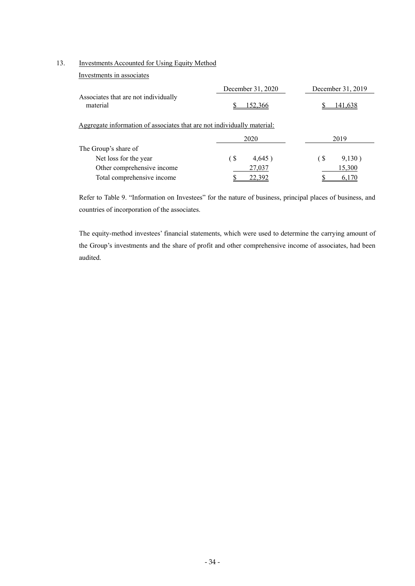#### 13. Investments Accounted for Using Equity Method

Investments in associates

|                                                                         | December 31, 2020 | December 31, 2019                   |
|-------------------------------------------------------------------------|-------------------|-------------------------------------|
| Associates that are not individually<br>material                        | 152,366           | 141,638                             |
| Aggregate information of associates that are not individually material: |                   |                                     |
|                                                                         | 2020              | 2019                                |
| The Group's share of                                                    |                   |                                     |
| Net loss for the year                                                   | (\$<br>4,645)     | $\left( \text{S} \right)$<br>9,130) |
| Other comprehensive income                                              | 27,037            | 15,300                              |
| Total comprehensive income                                              | 22.392            |                                     |

Refer to Table 9. "Information on Investees" for the nature of business, principal places of business, and countries of incorporation of the associates.

The equity-method investees' financial statements, which were used to determine the carrying amount of the Group's investments and the share of profit and other comprehensive income of associates, had been audited.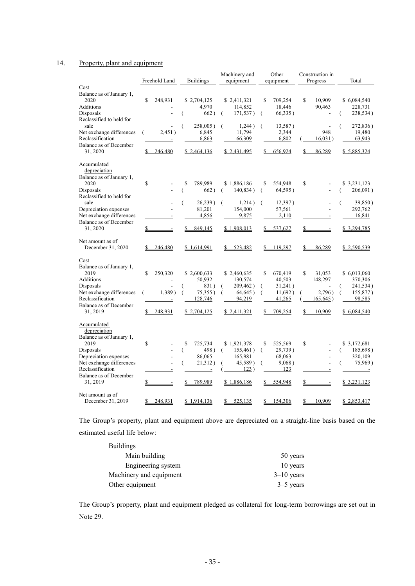## 14. Property, plant and equipment

|                                  |               |                              |                          | Machinery and                |    | Other            | Construction in |                    |
|----------------------------------|---------------|------------------------------|--------------------------|------------------------------|----|------------------|-----------------|--------------------|
|                                  | Freehold Land |                              | <b>Buildings</b>         | equipment                    |    | equipment        | Progress        | Total              |
| Cost                             |               |                              |                          |                              |    |                  |                 |                    |
| Balance as of January 1,         |               |                              |                          |                              |    |                  |                 |                    |
| 2020                             | \$<br>248,931 |                              | \$2,704,125              | \$2,411,321                  | S  | 709,254          | \$<br>10.909    | \$6,084,540        |
| Additions                        |               |                              | 4,970                    | 114,852                      |    | 18,446           | 90,463          | 228,731            |
| Disposals                        |               |                              | 662)                     | 171,537)<br>- (              | -6 | 66,335)          |                 | 238,534)           |
| Reclassified to held for<br>sale |               |                              |                          |                              |    |                  |                 |                    |
| Net exchange differences         | (             | 2,451)                       | 258,005)<br>6,845        | 1,244)<br>$\left($<br>11,794 | -6 | 13,587)<br>2,344 | 948             | 272,836)<br>19,480 |
| Reclassification                 |               | $\qquad \qquad \blacksquare$ | 6,863                    | 66,309                       |    | 6,802            | 16,031)         | 63,943             |
| Balance as of December           |               |                              |                          |                              |    |                  |                 |                    |
| 31, 2020                         | 246,480       |                              | \$2,464,136              | \$2,431,495                  | S. | 656,924          | \$<br>86,289    | \$5,885,324        |
|                                  |               |                              |                          |                              |    |                  |                 |                    |
| <b>Accumulated</b>               |               |                              |                          |                              |    |                  |                 |                    |
| depreciation                     |               |                              |                          |                              |    |                  |                 |                    |
| Balance as of January 1,         |               |                              |                          |                              |    |                  |                 |                    |
| 2020                             | $\mathbf S$   |                              | \$<br>789.989            | \$1,886,186                  | \$ | 554,948          | \$              | \$ 3,231,123       |
| Disposals                        |               |                              | 662)                     | 140,834)<br>-6               | -6 | 64,595)          |                 | 206,091)<br>(      |
| Reclassified to held for         |               |                              |                          |                              |    |                  |                 |                    |
| sale                             |               |                              | 26,239)<br>€             | 1,214)                       |    | 12,397)          |                 | 39,850)<br>(       |
| Depreciation expenses            |               |                              | 81,201                   | 154,000                      |    | 57,561           |                 | 292,762            |
| Net exchange differences         |               |                              | 4,856                    | 9,875                        |    | 2,110            |                 | 16,841             |
| Balance as of December           |               |                              |                          |                              |    |                  |                 |                    |
| 31, 2020                         | \$            | $\overline{a}$               | \$849,145                | \$1,908,013                  |    | \$537,627        | \$<br>$\equiv$  | \$ 3,294,785       |
|                                  |               |                              |                          |                              |    |                  |                 |                    |
| Net amount as of                 |               |                              |                          |                              |    |                  |                 |                    |
| December 31, 2020                | 246,480       |                              | \$1,614,991              | \$523,482                    | \$ | 119,297          | \$<br>86,289    | \$2,590,539        |
|                                  |               |                              |                          |                              |    |                  |                 |                    |
| Cost                             |               |                              |                          |                              |    |                  |                 |                    |
| Balance as of January 1,         |               |                              |                          |                              |    |                  |                 |                    |
| 2019                             | \$<br>250,320 |                              | \$2,600,633              | \$2,460,635                  | \$ | 670,419          | \$<br>31,053    | \$6,013,060        |
| Additions                        |               |                              | 50,932                   | 130,574                      |    | 40,503           | 148,297         | 370,306            |
| Disposals                        |               |                              | 831)                     | 209,462)<br>€                | €  | 31,241)          |                 | 241,534)<br>(      |
| Net exchange differences         | (             | 1,389)                       | 75,355)                  | 64,645)<br>(                 | (  | 11,692)          | 2,796)          | 155,877)<br>(      |
| Reclassification                 |               | $\blacksquare$               | 128,746                  | 94,219                       |    | 41,265           | 165,645)        | 98,585             |
| Balance as of December           |               |                              |                          |                              |    |                  |                 |                    |
| 31, 2019                         | 248,931       |                              | \$2,704,125              | \$2,411,321                  | S. | 709,254          | \$<br>10.909    | \$6,084,540        |
|                                  |               |                              |                          |                              |    |                  |                 |                    |
| Accumulated                      |               |                              |                          |                              |    |                  |                 |                    |
| depreciation                     |               |                              |                          |                              |    |                  |                 |                    |
| Balance as of January 1,<br>2019 | \$            |                              | \$<br>725,734            | \$1,921,378                  | S  | 525,569          | \$              | \$3,172,681        |
| Disposals                        |               |                              | 498)                     | 155,461)<br>-6               | -6 | 29,739)          |                 | 185,698)           |
| Depreciation expenses            |               |                              | €<br>86,065              | 165,981                      |    | 68,063           |                 | (<br>320,109       |
| Net exchange differences         |               |                              | 21,312)<br>€             | 45,589)                      |    | 9,068)           |                 | 75,969)            |
| Reclassification                 |               |                              | $\overline{\phantom{a}}$ | 123)                         |    | 123              |                 |                    |
| Balance as of December           |               |                              |                          |                              |    |                  |                 |                    |
| 31, 2019                         | \$            |                              | 789,989<br>\$            | \$1,886,186                  |    | 554,948          | \$<br>$\equiv$  | \$3,231,123        |
|                                  |               |                              |                          |                              |    |                  |                 |                    |
| Net amount as of                 |               |                              |                          |                              |    |                  |                 |                    |
| December 31, 2019                | 248,931       |                              | \$1,914,136              | 525,135<br>\$                | \$ | 154,306          | \$<br>10,909    | \$2,853,417        |
|                                  |               |                              |                          |                              |    |                  |                 |                    |

The Group's property, plant and equipment above are depreciated on a straight-line basis based on the estimated useful life below:

| <b>Buildings</b>        |              |
|-------------------------|--------------|
| Main building           | 50 years     |
| Engineering system      | 10 years     |
| Machinery and equipment | $3-10$ years |
| Other equipment         | $3-5$ years  |

The Group's property, plant and equipment pledged as collateral for long-term borrowings are set out in Note 29.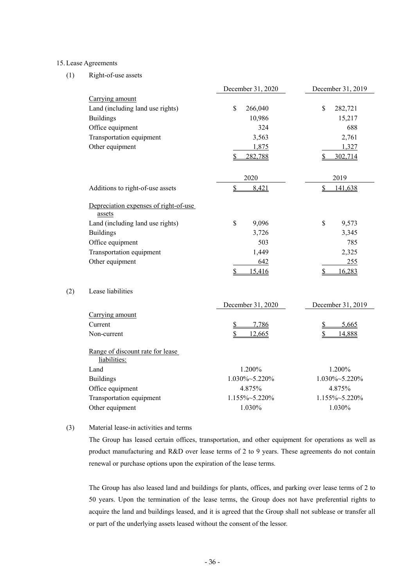#### 15. Lease Agreements

 $(2)$ 

#### (1) Right-of-use assets

|                                                  | December 31, 2020                | December 31, 2019             |
|--------------------------------------------------|----------------------------------|-------------------------------|
| Carrying amount                                  |                                  |                               |
| Land (including land use rights)                 | \$<br>266,040                    | $\mathbf S$<br>282,721        |
| <b>Buildings</b>                                 | 10,986                           | 15,217                        |
| Office equipment                                 | 324                              | 688                           |
| Transportation equipment                         | 3,563                            | 2,761                         |
| Other equipment                                  | 1,875                            | 1,327                         |
|                                                  | \$<br>282,788                    | 302,714                       |
|                                                  | 2020                             | 2019                          |
| Additions to right-of-use assets                 | $\overline{\mathbf{S}}$<br>8,421 | $\mathbf{\hat{S}}$<br>141,638 |
| Depreciation expenses of right-of-use<br>assets  |                                  |                               |
| Land (including land use rights)                 | \$<br>9,096                      | \$<br>9,573                   |
| <b>Buildings</b>                                 | 3,726                            | 3,345                         |
| Office equipment                                 | 503                              | 785                           |
| Transportation equipment                         | 1,449                            | 2,325                         |
| Other equipment                                  | 642                              | 255                           |
|                                                  | \$<br>15,416                     | \$<br>16,283                  |
| Lease liabilities                                |                                  |                               |
|                                                  | December 31, 2020                | December 31, 2019             |
| Carrying amount                                  |                                  |                               |
| Current                                          | \$<br>7,786                      | \$<br>5,665                   |
| Non-current                                      | 12,665<br>\$                     | 14,888<br>\$                  |
| Range of discount rate for lease<br>liabilities: |                                  |                               |
| Land                                             | 1.200%                           | 1.200%                        |
| <b>Buildings</b>                                 | 1.030%~5.220%                    | 1.030%~5.220%                 |
| Office equipment                                 | 4.875%                           | 4.875%                        |
| Transportation equipment                         | 1.155%~5.220%                    | 1.155%~5.220%                 |
| Other equipment                                  | 1.030%                           | 1.030%                        |

#### (3) Material lease-in activities and terms

The Group has leased certain offices, transportation, and other equipment for operations as well as product manufacturing and R&D over lease terms of 2 to 9 years. These agreements do not contain renewal or purchase options upon the expiration of the lease terms.

The Group has also leased land and buildings for plants, offices, and parking over lease terms of 2 to 50 years. Upon the termination of the lease terms, the Group does not have preferential rights to acquire the land and buildings leased, and it is agreed that the Group shall not sublease or transfer all or part of the underlying assets leased without the consent of the lessor.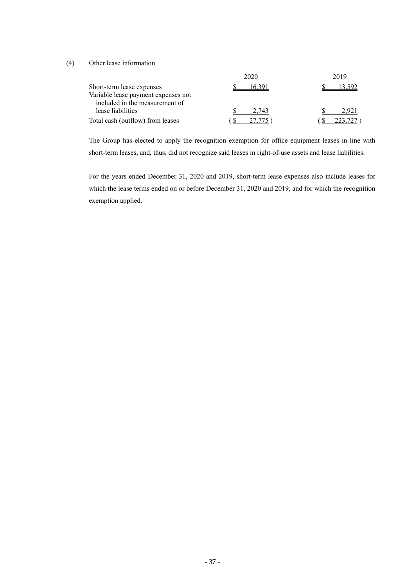## (4) Other lease information

|                                     | 2020  | 2019  |  |
|-------------------------------------|-------|-------|--|
| Short-term lease expenses           |       |       |  |
| Variable lease payment expenses not |       |       |  |
| included in the measurement of      |       |       |  |
| lease liabilities                   | 7 743 | 2.921 |  |
| Total cash (outflow) from leases    |       |       |  |

The Group has elected to apply the recognition exemption for office equipment leases in line with short-term leases, and, thus, did not recognize said leases in right-of-use assets and lease liabilities.

For the years ended December 31, 2020 and 2019, short-term lease expenses also include leases for which the lease terms ended on or before December 31, 2020 and 2019, and for which the recognition exemption applied.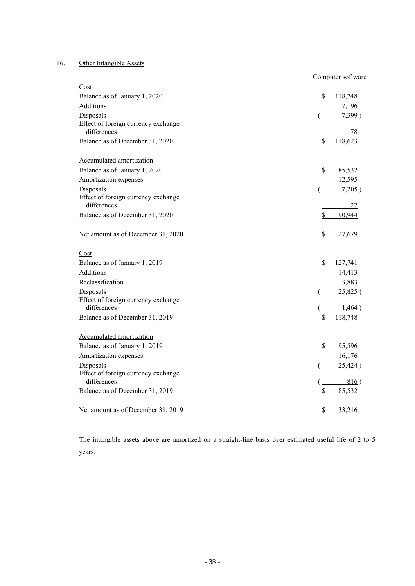# 16. Other Intangible Assets

|                                                    | Computer software |         |
|----------------------------------------------------|-------------------|---------|
| Cost                                               |                   |         |
| Balance as of January 1, 2020                      | \$                | 118,748 |
| <b>Additions</b>                                   |                   | 7,196   |
| Disposals                                          | (                 | 7,399)  |
| Effect of foreign currency exchange                |                   |         |
| differences                                        |                   | 78      |
| Balance as of December 31, 2020                    | \$                | 118,623 |
| Accumulated amortization                           |                   |         |
| Balance as of January 1, 2020                      | \$                | 85,532  |
| Amortization expenses                              |                   | 12,595  |
| Disposals                                          | €                 | 7,205)  |
| Effect of foreign currency exchange<br>differences |                   | 22      |
| Balance as of December 31, 2020                    | \$                | 90,944  |
|                                                    |                   |         |
| Net amount as of December 31, 2020                 | \$                | 27,679  |
|                                                    |                   |         |
| Cost                                               |                   |         |
| Balance as of January 1, 2019                      | \$                | 127,741 |
| <b>Additions</b>                                   |                   | 14,413  |
| Reclassification                                   |                   | 3,883   |
| Disposals                                          | €                 | 25,825) |
| Effect of foreign currency exchange<br>differences |                   |         |
| Balance as of December 31, 2019                    |                   | 1,464)  |
|                                                    | \$                | 118,748 |
| Accumulated amortization                           |                   |         |
| Balance as of January 1, 2019                      | \$                | 95,596  |
| Amortization expenses                              |                   | 16,176  |
| Disposals                                          | (                 | 25,424) |
| Effect of foreign currency exchange                |                   |         |
| differences                                        |                   | 816)    |
| Balance as of December 31, 2019                    | \$                | 85,532  |
| Net amount as of December 31, 2019                 | S                 | 33,216  |
|                                                    |                   |         |

The intangible assets above are amortized on a straight-line basis over estimated useful life of 2 to 5 years.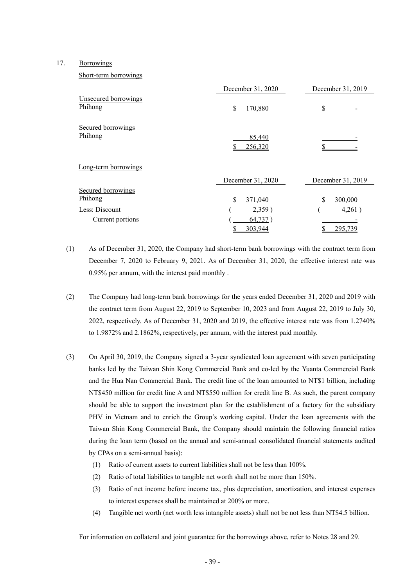#### 17. Borrowings

Short-term borrowings

|                                 | December 31, 2020 | December 31, 2019 |
|---------------------------------|-------------------|-------------------|
| Unsecured borrowings<br>Phihong | \$<br>170,880     | \$                |
| Secured borrowings<br>Phihong   | 85,440<br>256,320 |                   |
| Long-term borrowings            |                   |                   |
|                                 | December 31, 2020 | December 31, 2019 |
| Secured borrowings              |                   |                   |
| Phihong                         | \$<br>371,040     | \$<br>300,000     |
| Less: Discount                  | 2,359)            | 4,261)            |
| Current portions                | 64,737)           |                   |
|                                 | 303,944           | 295,739           |

(1) As of December 31, 2020, the Company had short-term bank borrowings with the contract term from December 7, 2020 to February 9, 2021. As of December 31, 2020, the effective interest rate was 0.95% per annum, with the interest paid monthly .

- (2) The Company had long-term bank borrowings for the years ended December 31, 2020 and 2019 with the contract term from August 22, 2019 to September 10, 2023 and from August 22, 2019 to July 30, 2022, respectively. As of December 31, 2020 and 2019, the effective interest rate was from 1.2740% to 1.9872% and 2.1862%, respectively, per annum, with the interest paid monthly.
- (3) On April 30, 2019, the Company signed a 3-year syndicated loan agreement with seven participating banks led by the Taiwan Shin Kong Commercial Bank and co-led by the Yuanta Commercial Bank and the Hua Nan Commercial Bank. The credit line of the loan amounted to NT\$1 billion, including NT\$450 million for credit line A and NT\$550 million for credit line B. As such, the parent company should be able to support the investment plan for the establishment of a factory for the subsidiary PHV in Vietnam and to enrich the Group's working capital. Under the loan agreements with the Taiwan Shin Kong Commercial Bank, the Company should maintain the following financial ratios during the loan term (based on the annual and semi-annual consolidated financial statements audited by CPAs on a semi-annual basis):
	- (1) Ratio of current assets to current liabilities shall not be less than 100%.
	- (2) Ratio of total liabilities to tangible net worth shall not be more than 150%.
	- (3) Ratio of net income before income tax, plus depreciation, amortization, and interest expenses to interest expenses shall be maintained at 200% or more.
	- (4) Tangible net worth (net worth less intangible assets) shall not be not less than NT\$4.5 billion.

For information on collateral and joint guarantee for the borrowings above, refer to Notes 28 and 29.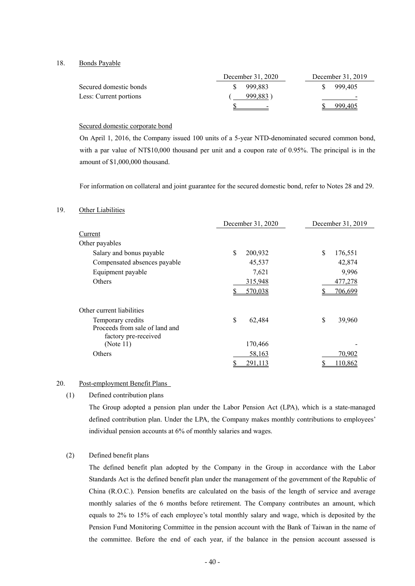18. Bonds Payable

|                        | December 31, 2020 | December 31, 2019        |
|------------------------|-------------------|--------------------------|
| Secured domestic bonds | 999.883           | 999,405                  |
| Less: Current portions | 999,883)          | $\overline{\phantom{0}}$ |
|                        | $\sim$            | 999.405                  |

#### Secured domestic corporate bond

On April 1, 2016, the Company issued 100 units of a 5-year NTD-denominated secured common bond, with a par value of NT\$10,000 thousand per unit and a coupon rate of 0.95%. The principal is in the amount of \$1,000,000 thousand.

For information on collateral and joint guarantee for the secured domestic bond, refer to Notes 28 and 29.

#### 19. Other Liabilities

|                                                        | December 31, 2020 | December 31, 2019 |
|--------------------------------------------------------|-------------------|-------------------|
| Current                                                |                   |                   |
| Other payables                                         |                   |                   |
| Salary and bonus payable                               | \$<br>200,932     | \$<br>176,551     |
| Compensated absences payable                           | 45,537            | 42,874            |
| Equipment payable                                      | 7,621             | 9,996             |
| Others                                                 | 315,948           | 477,278           |
|                                                        | 570,038           | 706,699           |
| Other current liabilities                              |                   |                   |
| Temporary credits                                      | \$<br>62,484      | \$<br>39,960      |
| Proceeds from sale of land and<br>factory pre-received |                   |                   |
| (Note 11)                                              | 170,466           |                   |
| Others                                                 | 58,163            | 70,902            |
|                                                        | 291,113           | 110,862           |

#### 20. Post-employment Benefit Plans

### (1) Defined contribution plans

The Group adopted a pension plan under the Labor Pension Act (LPA), which is a state-managed defined contribution plan. Under the LPA, the Company makes monthly contributions to employees' individual pension accounts at 6% of monthly salaries and wages.

# (2) Defined benefit plans

The defined benefit plan adopted by the Company in the Group in accordance with the Labor Standards Act is the defined benefit plan under the management of the government of the Republic of China (R.O.C.). Pension benefits are calculated on the basis of the length of service and average monthly salaries of the 6 months before retirement. The Company contributes an amount, which equals to 2% to 15% of each employee's total monthly salary and wage, which is deposited by the Pension Fund Monitoring Committee in the pension account with the Bank of Taiwan in the name of the committee. Before the end of each year, if the balance in the pension account assessed is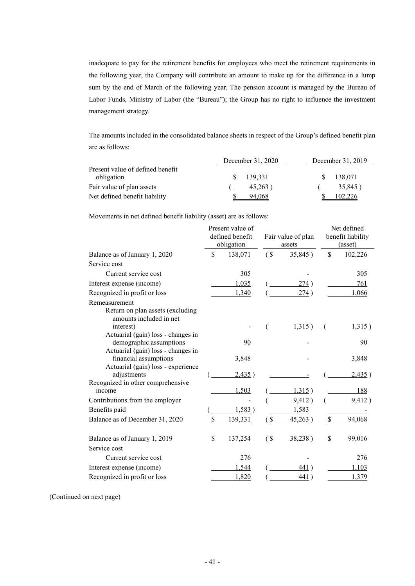inadequate to pay for the retirement benefits for employees who meet the retirement requirements in the following year, the Company will contribute an amount to make up for the difference in a lump sum by the end of March of the following year. The pension account is managed by the Bureau of Labor Funds, Ministry of Labor (the "Bureau"); the Group has no right to influence the investment management strategy.

The amounts included in the consolidated balance sheets in respect of the Group's defined benefit plan are as follows:

|                                                | December 31, 2020 | December 31, 2019 |
|------------------------------------------------|-------------------|-------------------|
| Present value of defined benefit<br>obligation | 139.331           | 138.071           |
| Fair value of plan assets                      | $45,263$ )        | 35,845)           |
| Net defined benefit liability                  | 94.068            | 102.226           |

Movements in net defined benefit liability (asset) are as follows:

|                                                  | Present value of<br>defined benefit<br>obligation |                           | Fair value of plan<br>assets |             | Net defined<br>benefit liability<br>(asset) |
|--------------------------------------------------|---------------------------------------------------|---------------------------|------------------------------|-------------|---------------------------------------------|
| Balance as of January 1, 2020                    | \$<br>138,071                                     | (S)                       | 35,845)                      | $\mathbf S$ | 102,226                                     |
| Service cost                                     |                                                   |                           |                              |             |                                             |
| Current service cost                             | 305                                               |                           |                              |             | 305                                         |
| Interest expense (income)                        | 1,035                                             |                           | 274)                         |             | 761                                         |
| Recognized in profit or loss                     | 1,340                                             |                           | 274)                         |             | 1,066                                       |
| Remeasurement                                    |                                                   |                           |                              |             |                                             |
| Return on plan assets (excluding                 |                                                   |                           |                              |             |                                             |
| amounts included in net                          |                                                   |                           |                              |             |                                             |
| interest)<br>Actuarial (gain) loss - changes in  |                                                   | (                         | 1,315)                       | (           | 1,315)                                      |
| demographic assumptions                          | 90                                                |                           |                              |             | 90                                          |
| Actuarial (gain) loss - changes in               |                                                   |                           |                              |             |                                             |
| financial assumptions                            | 3,848                                             |                           |                              |             | 3,848                                       |
| Actuarial (gain) loss - experience               |                                                   |                           |                              |             |                                             |
| adjustments<br>Recognized in other comprehensive | 2,435)                                            |                           |                              |             | 2,435)                                      |
| income                                           | 1,503                                             |                           | 1,315)                       |             | 188                                         |
| Contributions from the employer                  |                                                   |                           | 9,412)                       |             | 9,412)                                      |
| Benefits paid                                    | 1,583)                                            |                           | 1,583                        |             |                                             |
| Balance as of December 31, 2020                  | 139,331                                           | $\mathbf S$               | 45,263)                      |             | 94,068                                      |
|                                                  |                                                   |                           |                              |             |                                             |
| Balance as of January 1, 2019                    | \$<br>137,254                                     | $\left( \text{S} \right)$ | 38,238)                      | \$          | 99,016                                      |
| Service cost                                     |                                                   |                           |                              |             |                                             |
| Current service cost                             | 276                                               |                           |                              |             | 276                                         |
| Interest expense (income)                        | 1,544                                             |                           | 441)                         |             | 1,103                                       |
| Recognized in profit or loss                     | 1,820                                             |                           | 441)                         |             | 1,379                                       |

(Continued on next page)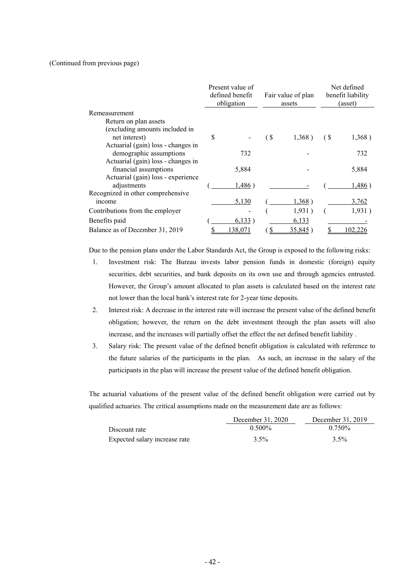#### (Continued from previous page)

|                                    |   | Present value of<br>defined benefit<br>obligation |                           | Fair value of plan<br>assets |                           | Net defined<br>benefit liability<br>(asset) |
|------------------------------------|---|---------------------------------------------------|---------------------------|------------------------------|---------------------------|---------------------------------------------|
| Remeasurement                      |   |                                                   |                           |                              |                           |                                             |
| Return on plan assets              |   |                                                   |                           |                              |                           |                                             |
| (excluding amounts included in     |   |                                                   |                           |                              |                           |                                             |
| net interest)                      | S |                                                   | $\left( \text{S} \right)$ | $1,368$ )                    | $\left( \text{S} \right)$ | 1,368)                                      |
| Actuarial (gain) loss - changes in |   |                                                   |                           |                              |                           |                                             |
| demographic assumptions            |   | 732                                               |                           |                              |                           | 732                                         |
| Actuarial (gain) loss - changes in |   |                                                   |                           |                              |                           |                                             |
| financial assumptions              |   | 5,884                                             |                           |                              |                           | 5,884                                       |
| Actuarial (gain) loss - experience |   |                                                   |                           |                              |                           |                                             |
| adjustments                        |   | 1,486)                                            |                           |                              |                           | 1,486)                                      |
| Recognized in other comprehensive  |   |                                                   |                           |                              |                           |                                             |
| income                             |   | 5,130                                             |                           | 1,368)                       |                           | 3,762                                       |
| Contributions from the employer    |   |                                                   |                           | 1,931)                       |                           | 1,931)                                      |
| Benefits paid                      |   | 6,133)                                            |                           | 6,133                        |                           |                                             |
| Balance as of December 31, 2019    |   | .38,071                                           |                           | 35,845                       |                           | 02.22                                       |

Due to the pension plans under the Labor Standards Act, the Group is exposed to the following risks:

- 1. Investment risk: The Bureau invests labor pension funds in domestic (foreign) equity securities, debt securities, and bank deposits on its own use and through agencies entrusted. However, the Group's amount allocated to plan assets is calculated based on the interest rate not lower than the local bank's interest rate for 2-year time deposits.
- 2. Interest risk: A decrease in the interest rate will increase the present value of the defined benefit obligation; however, the return on the debt investment through the plan assets will also increase, and the increases will partially offset the effect the net defined benefit liability .
- 3. Salary risk: The present value of the defined benefit obligation is calculated with reference to the future salaries of the participants in the plan. As such, an increase in the salary of the participants in the plan will increase the present value of the defined benefit obligation.

The actuarial valuations of the present value of the defined benefit obligation were carried out by qualified actuaries. The critical assumptions made on the measurement date are as follows:

|                               | December 31, 2020 | December 31, 2019 |
|-------------------------------|-------------------|-------------------|
| Discount rate                 | $0.500\%$         | $0.750\%$         |
| Expected salary increase rate | 3.5%              | $3.5\%$           |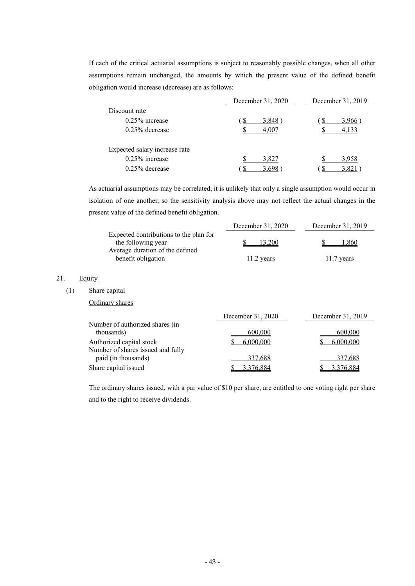If each of the critical actuarial assumptions is subject to reasonably possible changes, when all other assumptions remain unchanged, the amounts by which the present value of the defined benefit obligation would increase (decrease) are as follows:

|                               | December 31, 2020 | December 31, 2019 |
|-------------------------------|-------------------|-------------------|
| Discount rate                 |                   |                   |
| $0.25\%$ increase             | 3.848             | 1.966             |
| $0.25\%$ decrease             | 4.007             | 4.133             |
| Expected salary increase rate |                   |                   |
| $0.25\%$ increase             | 3.827             | 3 958             |
| $0.25\%$ decrease             |                   |                   |

As actuarial assumptions may be correlated, it is unlikely that only a single assumption would occur in isolation of one another, so the sensitivity analysis above may not reflect the actual changes in the present value of the defined benefit obligation.

|                                                              | December 31, 2020 | December 31, 2019 |
|--------------------------------------------------------------|-------------------|-------------------|
| Expected contributions to the plan for<br>the following year | 13.200            | .860              |
| Average duration of the defined<br>benefit obligation        | $11.2$ years      | $11.7$ years      |

# 21. Equity

(1) Share capital

Ordinary shares

|                                                               | December 31, 2020 | December 31, 2019 |
|---------------------------------------------------------------|-------------------|-------------------|
| Number of authorized shares (in<br>thousands)                 | 600,000           | 600,000           |
| Authorized capital stock<br>Number of shares issued and fully | 6.000.000         | 6.000.000         |
| paid (in thousands)                                           | 337,688           | 337,688           |
| Share capital issued                                          | 3.376.884         | 3.376.884         |

The ordinary shares issued, with a par value of \$10 per share, are entitled to one voting right per share and to the right to receive dividends.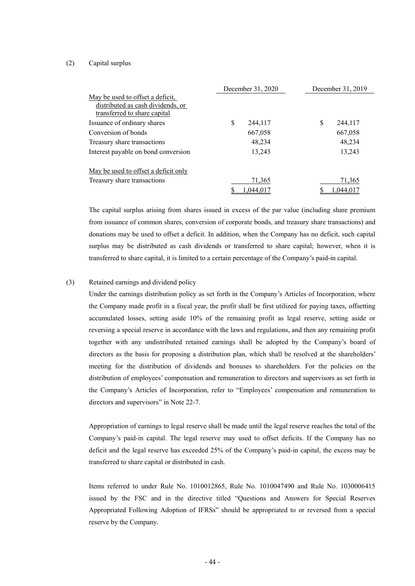#### (2) Capital surplus

|                                                                                                       | December 31, 2020 | December 31, 2019 |
|-------------------------------------------------------------------------------------------------------|-------------------|-------------------|
| May be used to offset a deficit,<br>distributed as cash dividends, or<br>transferred to share capital |                   |                   |
| Issuance of ordinary shares                                                                           | \$<br>244,117     | S<br>244,117      |
| Conversion of bonds                                                                                   | 667,058           | 667,058           |
| Treasury share transactions                                                                           | 48,234            | 48,234            |
| Interest payable on bond conversion                                                                   | 13,243            | 13,243            |
| <u>May be used to offset a deficit only</u>                                                           |                   |                   |
| Treasury share transactions                                                                           | 71,365            | 71,365            |
|                                                                                                       | 1,044,017         | 1.044.017         |

The capital surplus arising from shares issued in excess of the par value (including share premium from issuance of common shares, conversion of corporate bonds, and treasury share transactions) and donations may be used to offset a deficit. In addition, when the Company has no deficit, such capital surplus may be distributed as cash dividends or transferred to share capital; however, when it is transferred to share capital, it is limited to a certain percentage of the Company's paid-in capital.

# (3) Retained earnings and dividend policy

Under the earnings distribution policy as set forth in the Company's Articles of Incorporation, where the Company made profit in a fiscal year, the profit shall be first utilized for paying taxes, offsetting accumulated losses, setting aside 10% of the remaining profit as legal reserve, setting aside or reversing a special reserve in accordance with the laws and regulations, and then any remaining profit together with any undistributed retained earnings shall be adopted by the Company's board of directors as the basis for proposing a distribution plan, which shall be resolved at the shareholders' meeting for the distribution of dividends and bonuses to shareholders. For the policies on the distribution of employees' compensation and remuneration to directors and supervisors as set forth in the Company's Articles of Incorporation, refer to "Employees' compensation and remuneration to directors and supervisors" in Note 22-7.

Appropriation of earnings to legal reserve shall be made until the legal reserve reaches the total of the Company's paid-in capital. The legal reserve may used to offset deficits. If the Company has no deficit and the legal reserve has exceeded 25% of the Company's paid-in capital, the excess may be transferred to share capital or distributed in cash.

Items referred to under Rule No. 1010012865, Rule No. 1010047490 and Rule No. 1030006415 issued by the FSC and in the directive titled "Questions and Answers for Special Reserves Appropriated Following Adoption of IFRSs" should be appropriated to or reversed from a special reserve by the Company.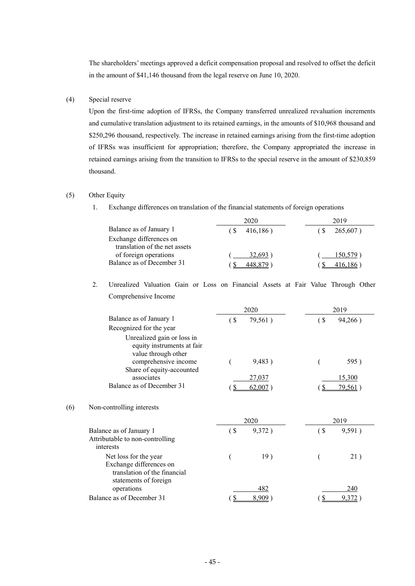The shareholders' meetings approved a deficit compensation proposal and resolved to offset the deficit in the amount of \$41,146 thousand from the legal reserve on June 10, 2020.

#### (4) Special reserve

Upon the first-time adoption of IFRSs, the Company transferred unrealized revaluation increments and cumulative translation adjustment to its retained earnings, in the amounts of \$10,968 thousand and \$250,296 thousand, respectively. The increase in retained earnings arising from the first-time adoption of IFRSs was insufficient for appropriation; therefore, the Company appropriated the increase in retained earnings arising from the transition to IFRSs to the special reserve in the amount of \$230,859 thousand.

## (5) Other Equity

1. Exchange differences on translation of the financial statements of foreign operations

|                                                          | 2020                 | 2019      |
|----------------------------------------------------------|----------------------|-----------|
| Balance as of January 1                                  | 416,186)             | 265,607)  |
| Exchange differences on<br>translation of the net assets |                      |           |
| of foreign operations                                    | 32.693 <sup>-1</sup> | 150,579 1 |
| Balance as of December 31                                |                      |           |

 2. Unrealized Valuation Gain or Loss on Financial Assets at Fair Value Through Other Comprehensive Income

|     |                                                                                                           |                        | 2020       | 2019              |         |  |
|-----|-----------------------------------------------------------------------------------------------------------|------------------------|------------|-------------------|---------|--|
|     | Balance as of January 1<br>Recognized for the year                                                        |                        | 79,561)    | $($ \$            | 94,266) |  |
|     | Unrealized gain or loss in<br>equity instruments at fair<br>value through other                           |                        |            |                   |         |  |
|     | comprehensive income<br>Share of equity-accounted                                                         |                        | 9,483)     |                   | 595)    |  |
|     | associates                                                                                                |                        | 27,037     |                   | 15,300  |  |
|     | Balance as of December 31                                                                                 | \$                     | $62,007$ ) | $\frac{1}{2}$     | 79,561) |  |
| (6) | Non-controlling interests                                                                                 |                        |            |                   |         |  |
|     |                                                                                                           |                        | 2020       |                   | 2019    |  |
|     | Balance as of January 1<br>Attributable to non-controlling<br>interests                                   | $\left( \text{ }$      | 9,372)     | $\left( \text{ }$ | 9,591)  |  |
|     | Net loss for the year<br>Exchange differences on<br>translation of the financial<br>statements of foreign |                        | 19)        |                   | 21)     |  |
|     | operations                                                                                                |                        | 482        |                   | 240     |  |
|     | Balance as of December 31                                                                                 | $\mathbf{\mathcal{S}}$ | 8,909      | $\mathbf S$       | 9,372   |  |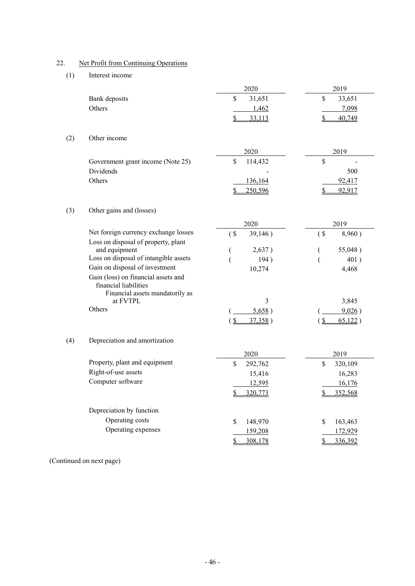# 22. Net Profit from Continuing Operations

# (1) Interest income

|     |                                                                                                 | 2020                     | 2019                             |
|-----|-------------------------------------------------------------------------------------------------|--------------------------|----------------------------------|
|     | Bank deposits                                                                                   | \$<br>31,651             | \$<br>33,651                     |
|     | Others                                                                                          | 1,462                    | 7,098                            |
|     |                                                                                                 | \$<br>33,113             | $\mathbf{\mathcal{S}}$<br>40,749 |
| (2) | Other income                                                                                    |                          |                                  |
|     |                                                                                                 |                          |                                  |
|     |                                                                                                 | 2020                     | 2019                             |
|     | Government grant income (Note 25)                                                               | \$<br>114,432            | \$                               |
|     | <b>Dividends</b>                                                                                |                          | 500                              |
|     | Others                                                                                          | 136,164                  | 92,417                           |
|     |                                                                                                 | 250,596<br>S             | 92,917<br>S                      |
| (3) | Other gains and (losses)                                                                        |                          |                                  |
|     |                                                                                                 | 2020                     | 2019                             |
|     | Net foreign currency exchange losses<br>Loss on disposal of property, plant                     | $($ \$<br>39,146)        | $($ \$<br>8,960)                 |
|     | and equipment                                                                                   | 2,637)<br>$\overline{ }$ | 55,048)<br>€                     |
|     | Loss on disposal of intangible assets                                                           | 194)                     | 401)                             |
|     | Gain on disposal of investment                                                                  | 10,274                   | 4,468                            |
|     | Gain (loss) on financial assets and<br>financial liabilities<br>Financial assets mandatorily as |                          |                                  |
|     | at FVTPL                                                                                        | 3                        | 3,845                            |
|     | Others                                                                                          | 5,658)                   | 9,026)                           |
|     |                                                                                                 | 37,358)<br>$\mathcal{S}$ | $\sqrt{3}$<br>65,122)            |
|     |                                                                                                 |                          |                                  |
| (4) | Depreciation and amortization                                                                   |                          |                                  |
|     |                                                                                                 | 2020                     | 2019                             |
|     | Property, plant and equipment                                                                   | \$<br>292,762            | \$<br>320,109                    |
|     | Right-of-use assets                                                                             | 15,416                   | 16,283                           |
|     | Computer software                                                                               | 12,595                   | 16,176                           |
|     |                                                                                                 | \$<br>320,773            | \$<br>352,568                    |
|     | Depreciation by function                                                                        |                          |                                  |
|     | Operating costs                                                                                 | \$<br>148,970            | \$<br>163,463                    |
|     | Operating expenses                                                                              | 159,208                  | 172,929                          |
|     |                                                                                                 | \$<br>308,178            | 336,392<br>S.                    |
|     |                                                                                                 |                          |                                  |

(Continued on next page)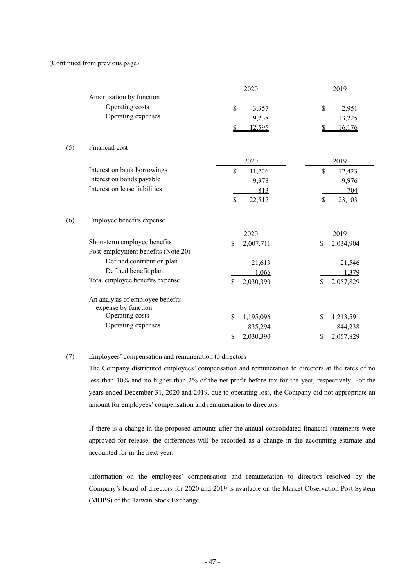#### (Continued from previous page)

|     |                                                         | 2020                 | 2019            |
|-----|---------------------------------------------------------|----------------------|-----------------|
|     | Amortization by function                                |                      |                 |
|     | Operating costs                                         | $\mathbf S$<br>3,357 | \$<br>2,951     |
|     | Operating expenses                                      | 9,238                | 13,225          |
|     |                                                         | <u>12,595</u><br>S   | 16,176          |
| (5) | Financial cost                                          |                      |                 |
|     |                                                         | 2020                 | 2019            |
|     | Interest on bank borrowings                             | \$<br>11,726         | \$<br>12,423    |
|     | Interest on bonds payable                               | 9,978                | 9,976           |
|     | Interest on lease liabilities                           | 813                  | 704             |
|     |                                                         | \$<br>22,517         | 23,103<br>\$    |
| (6) | Employee benefits expense                               |                      |                 |
|     |                                                         | 2020                 | 2019            |
|     | Short-term employee benefits                            | \$<br>2,007,711      | \$<br>2,034,904 |
|     | Post-employment benefits (Note 20)                      |                      |                 |
|     | Defined contribution plan                               | 21,613               | 21,546          |
|     | Defined benefit plan                                    | 1,066                | 1,379           |
|     | Total employee benefits expense                         | 2,030,390<br>S       | 2,057,829       |
|     | An analysis of employee benefits<br>expense by function |                      |                 |
|     | Operating costs                                         | \$<br>1,195,096      | 1,213,591<br>\$ |
|     | Operating expenses                                      | 835,294              | 844,238         |
|     |                                                         | \$<br>2,030,390      | 2,057,829       |
|     |                                                         |                      |                 |

# (7) Employees' compensation and remuneration to directors

The Company distributed employees' compensation and remuneration to directors at the rates of no less than 10% and no higher than 2% of the net profit before tax for the year, respectively. For the years ended December 31, 2020 and 2019, due to operating loss, the Company did not appropriate an amount for employees' compensation and remuneration to directors.

If there is a change in the proposed amounts after the annual consolidated financial statements were approved for release, the differences will be recorded as a change in the accounting estimate and accounted for in the next year.

Information on the employees' compensation and remuneration to directors resolved by the Company's board of directors for 2020 and 2019 is available on the Market Observation Post System (MOPS) of the Taiwan Stock Exchange.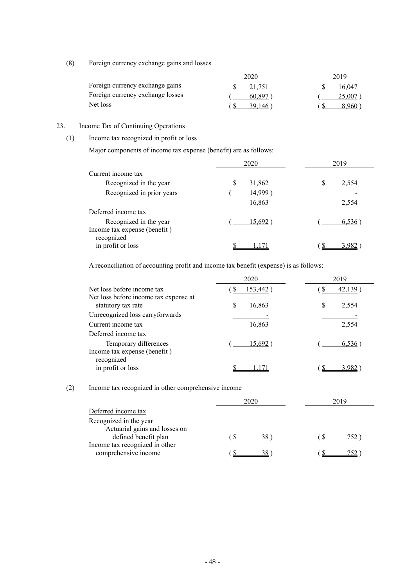(8) Foreign currency exchange gains and losses

|                                  | 2020    | 2019   |
|----------------------------------|---------|--------|
| Foreign currency exchange gains  | 21.751  | 16.047 |
| Foreign currency exchange losses | 60 897  | 25,007 |
| Net loss                         | 39 146. | 8 960- |

# 23. Income Tax of Continuing Operations

# (1) Income tax recognized in profit or loss

Major components of income tax expense (benefit) are as follows:

|                              | 2020         | 2019       |  |  |
|------------------------------|--------------|------------|--|--|
| Current income tax           |              |            |  |  |
| Recognized in the year       | \$<br>31,862 | S<br>2,554 |  |  |
| Recognized in prior years    | 14,999)      |            |  |  |
|                              | 16,863       | 2,554      |  |  |
| Deferred income tax          |              |            |  |  |
| Recognized in the year       | 15,692       | 6,536      |  |  |
| Income tax expense (benefit) |              |            |  |  |
| recognized                   |              |            |  |  |
| in profit or loss            |              |            |  |  |

A reconciliation of accounting profit and income tax benefit (expense) is as follows:

|                                                             | 2020        | 2019       |
|-------------------------------------------------------------|-------------|------------|
| Net loss before income tax                                  | 153,442     | 42.139     |
| Net loss before income tax expense at<br>statutory tax rate | S<br>16,863 | 2,554<br>S |
| Unrecognized loss carryforwards                             |             |            |
| Current income tax                                          | 16,863      | 2,554      |
| Deferred income tax                                         |             |            |
| Temporary differences<br>Income tax expense (benefit)       | $15,692$ )  | 6,536      |
| recognized<br>in profit or loss                             |             |            |

# (2) Income tax recognized in other comprehensive income

|                                | 2020            | 2019 |  |  |
|--------------------------------|-----------------|------|--|--|
| Deferred income tax            |                 |      |  |  |
| Recognized in the year         |                 |      |  |  |
| Actuarial gains and losses on  |                 |      |  |  |
| defined benefit plan           | 38 <sup>°</sup> | 752. |  |  |
| Income tax recognized in other |                 |      |  |  |
| comprehensive income           | 38              |      |  |  |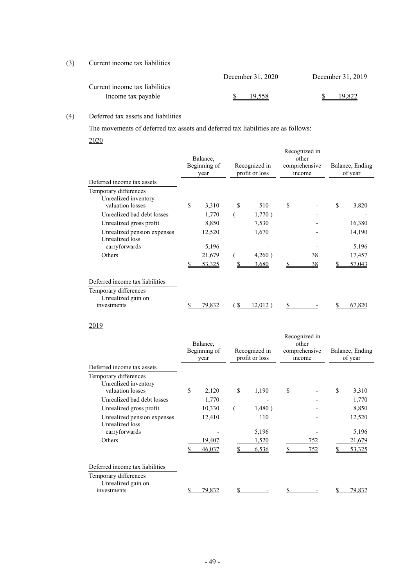# (3) Current income tax liabilities

|                                | December 31, 2020 | December 31, 2019 |  |  |
|--------------------------------|-------------------|-------------------|--|--|
| Current income tax liabilities |                   |                   |  |  |
| Income tax payable             | 19.558            | 19.822            |  |  |

# (4) Deferred tax assets and liabilities

The movements of deferred tax assets and deferred tax liabilities are as follows:

2020

|                                                                   | Balance,<br>Beginning of<br>year |    | Recognized in<br>profit or loss | Recognized in<br>other<br>comprehensive<br>income | Balance, Ending<br>of year |
|-------------------------------------------------------------------|----------------------------------|----|---------------------------------|---------------------------------------------------|----------------------------|
| Deferred income tax assets                                        |                                  |    |                                 |                                                   |                            |
| Temporary differences<br>Unrealized inventory<br>valuation losses | \$<br>3,310                      | \$ | 510                             | \$                                                | \$<br>3,820                |
| Unrealized bad debt losses                                        | 1,770                            |    | 1,770)                          |                                                   |                            |
| Unrealized gross profit                                           | 8,850                            |    | 7,530                           |                                                   | 16,380                     |
| Unrealized pension expenses<br>Unrealized loss                    | 12,520                           |    | 1,670                           |                                                   | 14,190                     |
| carryforwards                                                     | 5,196                            |    |                                 |                                                   | 5,196                      |
| Others                                                            | 21,679                           |    | 4,260)                          | 38                                                | 17,457                     |
|                                                                   | 53,325                           |    | 3,680                           | 38                                                | 57,043                     |
| Deferred income tax liabilities                                   |                                  |    |                                 |                                                   |                            |
| Temporary differences<br>Unrealized gain on<br>investments        | <u>79,832</u>                    | -S | 12,012)                         |                                                   | 67,820                     |

# 2019

| year        |                                              |        |                                                   |     |                                                          | Balance, Ending<br>of year |
|-------------|----------------------------------------------|--------|---------------------------------------------------|-----|----------------------------------------------------------|----------------------------|
|             |                                              |        |                                                   |     |                                                          |                            |
| \$<br>2,120 | \$                                           | 1,190  | \$                                                |     | \$                                                       | 3,310                      |
| 1,770       |                                              |        |                                                   |     |                                                          | 1,770                      |
| 10,330      |                                              | 1,480) |                                                   |     |                                                          | 8,850                      |
| 12,410      |                                              | 110    |                                                   |     |                                                          | 12,520                     |
|             |                                              |        |                                                   |     |                                                          | 5,196<br>21,679            |
| 46,037      |                                              | 6,536  |                                                   | 752 |                                                          | 53,325                     |
|             |                                              |        |                                                   |     |                                                          |                            |
|             |                                              |        |                                                   |     |                                                          | 79,832                     |
|             | Balance,<br>Beginning of<br>19,407<br>79,832 |        | Recognized in<br>profit or loss<br>5,196<br>1,520 |     | Recognized in<br>other<br>comprehensive<br>income<br>752 |                            |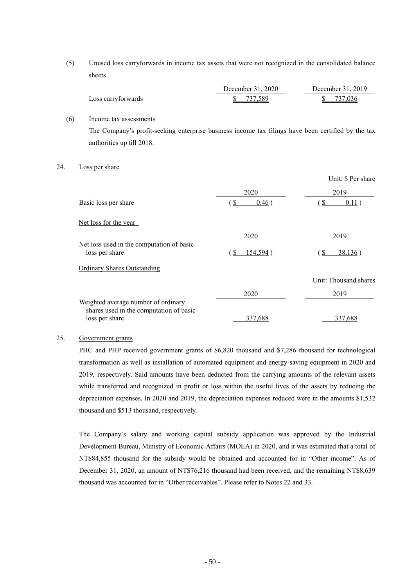(5) Unused loss carryforwards in income tax assets that were not recognized in the consolidated balance sheets

|                    | December 31, 2020 | December 31, 2019 |
|--------------------|-------------------|-------------------|
| Loss carryforwards | 737.589           | \$ 737,036        |

(6) Income tax assessments The Company's profit-seeking enterprise business income tax filings have been certified by the tax authorities up till 2018.

#### 24. Loss per share

|                                                                                                  |                | Unit: \$ Per share    |
|--------------------------------------------------------------------------------------------------|----------------|-----------------------|
|                                                                                                  | 2020           | 2019                  |
| Basic loss per share                                                                             | S<br>0.46)     | 0.11)                 |
| Net loss for the year                                                                            |                |                       |
|                                                                                                  | 2020           | 2019                  |
| Net loss used in the computation of basic<br>loss per share                                      | 154,594)<br>-S | 38,136)<br>-S         |
| <b>Ordinary Shares Outstanding</b>                                                               |                |                       |
|                                                                                                  |                | Unit: Thousand shares |
|                                                                                                  | 2020           | 2019                  |
| Weighted average number of ordinary<br>shares used in the computation of basic<br>loss per share | 337.688        | 337.688               |
|                                                                                                  |                |                       |

# 25. Government grants

PHC and PHP received government grants of \$6,820 thousand and \$7,286 thousand for technological transformation as well as installation of automated equipment and energy-saving equipment in 2020 and 2019, respectively. Said amounts have been deducted from the carrying amounts of the relevant assets while transferred and recognized in profit or loss within the useful lives of the assets by reducing the depreciation expenses. In 2020 and 2019, the depreciation expenses reduced were in the amounts \$1,532 thousand and \$513 thousand, respectively.

The Company's salary and working capital subsidy application was approved by the Industrial Development Bureau, Ministry of Economic Affairs (MOEA) in 2020, and it was estimated that a total of NT\$84,855 thousand for the subsidy would be obtained and accounted for in "Other income". As of December 31, 2020, an amount of NT\$76,216 thousand had been received, and the remaining NT\$8,639 thousand was accounted for in "Other receivables". Please refer to Notes 22 and 33.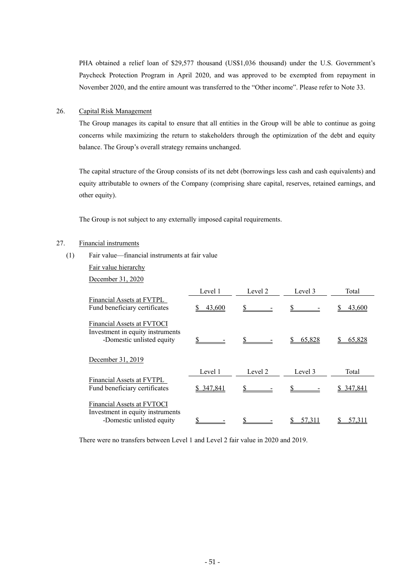PHA obtained a relief loan of \$29,577 thousand (US\$1,036 thousand) under the U.S. Government's Paycheck Protection Program in April 2020, and was approved to be exempted from repayment in November 2020, and the entire amount was transferred to the "Other income". Please refer to Note 33.

## 26. Capital Risk Management

The Group manages its capital to ensure that all entities in the Group will be able to continue as going concerns while maximizing the return to stakeholders through the optimization of the debt and equity balance. The Group's overall strategy remains unchanged.

The capital structure of the Group consists of its net debt (borrowings less cash and cash equivalents) and equity attributable to owners of the Company (comprising share capital, reserves, retained earnings, and other equity).

The Group is not subject to any externally imposed capital requirements.

# 27. Financial instruments

- (1) Fair value—financial instruments at fair value
	- Fair value hierarchy

December 31, 2020

|                                                                                                    | Level 1    | Level 2 | Level 3 | Total      |
|----------------------------------------------------------------------------------------------------|------------|---------|---------|------------|
| Financial Assets at FVTPL<br>Fund beneficiary certificates                                         | 43,600     |         |         | 43,600     |
| Financial Assets at FVTOCI<br>Investment in equity instruments<br>-Domestic unlisted equity        |            |         | 65,828  | 65.828     |
| December 31, 2019                                                                                  |            |         |         |            |
|                                                                                                    | Level 1    | Level 2 | Level 3 | Total      |
| Financial Assets at FVTPL<br>Fund beneficiary certificates                                         | \$ 347,841 |         |         | \$ 347,841 |
| <b>Financial Assets at FVTOCI</b><br>Investment in equity instruments<br>-Domestic unlisted equity |            |         | 57.31   |            |

There were no transfers between Level 1 and Level 2 fair value in 2020 and 2019.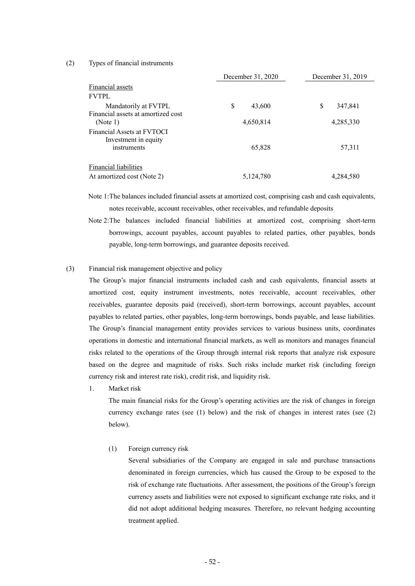#### (2) Types of financial instruments

|                                                                   | December 31, 2020 | December 31, 2019 |
|-------------------------------------------------------------------|-------------------|-------------------|
| Financial assets                                                  |                   |                   |
| <b>FVTPL</b>                                                      |                   |                   |
| Mandatorily at FVTPL                                              | \$<br>43,600      | \$<br>347,841     |
| Financial assets at amortized cost<br>(Note 1)                    | 4,650,814         | 4,285,330         |
| Financial Assets at FVTOCI<br>Investment in equity<br>instruments | 65,828            | 57,311            |
| <b>Financial liabilities</b><br>At amortized cost (Note 2)        | 5,124,780         | 4,284,580         |

Note 1: The balances included financial assets at amortized cost, comprising cash and cash equivalents, notes receivable, account receivables, other receivables, and refundable deposits

Note 2: The balances included financial liabilities at amortized cost, comprising short-term borrowings, account payables, account payables to related parties, other payables, bonds payable, long-term borrowings, and guarantee deposits received.

#### (3) Financial risk management objective and policy

The Group's major financial instruments included cash and cash equivalents, financial assets at amortized cost, equity instrument investments, notes receivable, account receivables, other receivables, guarantee deposits paid (received), short-term borrowings, account payables, account payables to related parties, other payables, long-term borrowings, bonds payable, and lease liabilities. The Group's financial management entity provides services to various business units, coordinates operations in domestic and international financial markets, as well as monitors and manages financial risks related to the operations of the Group through internal risk reports that analyze risk exposure based on the degree and magnitude of risks. Such risks include market risk (including foreign currency risk and interest rate risk), credit risk, and liquidity risk.

1. Market risk

The main financial risks for the Group's operating activities are the risk of changes in foreign currency exchange rates (see (1) below) and the risk of changes in interest rates (see (2) below).

(1) Foreign currency risk

Several subsidiaries of the Company are engaged in sale and purchase transactions denominated in foreign currencies, which has caused the Group to be exposed to the risk of exchange rate fluctuations. After assessment, the positions of the Group's foreign currency assets and liabilities were not exposed to significant exchange rate risks, and it did not adopt additional hedging measures. Therefore, no relevant hedging accounting treatment applied.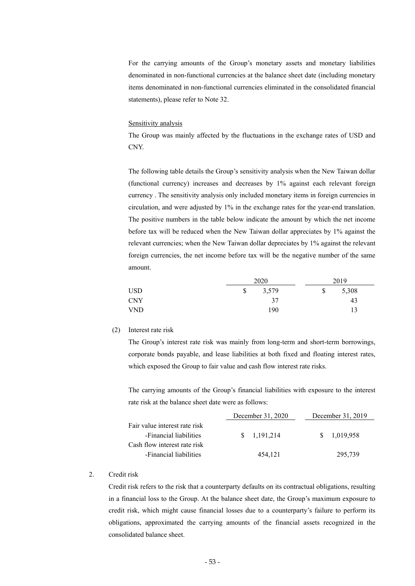For the carrying amounts of the Group's monetary assets and monetary liabilities denominated in non-functional currencies at the balance sheet date (including monetary items denominated in non-functional currencies eliminated in the consolidated financial statements), please refer to Note 32.

#### Sensitivity analysis

The Group was mainly affected by the fluctuations in the exchange rates of USD and CNY.

The following table details the Group's sensitivity analysis when the New Taiwan dollar (functional currency) increases and decreases by 1% against each relevant foreign currency . The sensitivity analysis only included monetary items in foreign currencies in circulation, and were adjusted by 1% in the exchange rates for the year-end translation. The positive numbers in the table below indicate the amount by which the net income before tax will be reduced when the New Taiwan dollar appreciates by 1% against the relevant currencies; when the New Taiwan dollar depreciates by 1% against the relevant foreign currencies, the net income before tax will be the negative number of the same amount.

|            | 2020        | 2019        |
|------------|-------------|-------------|
| <b>USD</b> | \$<br>3,579 | \$<br>5,308 |
| <b>CNY</b> | 37          | 43          |
| <b>VND</b> | 190         | 13          |

#### (2) Interest rate risk

The Group's interest rate risk was mainly from long-term and short-term borrowings, corporate bonds payable, and lease liabilities at both fixed and floating interest rates, which exposed the Group to fair value and cash flow interest rate risks.

The carrying amounts of the Group's financial liabilities with exposure to the interest rate risk at the balance sheet date were as follows:

|                               | December 31, 2020 | December 31, 2019 |
|-------------------------------|-------------------|-------------------|
| Fair value interest rate risk |                   |                   |
| -Financial liabilities        | \$1.191.214       | \$1,019,958       |
| Cash flow interest rate risk  |                   |                   |
| -Financial liabilities        | 454,121           | 295,739           |

#### 2. Credit risk

Credit risk refers to the risk that a counterparty defaults on its contractual obligations, resulting in a financial loss to the Group. At the balance sheet date, the Group's maximum exposure to credit risk, which might cause financial losses due to a counterparty's failure to perform its obligations, approximated the carrying amounts of the financial assets recognized in the consolidated balance sheet.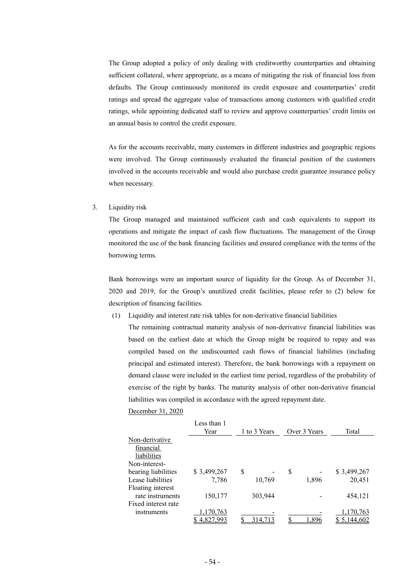The Group adopted a policy of only dealing with creditworthy counterparties and obtaining sufficient collateral, where appropriate, as a means of mitigating the risk of financial loss from defaults. The Group continuously monitored its credit exposure and counterparties' credit ratings and spread the aggregate value of transactions among customers with qualified credit ratings, while appointing dedicated staff to review and approve counterparties' credit limits on an annual basis to control the credit exposure.

As for the accounts receivable, many customers in different industries and geographic regions were involved. The Group continuously evaluated the financial position of the customers involved in the accounts receivable and would also purchase credit guarantee insurance policy when necessary.

#### 3. Liquidity risk

The Group managed and maintained sufficient cash and cash equivalents to support its operations and mitigate the impact of cash flow fluctuations. The management of the Group monitored the use of the bank financing facilities and ensured compliance with the terms of the borrowing terms.

Bank borrowings were an important source of liquidity for the Group. As of December 31, 2020 and 2019, for the Group's unutilized credit facilities, please refer to (2) below for description of financing facilities.

(1) Liquidity and interest rate risk tables for non-derivative financial liabilities

The remaining contractual maturity analysis of non-derivative financial liabilities was based on the earliest date at which the Group might be required to repay and was compiled based on the undiscounted cash flows of financial liabilities (including principal and estimated interest). Therefore, the bank borrowings with a repayment on demand clause were included in the earliest time period, regardless of the probability of exercise of the right by banks. The maturity analysis of other non-derivative financial liabilities was compiled in accordance with the agreed repayment date.

#### December 31, 2020

|                     | Less than 1<br>Year | 1 to 3 Years | Over 3 Years | Total       |
|---------------------|---------------------|--------------|--------------|-------------|
| Non-derivative      |                     |              |              |             |
| financial           |                     |              |              |             |
| liabilities         |                     |              |              |             |
| Non-interest-       |                     |              |              |             |
| bearing liabilities | \$3,499,267         | \$           | \$           | \$3,499,267 |
| Lease liabilities   | 7,786               | 10,769       | 1,896        | 20,451      |
| Floating interest   |                     |              |              |             |
| rate instruments    | 150,177             | 303,944      |              | 454,121     |
| Fixed interest rate |                     |              |              |             |
| instruments         | 170,763             |              |              | 1,170,763   |
|                     | 4.827.993           | 314.713      | -896         | 5,144,602   |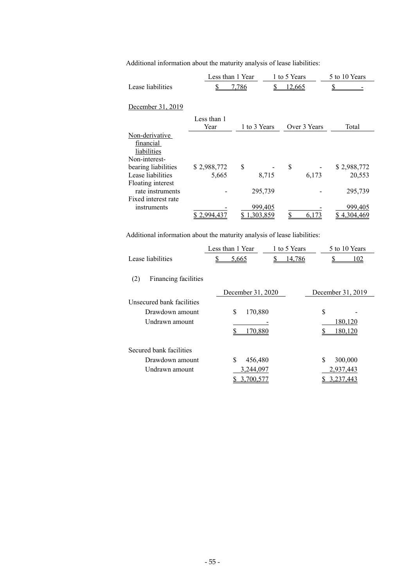| Additional information about the maturity analysis of lease liabilities: |  |  |
|--------------------------------------------------------------------------|--|--|
|--------------------------------------------------------------------------|--|--|

|                                                                          | Less than 1 Year |              |       | 1 to 5 Years  |              | 5 to 10 Years |  |
|--------------------------------------------------------------------------|------------------|--------------|-------|---------------|--------------|---------------|--|
| Lease liabilities                                                        |                  | <u>7,786</u> |       | <u>12,665</u> |              |               |  |
|                                                                          |                  |              |       |               |              |               |  |
| December 31, 2019                                                        |                  |              |       |               |              |               |  |
|                                                                          | Less than 1      |              |       |               |              |               |  |
|                                                                          | Year             | 1 to 3 Years |       |               | Over 3 Years | Total         |  |
| Non-derivative                                                           |                  |              |       |               |              |               |  |
| financial                                                                |                  |              |       |               |              |               |  |
| liabilities                                                              |                  |              |       |               |              |               |  |
| Non-interest-                                                            |                  |              |       |               |              |               |  |
| bearing liabilities                                                      | \$2,988,772      | \$           |       | \$            |              | \$2,988,772   |  |
| Lease liabilities                                                        | 5,665            |              | 8,715 |               | 6,173        | 20,553        |  |
| Floating interest                                                        |                  |              |       |               |              |               |  |
| rate instruments                                                         |                  | 295,739      |       |               |              | 295,739       |  |
| Fixed interest rate                                                      |                  |              |       |               |              |               |  |
| instruments                                                              |                  | 999,405      |       |               |              | 999,405       |  |
|                                                                          | \$2,994,437      | 303,859      |       |               | 6.173        | 4.304.469     |  |
|                                                                          |                  |              |       |               |              |               |  |
| Additional information about the maturity analysis of lease liabilities: |                  |              |       |               |              |               |  |
|                                                                          | Less than 1 Year |              |       | 1 to 5 Years  |              | 5 to 10 Years |  |
| Lease liabilities                                                        | \$               | <u>5.665</u> | \$    | 14,786        |              | \$<br>102     |  |

| (2)<br>Financing facilities |                   |                   |
|-----------------------------|-------------------|-------------------|
|                             | December 31, 2020 | December 31, 2019 |
| Unsecured bank facilities   |                   |                   |
| Drawdown amount             | \$<br>170,880     | \$                |
| Undrawn amount              |                   | 180,120           |
|                             | 70.880            |                   |
| Secured bank facilities     |                   |                   |
| Drawdown amount             | \$<br>456,480     | \$<br>300,000     |
| Undrawn amount              | 3,244,097         | 2,937,443         |
|                             | (00.5)            | 3.237,443         |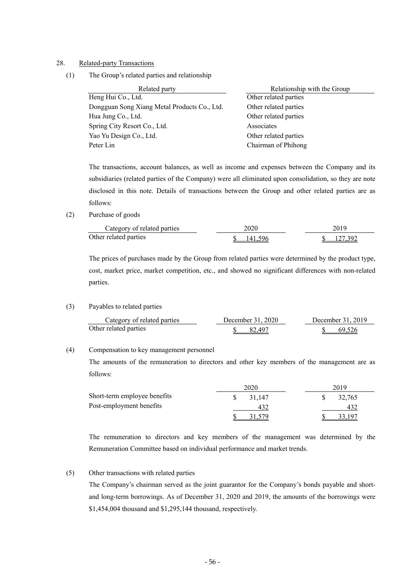#### 28. Related-party Transactions

(1) The Group's related parties and relationship

| Related party                                | Relationship with the Group |
|----------------------------------------------|-----------------------------|
| Heng Hui Co., Ltd.                           | Other related parties       |
| Dongguan Song Xiang Metal Products Co., Ltd. | Other related parties       |
| Hua Jung Co., Ltd.                           | Other related parties       |
| Spring City Resort Co., Ltd.                 | Associates                  |
| Yao Yu Design Co., Ltd.                      | Other related parties       |
| Peter Lin                                    | Chairman of Phihong         |

The transactions, account balances, as well as income and expenses between the Company and its subsidiaries (related parties of the Company) were all eliminated upon consolidation, so they are note disclosed in this note. Details of transactions between the Group and other related parties are as follows:

(2) Purchase of goods

| Category of related parties | 2020.   | 2019                 |
|-----------------------------|---------|----------------------|
| Other related parties       | 141.596 | $\frac{127392}{200}$ |

The prices of purchases made by the Group from related parties were determined by the product type, cost, market price, market competition, etc., and showed no significant differences with non-related parties.

#### (3) Payables to related parties

| Category of related parties | December 31, 2020 | December 31, 2019 |  |  |  |
|-----------------------------|-------------------|-------------------|--|--|--|
| Other related parties       | - 82.497          | -69.526           |  |  |  |

## (4) Compensation to key management personnel

The amounts of the remuneration to directors and other key members of the management are as follows:

|                              | 2020   | 2019   |  |  |  |
|------------------------------|--------|--------|--|--|--|
| Short-term employee benefits | 31.147 | 32,765 |  |  |  |
| Post-employment benefits     |        | 432    |  |  |  |
|                              |        | 197    |  |  |  |

The remuneration to directors and key members of the management was determined by the Remuneration Committee based on individual performance and market trends.

# (5) Other transactions with related parties

The Company's chairman served as the joint guarantor for the Company's bonds payable and shortand long-term borrowings. As of December 31, 2020 and 2019, the amounts of the borrowings were \$1,454,004 thousand and \$1,295,144 thousand, respectively.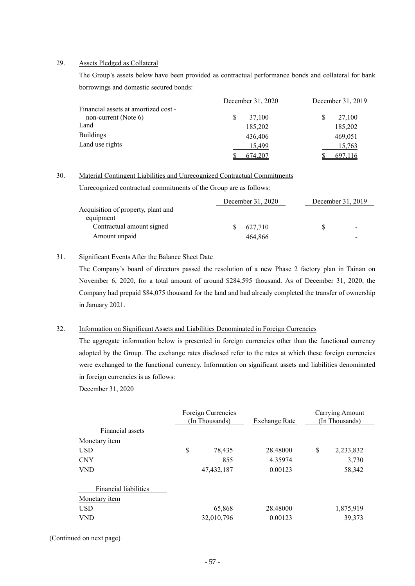#### 29. Assets Pledged as Collateral

The Group's assets below have been provided as contractual performance bonds and collateral for bank borrowings and domestic secured bonds:

|                                      | December 31, 2020 | December 31, 2019 |  |  |
|--------------------------------------|-------------------|-------------------|--|--|
| Financial assets at amortized cost - |                   |                   |  |  |
| non-current (Note $6$ )              | 37,100            | \$<br>27,100      |  |  |
| Land                                 | 185,202           | 185,202           |  |  |
| <b>Buildings</b>                     | 436,406           | 469,051           |  |  |
| Land use rights                      | 15,499            | 15,763            |  |  |
|                                      | 674,207           | 697,116           |  |  |

#### 30. Material Contingent Liabilities and Unrecognized Contractual Commitments

Unrecognized contractual commitments of the Group are as follows:

|                                    | December 31, 2020 | December 31, 2019 |                |  |
|------------------------------------|-------------------|-------------------|----------------|--|
| Acquisition of property, plant and |                   |                   |                |  |
| equipment                          |                   |                   |                |  |
| Contractual amount signed          | 627.710           |                   | $\blacksquare$ |  |
| Amount unpaid                      | 464.866           |                   |                |  |

# 31. Significant Events After the Balance Sheet Date

The Company's board of directors passed the resolution of a new Phase 2 factory plan in Tainan on November 6, 2020, for a total amount of around \$284,595 thousand. As of December 31, 2020, the Company had prepaid \$84,075 thousand for the land and had already completed the transfer of ownership in January 2021.

#### 32. Information on Significant Assets and Liabilities Denominated in Foreign Currencies

The aggregate information below is presented in foreign currencies other than the functional currency adopted by the Group. The exchange rates disclosed refer to the rates at which these foreign currencies were exchanged to the functional currency. Information on significant assets and liabilities denominated in foreign currencies is as follows:

December 31, 2020

|                       | Foreign Currencies<br>(In Thousands) | <b>Exchange Rate</b> | Carrying Amount<br>(In Thousands) |           |  |
|-----------------------|--------------------------------------|----------------------|-----------------------------------|-----------|--|
| Financial assets      |                                      |                      |                                   |           |  |
| Monetary <i>item</i>  |                                      |                      |                                   |           |  |
| <b>USD</b>            | \$<br>78,435                         | 28.48000             | \$                                | 2,233,832 |  |
| <b>CNY</b>            | 855                                  | 4.35974              |                                   | 3,730     |  |
| <b>VND</b>            | 47, 432, 187                         | 0.00123              |                                   | 58,342    |  |
| Financial liabilities |                                      |                      |                                   |           |  |
| Monetary <i>item</i>  |                                      |                      |                                   |           |  |
| <b>USD</b>            | 65,868                               | 28.48000             |                                   | 1,875,919 |  |
| VND                   | 32,010,796                           | 0.00123              |                                   | 39,373    |  |

(Continued on next page)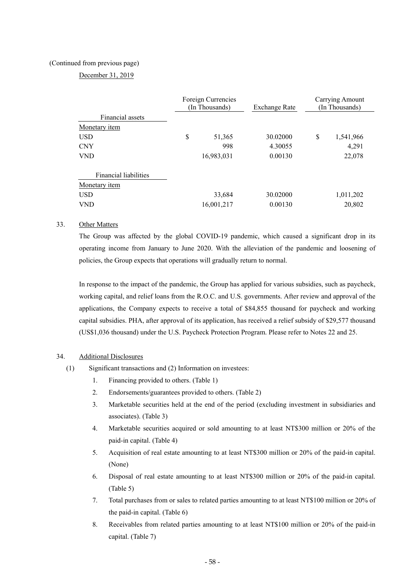## (Continued from previous page)

# December 31, 2019

|                              | Foreign Currencies<br>(In Thousands) | Exchange Rate | Carrying Amount<br>(In Thousands) |           |  |
|------------------------------|--------------------------------------|---------------|-----------------------------------|-----------|--|
| Financial assets             |                                      |               |                                   |           |  |
| Monetary <i>item</i>         |                                      |               |                                   |           |  |
| <b>USD</b>                   | \$<br>51,365                         | 30.02000      | \$                                | 1,541,966 |  |
| <b>CNY</b>                   | 998                                  | 4.30055       |                                   | 4,291     |  |
| <b>VND</b>                   | 16,983,031                           | 0.00130       |                                   | 22,078    |  |
| <b>Financial liabilities</b> |                                      |               |                                   |           |  |
| Monetary <i>item</i>         |                                      |               |                                   |           |  |
| <b>USD</b>                   | 33,684                               | 30.02000      |                                   | 1,011,202 |  |
| <b>VND</b>                   | 16,001,217                           | 0.00130       |                                   | 20,802    |  |

## 33. Other Matters

The Group was affected by the global COVID-19 pandemic, which caused a significant drop in its operating income from January to June 2020. With the alleviation of the pandemic and loosening of policies, the Group expects that operations will gradually return to normal.

In response to the impact of the pandemic, the Group has applied for various subsidies, such as paycheck, working capital, and relief loans from the R.O.C. and U.S. governments. After review and approval of the applications, the Company expects to receive a total of \$84,855 thousand for paycheck and working capital subsidies. PHA, after approval of its application, has received a relief subsidy of \$29,577 thousand (US\$1,036 thousand) under the U.S. Paycheck Protection Program. Please refer to Notes 22 and 25.

#### 34. Additional Disclosures

- (1) Significant transactions and (2) Information on investees:
	- 1. Financing provided to others. (Table 1)
	- 2. Endorsements/guarantees provided to others. (Table 2)
	- 3. Marketable securities held at the end of the period (excluding investment in subsidiaries and associates). (Table 3)
	- 4. Marketable securities acquired or sold amounting to at least NT\$300 million or 20% of the paid-in capital. (Table 4)
	- 5. Acquisition of real estate amounting to at least NT\$300 million or 20% of the paid-in capital. (None)
	- 6. Disposal of real estate amounting to at least NT\$300 million or 20% of the paid-in capital. (Table 5)
	- 7. Total purchases from or sales to related parties amounting to at least NT\$100 million or 20% of the paid-in capital. (Table 6)
	- 8. Receivables from related parties amounting to at least NT\$100 million or 20% of the paid-in capital. (Table 7)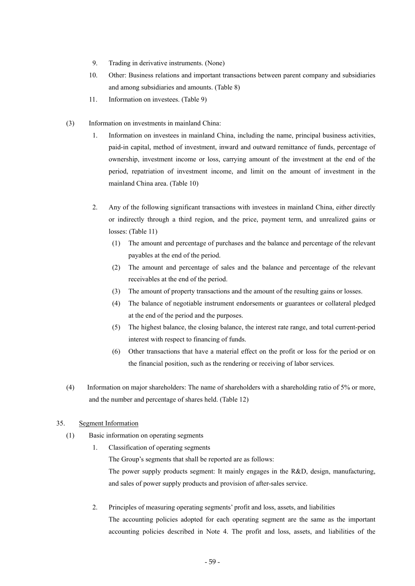- 9. Trading in derivative instruments. (None)
- 10. Other: Business relations and important transactions between parent company and subsidiaries and among subsidiaries and amounts. (Table 8)
- 11. Information on investees. (Table 9)
- (3) Information on investments in mainland China:
	- 1. Information on investees in mainland China, including the name, principal business activities, paid-in capital, method of investment, inward and outward remittance of funds, percentage of ownership, investment income or loss, carrying amount of the investment at the end of the period, repatriation of investment income, and limit on the amount of investment in the mainland China area. (Table 10)
	- 2. Any of the following significant transactions with investees in mainland China, either directly or indirectly through a third region, and the price, payment term, and unrealized gains or losses: (Table 11)
		- (1) The amount and percentage of purchases and the balance and percentage of the relevant payables at the end of the period.
		- (2) The amount and percentage of sales and the balance and percentage of the relevant receivables at the end of the period.
		- (3) The amount of property transactions and the amount of the resulting gains or losses.
		- (4) The balance of negotiable instrument endorsements or guarantees or collateral pledged at the end of the period and the purposes.
		- (5) The highest balance, the closing balance, the interest rate range, and total current-period interest with respect to financing of funds.
		- (6) Other transactions that have a material effect on the profit or loss for the period or on the financial position, such as the rendering or receiving of labor services.
- (4) Information on major shareholders: The name of shareholders with a shareholding ratio of 5% or more, and the number and percentage of shares held. (Table 12)

# 35. Segment Information

- (1) Basic information on operating segments
	- 1. Classification of operating segments

The Group's segments that shall be reported are as follows:

The power supply products segment: It mainly engages in the R&D, design, manufacturing, and sales of power supply products and provision of after-sales service.

 2. Principles of measuring operating segments' profit and loss, assets, and liabilities The accounting policies adopted for each operating segment are the same as the important accounting policies described in Note 4. The profit and loss, assets, and liabilities of the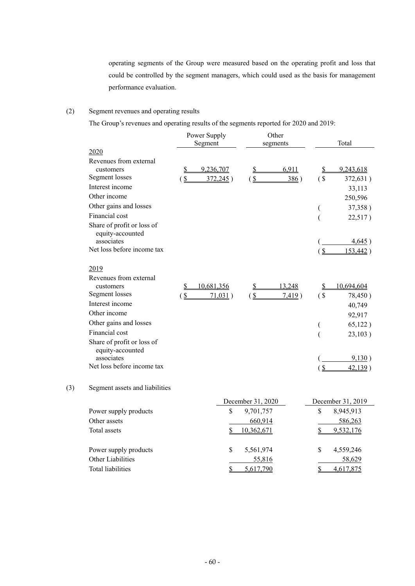operating segments of the Group were measured based on the operating profit and loss that could be controlled by the segment managers, which could used as the basis for management performance evaluation.

# (2) Segment revenues and operating results

The Group's revenues and operating results of the segments reported for 2020 and 2019:

|     |                                                                                            | Power Supply<br>Segment                      | Other<br>segments                             | Total                                    |  |  |
|-----|--------------------------------------------------------------------------------------------|----------------------------------------------|-----------------------------------------------|------------------------------------------|--|--|
|     | 2020                                                                                       |                                              |                                               |                                          |  |  |
|     | Revenues from external<br>customers<br>Segment losses                                      | 9,236,707<br>\$<br>$\frac{1}{2}$<br>372,245) | 6,911<br>$\mathbf S$<br>$\frac{1}{2}$<br>386) | 9,243,618<br>S<br>$\sqrt{S}$<br>372,631) |  |  |
|     | Interest income                                                                            |                                              |                                               | 33,113                                   |  |  |
|     | Other income                                                                               |                                              |                                               | 250,596                                  |  |  |
|     | Other gains and losses                                                                     |                                              |                                               | 37,358)<br>(                             |  |  |
|     | Financial cost                                                                             |                                              |                                               | 22,517)<br>(                             |  |  |
|     | Share of profit or loss of<br>equity-accounted<br>associates<br>Net loss before income tax |                                              |                                               | 4,645)<br>$\frac{1}{2}$<br>153,442)      |  |  |
|     | 2019                                                                                       |                                              |                                               |                                          |  |  |
|     | Revenues from external<br>customers                                                        | 10,681,356<br>$\frac{1}{2}$                  | 13,248<br>$\mathbf{\underline{\mathcal{S}}}$  | 10,694,604<br>\$                         |  |  |
|     | Segment losses                                                                             | $\frac{1}{2}$<br>71,031)                     | (S)<br>7,419)                                 | $($ \$<br>78,450)                        |  |  |
|     | Interest income                                                                            |                                              |                                               | 40,749                                   |  |  |
|     | Other income                                                                               |                                              |                                               | 92,917                                   |  |  |
|     | Other gains and losses                                                                     |                                              |                                               | 65,122)<br>$\overline{(}$                |  |  |
|     | Financial cost                                                                             |                                              |                                               | 23,103)<br>$\overline{(}$                |  |  |
|     | Share of profit or loss of<br>equity-accounted                                             |                                              |                                               |                                          |  |  |
|     | associates                                                                                 |                                              |                                               | 9,130)                                   |  |  |
|     | Net loss before income tax                                                                 |                                              |                                               | $\frac{1}{2}$<br>42,139)                 |  |  |
| (3) | Segment assets and liabilities                                                             |                                              |                                               |                                          |  |  |
|     |                                                                                            |                                              | December 31, 2020                             | December 31, 2019                        |  |  |
|     | Power supply products                                                                      | \$                                           | 9,701,757                                     | \$<br>8,945,913                          |  |  |
|     | Other assets                                                                               |                                              | 660,914                                       | 586,263                                  |  |  |
|     | Total assets                                                                               |                                              | 10,362,671                                    | 9,532,176                                |  |  |
|     | Power supply products                                                                      | \$                                           | 5,561,974                                     | \$<br>4,559,246                          |  |  |
|     | Other Liabilities                                                                          |                                              | 55,816                                        | 58,629                                   |  |  |
|     | <b>Total liabilities</b>                                                                   | \$                                           | 5,617,790                                     | \$<br>4,617,875                          |  |  |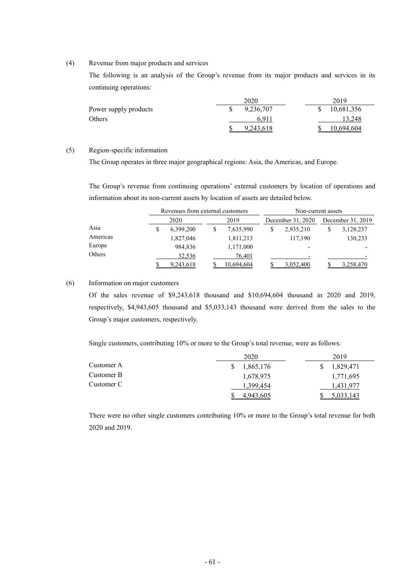## (4) Revenue from major products and services

The following is an analysis of the Group's revenue from its major products and services in its continuing operations:

|                       | 2020      | 2019       |
|-----------------------|-----------|------------|
| Power supply products | 9,236,707 | 10,681,356 |
| Others                | 6.911     | 13.248     |
|                       | 9.243.618 | 10,694,604 |

# (5) Region-specific information

The Group operates in three major geographical regions: Asia, the Americas, and Europe.

The Group's revenue from continuing operations' external customers by location of operations and information about its non-current assets by location of assets are detailed below.

|          |      | Revenues from external customers |      |            | Non-current assets |                          |                   |           |  |  |
|----------|------|----------------------------------|------|------------|--------------------|--------------------------|-------------------|-----------|--|--|
|          | 2020 |                                  | 2019 |            | December 31, 2020  |                          | December 31, 2019 |           |  |  |
| Asia     |      | 6,399,200                        |      | 7,635,990  |                    | 2,935,210                |                   | 3,128,237 |  |  |
| Americas |      | 1,827,046                        |      | 1,811,213  |                    | 117,190                  |                   | 130,233   |  |  |
| Europe   |      | 984,836                          |      | 1,171,000  |                    | $\overline{\phantom{0}}$ |                   |           |  |  |
| Others   |      | 32,536                           |      | 76.401     |                    |                          |                   |           |  |  |
|          |      | 9,243,618                        |      | 10,694,604 |                    | 3.052.400                |                   | 3.258.470 |  |  |

#### (6) Information on major customers

Of the sales revenue of \$9,243,618 thousand and \$10,694,604 thousand in 2020 and 2019, respectively, \$4,943,605 thousand and \$5,033,143 thousand were derived from the sales to the Group's major customers, respectively.

Single customers, contributing 10% or more to the Group's total revenue, were as follows:

|            | 2020      | 2019      |
|------------|-----------|-----------|
| Customer A | 1,865,176 | 1,829,471 |
| Customer B | 1,678,975 | 1,771,695 |
| Customer C | 1,399,454 | 1,431,977 |
|            | 4,943,605 | 5,033,143 |

There were no other single customers contributing 10% or more to the Group's total revenue for both 2020 and 2019.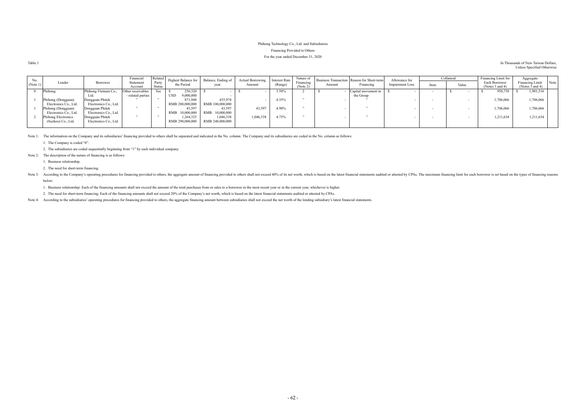# Phihong Technology Co., Ltd. and Subsidiaries Financing Provided to Others For the year ended December 31, 2020

| Table 1 | In Thousands of New Taiwan Dollars, |
|---------|-------------------------------------|
|         | Unless Specified Otherwise          |

| No.      |                       |                       | Financial         | Related |                         | Highest Balance for Balance, Ending of | <b>Actual Borrowing</b> | <b>Interest Rate</b> | Nature of |        | Business Transaction Reason for Short-term | Allowance for          |      | Collateral | Financing Limit for  | Aggregate                      |
|----------|-----------------------|-----------------------|-------------------|---------|-------------------------|----------------------------------------|-------------------------|----------------------|-----------|--------|--------------------------------------------|------------------------|------|------------|----------------------|--------------------------------|
| (Note 1) | Lender                | Borrower              | Statement         | Party   | the Period              | year                                   | Amount                  | (Range)              | Financing | Amount | Financing                                  | <b>Impairment Loss</b> | Item | Value      | Each Borrower        | Note<br><b>Financing Limit</b> |
|          |                       |                       | Account           | Status  |                         |                                        |                         |                      | (Note 2)  |        |                                            |                        |      |            | (Notes $3$ and $4$ ) | (Notes $3$ and $4$ )           |
|          | Phihong               | Phihong Vietnam Co.,  | Other receivables |         | 256,320                 |                                        |                         | 3.50%                |           |        | Capital movement in                        |                        |      |            | 950,758              | 1,901,516                      |
|          |                       | Ltd.                  | - related parties |         | 9,000,000<br><b>USD</b> |                                        |                         |                      |           |        | the Group                                  |                        |      |            |                      |                                |
|          | Phihong (Dongguan)    | Dongguan Phitek       |                   |         | 871,948                 | 435,974                                |                         | 4.35%                |           |        |                                            |                        |      |            | 1,706,066            | 1,706,066                      |
|          | Electronics Co., Ltd. | Electronics Co., Ltd. |                   |         | RMB 200,000,000         | RMB 100,000,000                        |                         |                      |           |        |                                            |                        |      |            |                      |                                |
|          | Phihong (Dongguan)    | Dongguan Phitek       |                   |         | 43,597                  | 43,597                                 | 43,597                  | 4.90%                |           |        |                                            |                        |      |            | 1,706,066            | 1,706,066                      |
|          | Electronics Co., Ltd. | Electronics Co., Ltd. |                   |         | RMB 10,000,000          | RMB<br>10,000,000                      |                         |                      |           |        |                                            |                        |      |            |                      |                                |
|          | Phihong Electronics   | Dongguan Phitek       |                   |         | 1,264,325               | 1,046,338                              | 1,046,338               | 4.75%                |           |        |                                            |                        |      |            | 1,211,634            | 1,211,634                      |
|          | (Suzhou) Co., Ltd.    | Electronics Co., Ltd. |                   |         | RMB 290,000,000         | RMB 240,000,000                        |                         |                      |           |        |                                            |                        |      |            |                      |                                |
|          |                       |                       |                   |         |                         |                                        |                         |                      |           |        |                                            |                        |      |            |                      |                                |

Note 1: The information on the Company and its subsidiaries' financing provided to others shall be separated and indicated in the No. column. The Company and its subsidiaries are coded in the No. column as follows:

Note 3: According to the Company's operating procedures for financing provided to others, the aggregate amount of financing provided to others shall not exceed 40% of its net worth, which is based on the latest financial s below:

1. The Company is coded "0".

2. The subsidiaries are coded sequentially beginning from "1" by each individual company.

Note 2: The description of the nature of financing is as follows:

1. Business relationship.

2. The need for short-term financing.

1. Business relationship: Each of the financing amounts shall not exceed the amount of the total purchases from or sales to a borrower in the most recent year or in the current year, whichever is higher.

2. The need for short-term financing: Each of the financing amounts shall not exceed 20% of the Company's net worth, which is based on the latest financial statements audited or attested by CPAs.

Note 4: According to the subsidiaries' operating procedures for financing provided to others, the aggregate financing amount between subsidiaries shall not exceed the net worth of the lending subsidiary's latest financial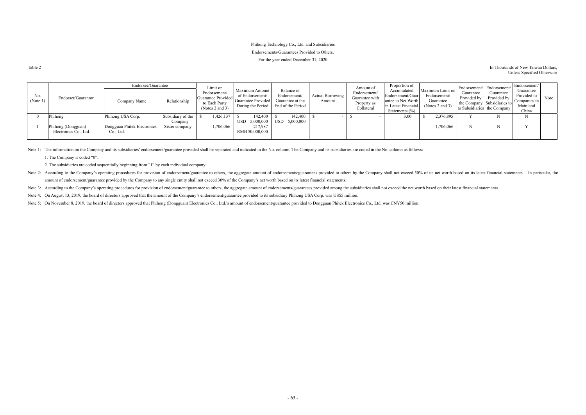# Phihong Technology Co., Ltd. and Subsidiaries Endorsements/Guarantees Provided to Others. For the year ended December 31, 2020

#### Table 2 In Thousands of New Taiwan Dollars, Unless Specified Otherwise

|                 |                                             | Endorsee/Guarantee                       |                           | Limit on                                                                   |                                                                              |                                                                     |                                   | Amount of                                                   | Proportion of                                                                                      |                                                                  |                                                           | Endorsement/ Endorsement/                               | Endorsement/                                                  |      |
|-----------------|---------------------------------------------|------------------------------------------|---------------------------|----------------------------------------------------------------------------|------------------------------------------------------------------------------|---------------------------------------------------------------------|-----------------------------------|-------------------------------------------------------------|----------------------------------------------------------------------------------------------------|------------------------------------------------------------------|-----------------------------------------------------------|---------------------------------------------------------|---------------------------------------------------------------|------|
| No.<br>(Note 1) | Endorser/Guarantor                          | Company Name                             | Relationship              | Endorsement/<br>  Guarantee Provided  <br>to Each Party<br>(Notes 2 and 3) | Maximum Amount<br>of Endorsement/<br>Guarantee Provided<br>During the Period | Balance of<br>Endorsement/<br>Guarantee at the<br>End of the Period | <b>Actual Borrowing</b><br>Amount | Endorsement/<br>Guarantee with<br>Property as<br>Collateral | Accumulated<br>Endorsement/Guar<br>antee to Net Worth<br>in Latest Financial<br>Statements $(\% )$ | Maximum Limit on<br>Endorsement/<br>Guarantee<br>(Notes 2 and 3) | Guarantee<br>Provided by<br>I the Company Subsidiaries to | Guarantee<br>Provided by<br>to Subsidiaries the Company | Guarantee<br>Provided to<br>Companies in<br>Mainland<br>China | Note |
|                 | Phihong                                     | Phihong USA Corp.                        | Subsidiary of the         | ,426,137                                                                   | 142,400                                                                      | 142.400                                                             |                                   |                                                             | 3.00                                                                                               | 2,376,895                                                        |                                                           |                                                         |                                                               |      |
|                 | Phihong (Dongguan)<br>Electronics Co., Ltd. | Dongguan Phitek Electronics<br>Co., Ltd. | Company<br>Sister company | ,706,066                                                                   | USD -<br>5,000,000<br>217,987<br>RMB 50,000,000                              | $\text{USD} \quad 5,000,000$                                        |                                   |                                                             |                                                                                                    | 1,706,066                                                        |                                                           |                                                         |                                                               |      |

Note 1: The information on the Company and its subsidiaries' endorsement/guarantee provided shall be separated and indicated in the No. column. The Company and its subsidiaries are coded in the No. column as follows:

Note 2: According to the Company's operating procedures for provision of endorsement/guarantee to others, the aggregate amount of endorsements/guarantees provided to others by the Company shall not exceed 50% of its net wo amount of endorsement/guarantee provided by the Company to any single entity shall not exceed 30% of the Company's net worth based on its latest financial statements.

Note 3: According to the Company's operating procedures for provision of endorsement/guarantee to others, the aggregate amount of endorsements/guarantees provided among the subsidiaries shall not exceed the net worth based

Note 4: On August 13, 2019, the board of directors approved that the amount of the Company's endorsement/guarantee provided to its subsidiary Phihong USA Corp. was US\$5 million.

Note 5: On November 8, 2019, the board of directors approved that Phihong (Dongguan) Electronics Co., Ltd.'s amount of endorsement/guarantee provided to Dongguan Phitek Electronics Co., Ltd. was CNY50 million.

1. The Company is coded "0".

2. The subsidiaries are coded sequentially beginning from "1" by each individual company.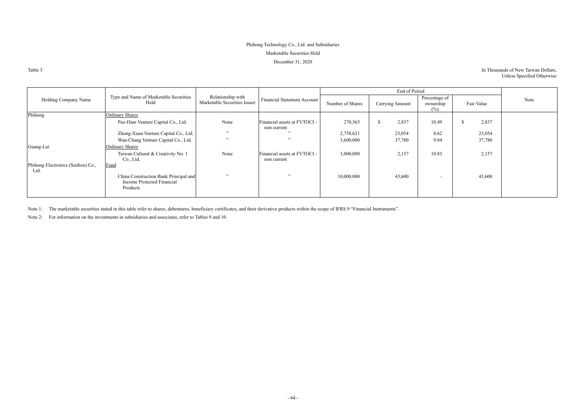# In Thousands of New Taiwan Dollars, Unless Specified Otherwise

# Phihong Technology Co., Ltd. and Subsidiaries Marketable Securities Held December 31, 2020

Table 3

|                                           |                                                                                 |                                                   |                                             |                  | End of Period   |                                   |            |      |
|-------------------------------------------|---------------------------------------------------------------------------------|---------------------------------------------------|---------------------------------------------|------------------|-----------------|-----------------------------------|------------|------|
| Holding Company Name                      | Type and Name of Marketable Securities<br>Held                                  | Relationship with<br>Marketable Securities Issuer | Financial Statement Account                 | Number of Shares | Carrying Amount | Percentage of<br>ownership<br>(%) | Fair Value | Note |
| Phihong                                   | <b>Ordinary Shares</b>                                                          |                                                   |                                             |                  |                 |                                   |            |      |
|                                           | Pao-Dian Venture Capital Co., Ltd.                                              | None                                              | Financial assets at FVTOCI -<br>non current | 270,565          | 2,837           | 10.49                             | 2,837      |      |
|                                           | Zhong-Xuan Venture Capital Co., Ltd.                                            | , 2, 3                                            | , ,                                         | 2,758,621        | 23,054          | 8.62                              | 23,054     |      |
|                                           | Wan-Chang Venture Capital Co., Ltd.                                             | , 2, 3                                            | $\cdot$                                     | 3,600,000        | 37,780          | 9.84                              | 37,780     |      |
| Guang-Lai                                 | <b>Ordinary Shares</b>                                                          |                                                   |                                             |                  |                 |                                   |            |      |
|                                           | Taiwan Cultural & Creativity No. 1<br>Co., Ltd.                                 | None                                              | Financial assets at FVTOCI -<br>non current | 3,000,000        | 2,157           | 10.83                             | 2,157      |      |
| Phihong Electronics (Suzhou) Co.,<br>Ltd. | Fund                                                                            |                                                   |                                             |                  |                 |                                   |            |      |
|                                           | China Construction Bank Principal and<br>Income Protected Financial<br>Products | , 2, 3                                            | , 22                                        | 10,000,000       | 43,600          | $\sim$                            | 43,600     |      |

Note 1: The marketable securities stated in this table refer to shares, debentures, beneficiary certificates, and their derivative products within the scope of IFRS 9 "Financial Instruments".

Note 2: For information on the investments in subsidiaries and associates, refer to Tables 9 and 10.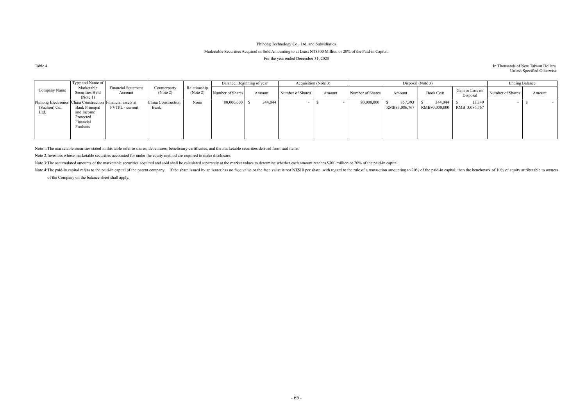# Phihong Technology Co., Ltd. and Subsidiaries Marketable Securities Acquired or Sold Amounting to at Least NT\$300 Million or 20% of the Paid-in Capital. For the year ended December 31, 2020

#### Table 4 In Thousands of New Taiwan Dollars, Unless Specified Otherwise

|                                                                                     | Type and Name of                                                          |                                       |                            |                         | Balance, Beginning of year |         |                  | Acquisition (Note 3) |                  |                          | Disposal (Note 3)        |                             |                  | <b>Ending Balance</b>    |
|-------------------------------------------------------------------------------------|---------------------------------------------------------------------------|---------------------------------------|----------------------------|-------------------------|----------------------------|---------|------------------|----------------------|------------------|--------------------------|--------------------------|-----------------------------|------------------|--------------------------|
| Company Name                                                                        | Marketable<br>Securities Held<br>(Note 1)                                 | <b>Financial Statement</b><br>Account | Counterparty<br>(Note 2)   | Relationship<br>Note 2, | Number of Shares           | Amount  | Number of Shares | Amount               | Number of Shares | Amount                   | <b>Book Cost</b>         | Gain or Loss on<br>Disposal | Number of Shares | Amount                   |
| Phihong Electronics China Construction Financial assets at<br>(Suzhou) Co.,<br>Ltd. | <b>Bank Principal</b><br>and Income<br>Protected<br>Financial<br>Products | FVTPL - current                       | China Construction<br>Bank | None                    | 80,000,000                 | 344,044 |                  |                      | 80,000,000       | 357,393<br>RMB83,086,767 | 344,044<br>RMB80,000,000 | 13,349<br>RMB 3,086,767     |                  | $\overline{\phantom{a}}$ |

Note 1: The marketable securities stated in this table refer to shares, debentures, beneficiary certificates, and the marketable securities derived from said items.

Note 4: The paid-in capital refers to the paid-in capital of the parent company. If the share issued by an issuer has no face value or the face value is not NT\$10 per share, with regard to the rule of a transaction amounti of the Company on the balance sheet shall apply.

Note 2: Investors whose marketable securities accounted for under the equity method are required to make disclosure.

Note 3: The accumulated amounts of the marketable securities acquired and sold shall be calculated separately at the market values to determine whether each amount reaches \$300 million or 20% of the paid-in capital.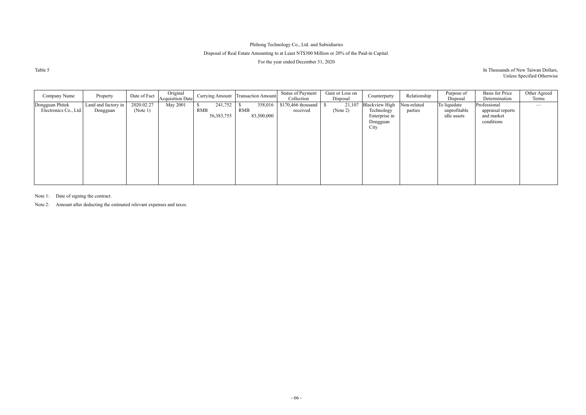# Disposal of Real Estate Amounting to at Least NT\$300 Million or 20% of the Paid-in Capital.

For the year ended December 31, 2020

Table 5

# In Thousands of New Taiwan Dollars, Unless Specified Otherwise

| Company Name                             | Property                        | Date of Fact           | Original<br><b>Acquisition Date</b> |                                | Carrying Amount   Transaction Amount | <b>Status of Payment</b><br>Collection | Gain or Loss on<br>Disposal | Counterparty                                                             | Relationship           | Purpose of<br>Disposal                      | <b>Basis</b> for Price<br>Determination                       | Other Agreed<br>Terms |
|------------------------------------------|---------------------------------|------------------------|-------------------------------------|--------------------------------|--------------------------------------|----------------------------------------|-----------------------------|--------------------------------------------------------------------------|------------------------|---------------------------------------------|---------------------------------------------------------------|-----------------------|
| Dongguan Phitek<br>Electronics Co., Ltd. | Land and factory in<br>Dongguan | 2020.02.27<br>(Note 1) | May 2001                            | 241,752<br>RMB<br>56, 383, 755 | 358,016<br>RMB<br>83,500,000         | $$170,466$ thousand<br>received        | 21,107<br>(Note 2)          | <b>Blackview High</b><br>Technology<br>Enterprise in<br>Dongguan<br>City | Non-related<br>parties | To liquidate<br>unprofitable<br>idle assets | Professional<br>appraisal reports<br>and market<br>conditions |                       |
|                                          |                                 |                        |                                     |                                |                                      |                                        |                             |                                                                          |                        |                                             |                                                               |                       |

Note 1: Date of signing the contract.

Note 2: Amount after deducting the estimated relevant expenses and taxes.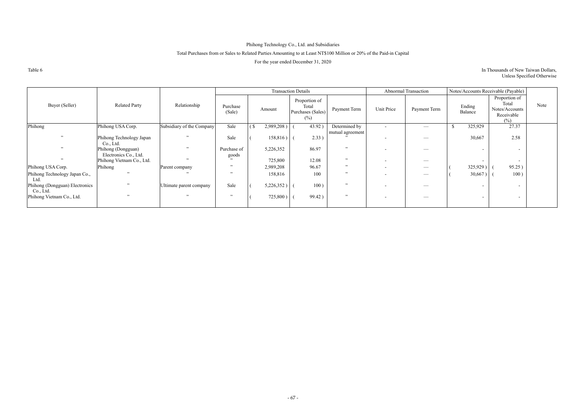# Total Purchases from or Sales to Related Parties Amounting to at Least NT\$100 Million or 20% of the Paid-in Capital

For the year ended December 31, 2020

Table 6

# In Thousands of New Taiwan Dollars, Unless Specified Otherwise

|                                             |                                             |                           |                      | <b>Transaction Details</b> |                                                       |                  |                          | Abnormal Transaction            |                          | Notes/Accounts Receivable (Payable)                           |      |
|---------------------------------------------|---------------------------------------------|---------------------------|----------------------|----------------------------|-------------------------------------------------------|------------------|--------------------------|---------------------------------|--------------------------|---------------------------------------------------------------|------|
| Buyer (Seller)                              | <b>Related Party</b>                        | Relationship              | Purchase<br>(Sale)   | Amount                     | Proportion of<br>Total<br>Purchases (Sales)<br>$(\%)$ | Payment Term     | Unit Price               | Payment Term                    | Ending<br>Balance        | Proportion of<br>Total<br>Notes/Accounts<br>Receivable<br>(%) | Note |
| Phihong                                     | Phihong USA Corp.                           | Subsidiary of the Company | Sale                 | 2,989,208)                 | 43.92)                                                | Determined by    | $\sim$                   | $\overline{\phantom{a}}$        | 325,929                  | 27.37                                                         |      |
| 52                                          | Phihong Technology Japan<br>Co., Ltd.       | $\overline{\phantom{a}}$  | Sale                 | 158,816)                   | 2.33                                                  | mutual agreement |                          |                                 | 30,667                   | 2.58                                                          |      |
| 52                                          | Phihong (Dongguan)<br>Electronics Co., Ltd. | , ,                       | Purchase of<br>goods | 5,226,352                  | 86.97                                                 | , ,              | $\overline{\phantom{a}}$ |                                 | $\overline{\phantom{0}}$ | $\sim$                                                        |      |
|                                             | Phihong Vietnam Co., Ltd.                   | $\overline{\phantom{a}}$  |                      | 725,800                    | 12.08                                                 | , ,              | $\overline{\phantom{a}}$ | $\overbrace{\qquad \qquad }^{}$ | $\overline{\phantom{a}}$ | $\sim$                                                        |      |
| Phihong USA Corp.                           | Phihong                                     | Parent company            | , ,                  | 2,989,208                  | 96.67                                                 | , ,              | $\overline{\phantom{a}}$ |                                 | 325,929)                 | 95.25)                                                        |      |
| Phihong Technology Japan Co.,<br>Ltd.       | $\ddot{\phantom{0}}$                        |                           | , ,                  | 158,816                    | 100                                                   | , ,              | -                        |                                 | 30,667)                  | 100)                                                          |      |
| Phihong (Dongguan) Electronics<br>Co., Ltd. | , ,                                         | Ultimate parent company   | Sale                 | 5,226,352)                 | 100)                                                  | , ,              | $\overline{\phantom{a}}$ |                                 | $\sim$                   | $\sim$                                                        |      |
| Phihong Vietnam Co., Ltd.                   | , , ,                                       | 22                        | , ,                  | $725,800$ )                | 99.42)                                                | , ,              |                          | $\hspace{0.05cm}$               | $\sim$                   | $\sim$                                                        |      |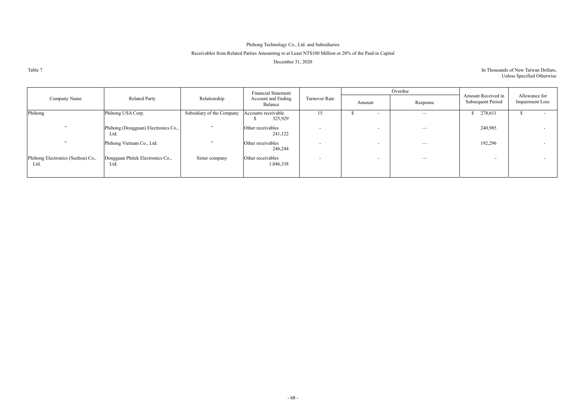# Receivables from Related Parties Amounting to at Least NT\$100 Million or 20% of the Paid-in Capital

December 31, 2020

Table 7

| In Thousands of New Taiwan Dollars, |  |
|-------------------------------------|--|
| Unless Specified Otherwise          |  |

|                                           |                                             |                           | <b>Financial Statement</b>     |                          |                          | Overdue                       |                                         |                                         |
|-------------------------------------------|---------------------------------------------|---------------------------|--------------------------------|--------------------------|--------------------------|-------------------------------|-----------------------------------------|-----------------------------------------|
| Company Name                              | <b>Related Party</b>                        | Relationship              | Account and Ending<br>Balance  | Turnover Rate            | Amount                   | Response                      | Amount Received in<br>Subsequent Period | Allowance for<br><b>Impairment Loss</b> |
| Phihong                                   | Phihong USA Corp.                           | Subsidiary of the Company | Accounts receivable<br>325,929 | 15                       | $\sim$                   | $\overbrace{\phantom{aaaaa}}$ | \$278,611                               |                                         |
| , 22                                      | Phihong (Dongguan) Electronics Co.,<br>Ltd. | , ,                       | Other receivables<br>241,122   | $\overline{\phantom{0}}$ | $\overline{\phantom{0}}$ |                               | 240,985                                 | $\sim$                                  |
| , 22                                      | Phihong Vietnam Co., Ltd.                   | , ,                       | Other receivables<br>246,244   | $\overline{\phantom{a}}$ | $\overline{\phantom{0}}$ | $\overbrace{\phantom{13333}}$ | 192,296                                 | $\sim$                                  |
| Phihong Electronics (Suzhou) Co.,<br>Ltd. | Dongguan Phitek Electronics Co.,<br>Ltd.    | Sister company            | Other receivables<br>1,046,338 | $\overline{\phantom{a}}$ | $\overline{\phantom{0}}$ | $\overbrace{\phantom{13333}}$ | $\overline{\phantom{a}}$                |                                         |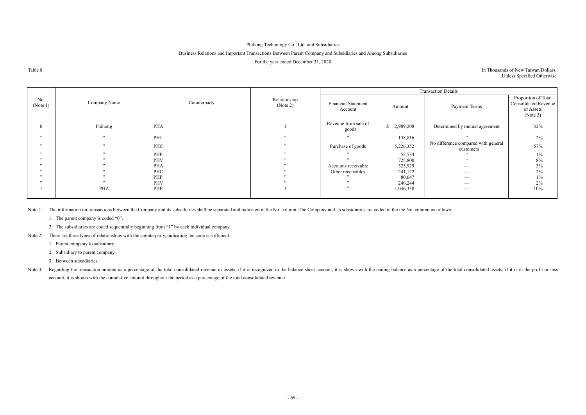# Business Relations and Important Transactions Between Parent Company and Subsidiaries and Among Subsidiaries

For the year ended December 31, 2020

Table 8

# In Thousands of New Taiwan Dollars, Unless Specified Otherwise

|                          |                      |              |                          |                                       |           | <b>Transaction Details</b>                       |                                                                             |
|--------------------------|----------------------|--------------|--------------------------|---------------------------------------|-----------|--------------------------------------------------|-----------------------------------------------------------------------------|
| No.<br>(Note 1)          | Company Name         | Counterparty | Relationship<br>(Note 2) | <b>Financial Statement</b><br>Account | Amount    | Payment Terms                                    | Proportion of Total<br><b>Consolidated Revenue</b><br>or Assets<br>(Note 3) |
| $\theta$                 | Phihong              | <b>PHA</b>   |                          | Revenue from sale of<br>goods         | 2,989,208 | Determined by mutual agreement                   | 32%                                                                         |
| 52                       | , 22                 | PHJ          | , , ,                    | , ,                                   | 158,816   | , 2, 3                                           | $2\%$                                                                       |
| 52                       | $, \,$               | PHC          | , ,                      | Purchase of goods                     | 5,226,352 | No difference compared with general<br>customers | 57%                                                                         |
| 52                       | $, \,$               | PHP          | , , ,                    |                                       | 52,534    |                                                  | $1\%$                                                                       |
| 52                       | 22                   | PHV          | , , ,                    | $\ddot{\phantom{1}}$                  | 725,800   | , ,                                              | $8\%$                                                                       |
| , ,                      | , ,                  | <b>PHA</b>   | , ,                      | Accounts receivable                   | 325,929   | $\overline{\phantom{m}}$                         | 3%                                                                          |
| , ,                      | , 2, 3               | PHC          | , ,                      | Other receivables                     | 241,122   |                                                  | 2%                                                                          |
| $\ddot{\phantom{1}}$     | $\ddot{\phantom{1}}$ | PHP          | , , ,                    |                                       | 80,647    | ___                                              | $1\%$                                                                       |
| $\overline{\phantom{a}}$ | $\ddot{\phantom{1}}$ | PHV          | $\ddot{\phantom{1}}$     | $\ddot{\phantom{1}}$                  | 246,244   |                                                  | $2\%$                                                                       |
|                          | PHZ                  | PHP          |                          | 52                                    | 1,046,338 |                                                  | 10%                                                                         |
|                          |                      |              |                          |                                       |           |                                                  |                                                                             |

Note 1: The information on transactions between the Company and its subsidiaries shall be separated and indicated in the No. column. The Company and its subsidiaries are coded in the the No. column as follows:

Note 3: Regarding the transaction amount as a percentage of the total consolidated revenue or assets, if it is recognized in the balance sheet account, it is shown with the ending balance as a percentage of the total conso account, it is shown with the cumulative amount throughout the period as a percentage of the total consolidated revenue.

1. The parent company is coded "0".

2. The subsidiaries are coded sequentially beginning from "1" by each individual company.

Note 2: There are three types of relationships with the counterparty, indicating the code is sufficient:

1. Parent company to subsidiary

2. Subsidiary to parent company

3. Between subsidiaries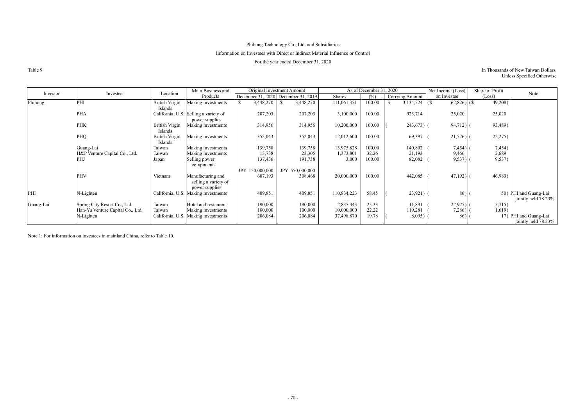# Phihong Technology Co., Ltd. and Subsidiaries Information on Investees with Direct or Indirect Material Influence or Control

For the year ended December 31, 2020

## Table 9 In Thousands of New Taiwan Dollars, Unless Specified Otherwise

|           |                                  | Location                         | Main Business and                                           |                                     | Original Investment Amount |             | As of December 31, 2020 |                 | Net Income (Loss) | Share of Profit | Note                                         |
|-----------|----------------------------------|----------------------------------|-------------------------------------------------------------|-------------------------------------|----------------------------|-------------|-------------------------|-----------------|-------------------|-----------------|----------------------------------------------|
| Investor  | Investee                         |                                  | Products                                                    | December 31, 2020 December 31, 2019 |                            | Shares      | (%)                     | Carrying Amount | on Investee       | (Loss)          |                                              |
| Phihong   | PHI                              | <b>British Virgin</b><br>Islands | Making investments                                          | 3,448,270                           | 3,448,270                  | 111,061,351 | 100.00                  | 3,134,524       | $62,826$ ) (\$)   | 49,208)         |                                              |
|           | <b>PHA</b>                       |                                  | California, U.S. Selling a variety of<br>power supplies     | 207,203                             | 207,203                    | 3,100,000   | 100.00                  | 923,714         | 25,020            | 25,020          |                                              |
|           | <b>PHK</b>                       | <b>British Virgin</b><br>Islands | Making investments                                          | 314,956                             | 314,956                    | 10,200,000  | 100.00                  | $243,673$ ]     | 94,712)           | 93,489)         |                                              |
|           | PHQ                              | <b>British Virgin</b><br>Islands | Making investments                                          | 352,043                             | 352,043                    | 12,012,600  | 100.00                  | 69,397          | 21,576)           | 22,275)         |                                              |
|           | Guang-Lai                        | Taiwan                           | Making investments                                          | 139,758                             | 139,758                    | 13,975,828  | 100.00                  | 140,802         | $7,454$ )         | 7,454)          |                                              |
|           | H&P Venture Capital Co., Ltd.    | Taiwan                           | Making investments                                          | 13,738                              | 23,305                     | 1,373,801   | 32.26                   | 21,193          | 9,466             | 2,689           |                                              |
|           | PHJ                              | Japan                            | Selling power<br>components                                 | 137,436                             | 191,738                    | 3,000       | 100.00                  | 82,082          | 9,537             | 9,537)          |                                              |
|           |                                  |                                  |                                                             | JPY 150,000,000                     | JPY 550,000,000            |             |                         |                 |                   |                 |                                              |
|           | PHV                              | Vietnam                          | Manufacturing and<br>selling a variety of<br>power supplies | 607,193                             | 308,468                    | 20,000,000  | 100.00                  | 442,085         | 47,192)           | 46,983)         |                                              |
| PHI       | N-Lighten                        |                                  | California, U.S. Making investments                         | 409,851                             | 409,851                    | 110,834,223 | 58.45                   | $23,921$ (      | 86)               |                 | 50) PHI and Guang-Lai<br>jointly held 78.23% |
| Guang-Lai | Spring City Resort Co., Ltd.     | Taiwan                           | Hotel and restaurant                                        | 190,000                             | 190,000                    | 2,837,343   | 25.33                   | 11,891          | $22,925$ )        | 5,715)          |                                              |
|           | Han-Yu Venture Capital Co., Ltd. | Taiwan                           | Making investments                                          | 100,000                             | 100,000                    | 10,000,000  | 22.22                   | 119,281         | $7,286$ )         | 1,619)          |                                              |
|           | N-Lighten                        |                                  | California, U.S. Making investments                         | 206,084                             | 206,084                    | 37,498,870  | 19.78                   | $8,095$ ) (     | 86)               |                 | 17) PHI and Guang-Lai<br>jointly held 78.23% |

Note 1: For information on investees in mainland China, refer to Table 10.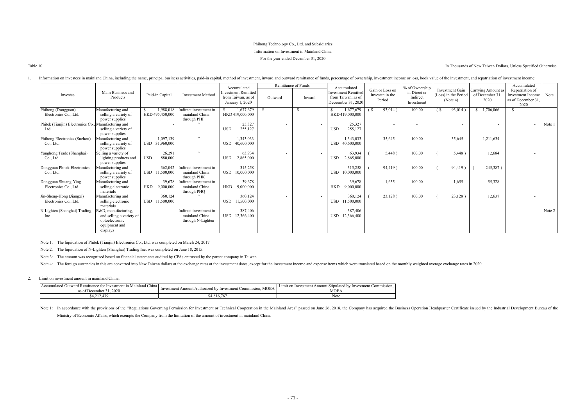Table 10 In Thousands of New Taiwan Dollars, Unless Specified Otherwise

# Phihong Technology Co., Ltd. and Subsidiaries Information on Investment in Mainland China For the year ended December 31, 2020

|                                   |                                        |                         |                        | Accumulated                                                         |                          | Remittance of Funds      | Accumulated                                                            |                                              | % of Ownership                         |                                                            |                                               | Accumulated                                                              |        |
|-----------------------------------|----------------------------------------|-------------------------|------------------------|---------------------------------------------------------------------|--------------------------|--------------------------|------------------------------------------------------------------------|----------------------------------------------|----------------------------------------|------------------------------------------------------------|-----------------------------------------------|--------------------------------------------------------------------------|--------|
| Investee                          | Main Business and<br>Products          | Paid-in Capital         | Investment Method      | <b>Investment Remitted</b><br>from Taiwan, as of<br>January 1, 2020 | Outward                  | Inward                   | <b>Investment Remitted</b><br>from Taiwan, as of<br>Deceember 31, 2020 | Gain or Loss on<br>Investee in the<br>Period | in Direct or<br>Indirect<br>Investment | <b>Investment Gain</b><br>(Loss) in the Period<br>(Note 4) | Carrying Amount as<br>of December 31,<br>2020 | Repatriation of<br><b>Investment Income</b><br>as of December 31<br>2020 | Note   |
| Phihong (Dongguan)                | Manufacturing and                      | 1,988,018               | ndirect investment in  | 1,677,679                                                           |                          |                          | 1,677,679                                                              | 93,014)<br>$\left( \mathbf{\S} \right)$      | 100.00                                 | 93,014)<br>í\$                                             | 1,706,066<br>\$                               |                                                                          |        |
| Electronics Co., Ltd.             | selling a variety of                   | HKD 495,450,000         | mainland China         | HKD 419,000,000                                                     |                          |                          | HKD 419,000,000                                                        |                                              |                                        |                                                            |                                               |                                                                          |        |
|                                   | power supplies                         |                         | through PHI            |                                                                     |                          |                          |                                                                        |                                              |                                        |                                                            |                                               |                                                                          |        |
| Phitek (Tianjin) Electronics Co., | Manufacturing and                      |                         |                        | 25,327                                                              |                          |                          | 25,327                                                                 |                                              |                                        |                                                            | $\overline{\phantom{0}}$                      |                                                                          | Note 1 |
| Ltd.                              | selling a variety of                   |                         |                        | 255,127<br><b>USD</b>                                               |                          |                          | 255,127<br><b>USD</b>                                                  |                                              |                                        |                                                            |                                               |                                                                          |        |
|                                   | power supplies                         |                         |                        |                                                                     |                          |                          |                                                                        |                                              | 100.00                                 |                                                            |                                               |                                                                          |        |
| Phihong Electronics (Suzhou)      | Aanufacturing and                      | 1,097,139               |                        | 1,343,033                                                           | $\overline{\phantom{0}}$ |                          | 1,343,033                                                              | 35,645                                       |                                        | 35,645                                                     | 1,211,634                                     |                                                                          |        |
| Co., Ltd.                         | selling a variety of                   | USD 31,960,000          |                        | 40,600,000<br><b>USD</b>                                            |                          |                          | 40,600,000<br><b>USD</b>                                               |                                              |                                        |                                                            |                                               |                                                                          |        |
| Yanghong Trade (Shanghai)         | power supplies<br>Selling a variety of | 26,291                  | $\ddot{\phantom{0}}$   | 63,934                                                              |                          |                          | 63,934                                                                 | 5,448)                                       | 100.00                                 | 5,448)                                                     | 12,684                                        |                                                                          |        |
| Co., Ltd.                         | lighting products and                  | <b>USD</b><br>880,000   |                        | 2,865,000<br><b>USD</b>                                             |                          |                          | <b>USD</b><br>2,865,000                                                |                                              |                                        |                                                            |                                               |                                                                          |        |
|                                   | power supplies                         |                         |                        |                                                                     |                          |                          |                                                                        |                                              |                                        |                                                            |                                               |                                                                          |        |
| Dongguan Phitek Electronics       | Manufacturing and                      | 362,042                 | Indirect investment in | 315,258                                                             |                          |                          | 315,258                                                                | 94,419)                                      | 100.00                                 | 94,419                                                     | 245,387)                                      |                                                                          |        |
| Co., Ltd.                         | selling a variety of                   | USD 11,500,000          | mainland China         | <b>USD</b><br>10,000,000                                            |                          |                          | <b>USD</b><br>10,000,000                                               |                                              |                                        |                                                            |                                               |                                                                          |        |
|                                   | power supplies                         |                         | through PHK            |                                                                     |                          |                          |                                                                        |                                              |                                        |                                                            |                                               |                                                                          |        |
| Dongguan Shuang-Ying              | Manufacturing and                      | 39,678                  | Indirect investment in | 39,678                                                              | $\sim$                   |                          | 39,678                                                                 | 1,655                                        | 100.00                                 | 1,655                                                      | 55,328                                        |                                                                          |        |
| Electronics Co., Ltd.             | selling electronic                     | 9,000,000<br><b>HKD</b> | mainland China         | 9,000,000<br><b>HKD</b>                                             |                          |                          | 9,000,000<br><b>HKD</b>                                                |                                              |                                        |                                                            |                                               |                                                                          |        |
|                                   | materials                              |                         | through PHQ            |                                                                     |                          |                          |                                                                        |                                              |                                        |                                                            |                                               |                                                                          |        |
| Jin-Sheng-Hong (Jiangxi)          | Manufacturing and                      | 360,124                 |                        | 360,124                                                             | $\overline{\phantom{a}}$ |                          | 360,124                                                                | 23,128)                                      | 100.00                                 | 23,128)                                                    | 12,637                                        |                                                                          |        |
| Electronics Co., Ltd.             | selling electronic                     | USD 11,500,000          |                        | 11,500,000<br><b>USD</b>                                            |                          |                          | 11,500,000<br>USD                                                      |                                              |                                        |                                                            |                                               |                                                                          |        |
|                                   | materials                              |                         |                        |                                                                     |                          |                          |                                                                        |                                              |                                        |                                                            |                                               |                                                                          |        |
| N-Lighten (Shanghai) Trading      | R&D, manufacturing,                    |                         | Indirect investment in | 387,406                                                             |                          | $\overline{\phantom{a}}$ | 387,406                                                                |                                              |                                        |                                                            | $\overline{\phantom{a}}$                      |                                                                          | Note 2 |
| Inc.                              | and selling a variety of               |                         | mainland China         | USD 12,366,400                                                      |                          |                          | USD 12,366,400                                                         |                                              |                                        |                                                            |                                               |                                                                          |        |
|                                   | optoelectronic                         |                         | through N-Lighten      |                                                                     |                          |                          |                                                                        |                                              |                                        |                                                            |                                               |                                                                          |        |
|                                   | equipment and                          |                         |                        |                                                                     |                          |                          |                                                                        |                                              |                                        |                                                            |                                               |                                                                          |        |
|                                   | displays                               |                         |                        |                                                                     |                          |                          |                                                                        |                                              |                                        |                                                            |                                               |                                                                          |        |

1. Information on investees in mainland China, including the name, principal business activities, paid-in capital, method of investment, inward and outward remittance of funds, percentage of ownership, investment income or

Note 1: In accordance with the provisions of the "Regulations Governing Permission for Investment or Technical Cooperation in the Mainland Area" passed on June 26, 2018, the Company has acquired the Business Operation Head Ministry of Economic Affairs, which exempts the Company from the limitation of the amount of investment in mainland China.

Note 1: The liquidation of Phitek (Tianjin) Electronics Co., Ltd. was completed on March 24, 2017.

Note 2: The liquidation of N-Lighten (Shanghai) Trading Inc. was completed on June 18, 2015.

Note 3: The amount was recognized based on financial statements audited by CPAs entrusted by the parent company in Taiwan.

Note 4: The foreign currencies in this are converted into New Taiwan dollars at the exchange rates at the investment dates, except for the investment income and expense items which were translated based on the monthly weig

## 2. Limit on investment amount in mainland China:

| $\sim$<br>`hına<br>`utward Remittance .<br>r Investment ın Maınland (<br>Accumulated<br>.tor<br>.2020<br>as o<br>плес | <b>MOE</b><br>t Amount Authorized by<br>.:stment<br>. ommission<br>⊥nvestment<br>∵lnve | Limit on Investment Amor<br>Commission.<br>eted by<br>Investme<br>ınt<br>MOEA |
|-----------------------------------------------------------------------------------------------------------------------|----------------------------------------------------------------------------------------|-------------------------------------------------------------------------------|
| 420<br>T.LIL.TJ                                                                                                       | $\sim$                                                                                 | Note                                                                          |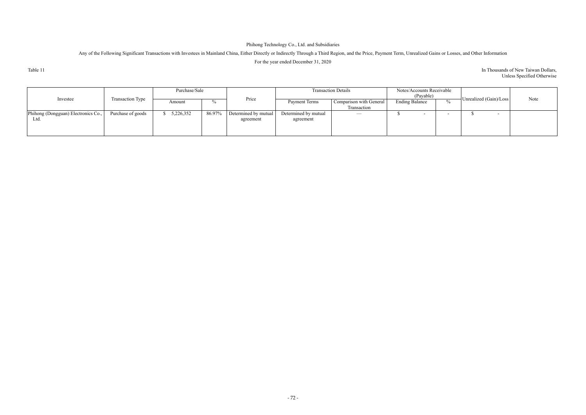Any of the Following Significant Transactions with Investees in Mainland China, Either Directly or Indirectly Through a Third Region, and the Price, Payment Term, Unrealized Gains or Losses, and Other Information For the year ended December 31, 2020

Table 11

## In Thousands of New Taiwan Dollars, Unless Specified Otherwise

|                                             |                   | Purchase/Sale |        |                                   |                                   | <b>Transaction Details</b>             | Notes/Accounts Receivable<br>(Payable) |               |                        |      |
|---------------------------------------------|-------------------|---------------|--------|-----------------------------------|-----------------------------------|----------------------------------------|----------------------------------------|---------------|------------------------|------|
| Investee                                    | Transaction Type  | Amount        | %      | Price                             | Payment Terms                     | Comparison with General<br>Transaction | <b>Ending Balance</b>                  | $\frac{v}{0}$ | Unrealized (Gain)/Loss | Note |
| Phihong (Dongguan) Electronics Co.,<br>Ltd. | Purchase of goods | 5,226,352     | 86.97% | Determined by mutual<br>agreement | Determined by mutual<br>agreement | $\overline{\phantom{m}}$               | $\sim$                                 |               |                        |      |